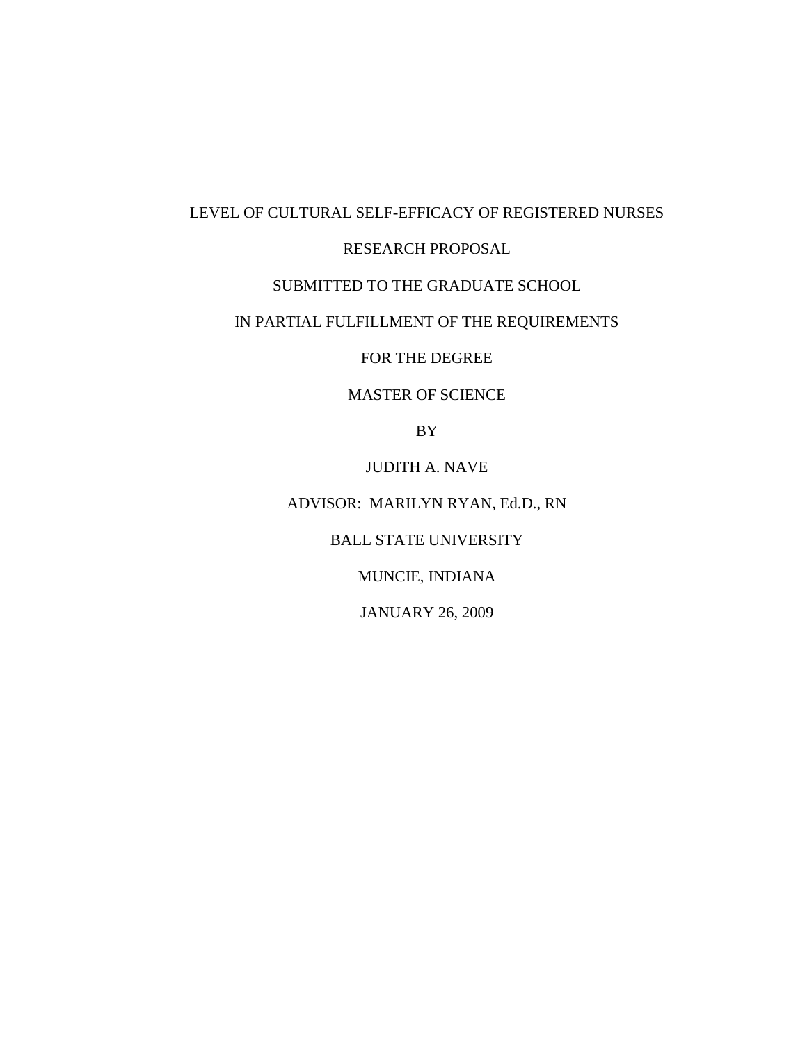# LEVEL OF CULTURAL SELF-EFFICACY OF REGISTERED NURSES

# RESEARCH PROPOSAL

# SUBMITTED TO THE GRADUATE SCHOOL

# IN PARTIAL FULFILLMENT OF THE REQUIREMENTS

FOR THE DEGREE

## MASTER OF SCIENCE

BY

## JUDITH A. NAVE

# ADVISOR: MARILYN RYAN, Ed.D., RN

BALL STATE UNIVERSITY

MUNCIE, INDIANA

JANUARY 26, 2009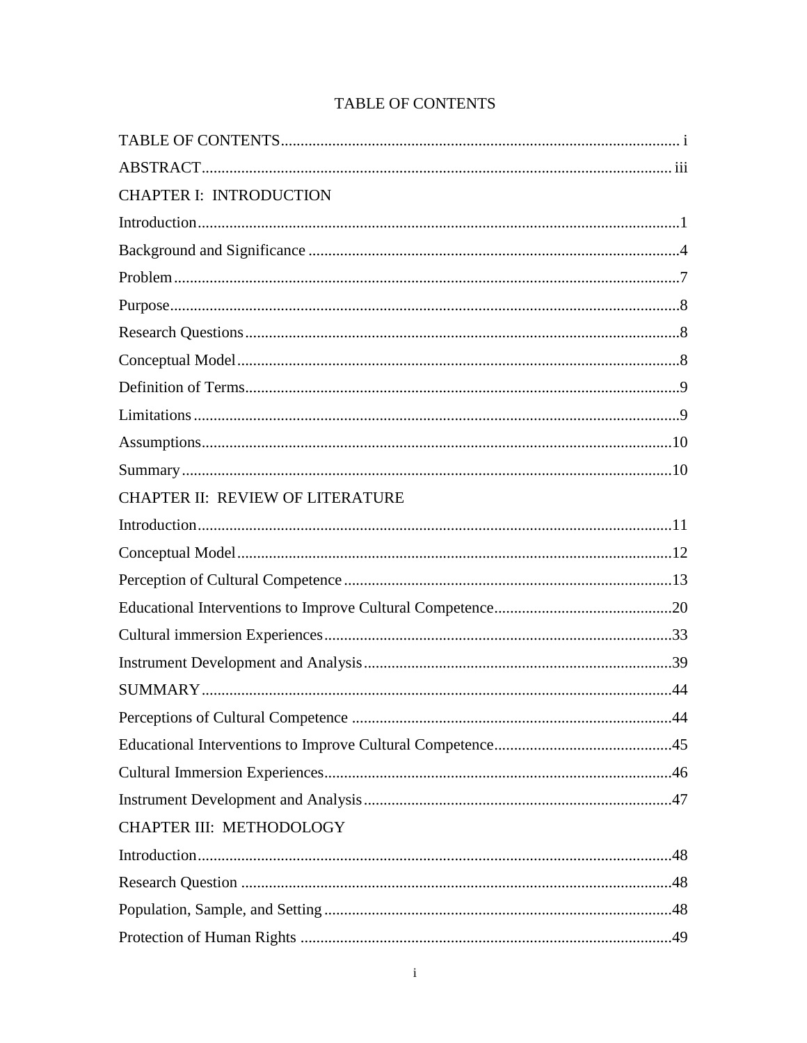# **TABLE OF CONTENTS**

| <b>CHAPTER I: INTRODUCTION</b>   |     |
|----------------------------------|-----|
|                                  |     |
|                                  |     |
|                                  |     |
|                                  |     |
|                                  |     |
|                                  |     |
|                                  |     |
|                                  |     |
|                                  |     |
|                                  |     |
| CHAPTER II: REVIEW OF LITERATURE |     |
|                                  |     |
|                                  |     |
|                                  |     |
|                                  |     |
|                                  |     |
|                                  |     |
|                                  |     |
|                                  | .44 |
|                                  |     |
|                                  |     |
|                                  |     |
| <b>CHAPTER III: METHODOLOGY</b>  |     |
|                                  |     |
|                                  |     |
|                                  |     |
|                                  |     |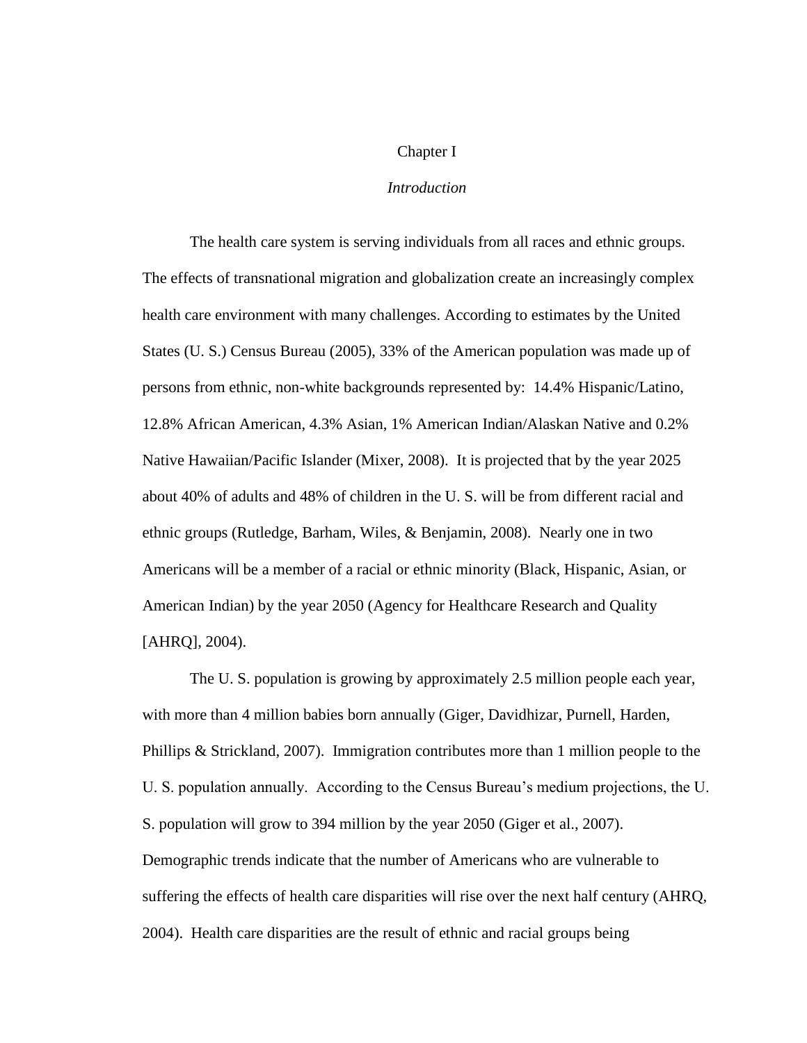#### Chapter I

#### *Introduction*

The health care system is serving individuals from all races and ethnic groups. The effects of transnational migration and globalization create an increasingly complex health care environment with many challenges. According to estimates by the United States (U. S.) Census Bureau (2005), 33% of the American population was made up of persons from ethnic, non-white backgrounds represented by: 14.4% Hispanic/Latino, 12.8% African American, 4.3% Asian, 1% American Indian/Alaskan Native and 0.2% Native Hawaiian/Pacific Islander (Mixer, 2008). It is projected that by the year 2025 about 40% of adults and 48% of children in the U. S. will be from different racial and ethnic groups (Rutledge, Barham, Wiles, & Benjamin, 2008). Nearly one in two Americans will be a member of a racial or ethnic minority (Black, Hispanic, Asian, or American Indian) by the year 2050 (Agency for Healthcare Research and Quality [AHRQ], 2004).

The U. S. population is growing by approximately 2.5 million people each year, with more than 4 million babies born annually (Giger, Davidhizar, Purnell, Harden, Phillips & Strickland, 2007). Immigration contributes more than 1 million people to the U. S. population annually. According to the Census Bureau's medium projections, the U. S. population will grow to 394 million by the year 2050 (Giger et al., 2007). Demographic trends indicate that the number of Americans who are vulnerable to suffering the effects of health care disparities will rise over the next half century (AHRQ, 2004). Health care disparities are the result of ethnic and racial groups being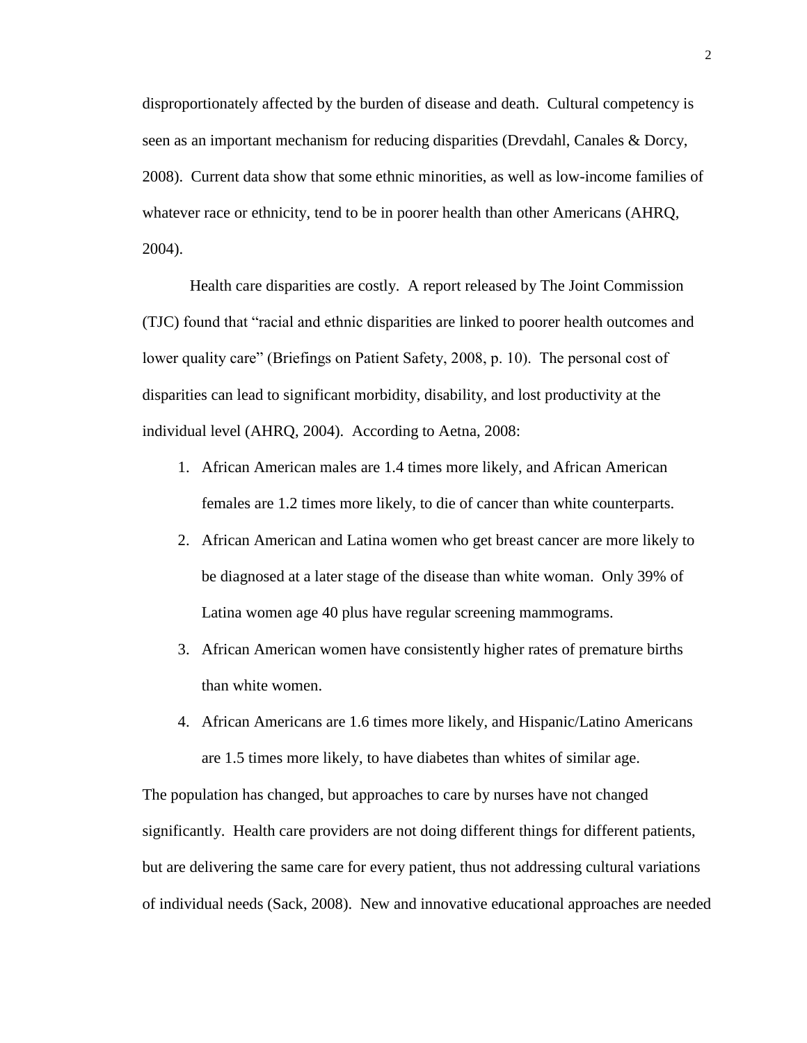disproportionately affected by the burden of disease and death. Cultural competency is seen as an important mechanism for reducing disparities (Drevdahl, Canales & Dorcy, 2008). Current data show that some ethnic minorities, as well as low-income families of whatever race or ethnicity, tend to be in poorer health than other Americans (AHRQ, 2004).

Health care disparities are costly. A report released by The Joint Commission (TJC) found that "racial and ethnic disparities are linked to poorer health outcomes and lower quality care" (Briefings on Patient Safety, 2008, p. 10). The personal cost of disparities can lead to significant morbidity, disability, and lost productivity at the individual level (AHRQ, 2004). According to Aetna, 2008:

- 1. African American males are 1.4 times more likely, and African American females are 1.2 times more likely, to die of cancer than white counterparts.
- 2. African American and Latina women who get breast cancer are more likely to be diagnosed at a later stage of the disease than white woman. Only 39% of Latina women age 40 plus have regular screening mammograms.
- 3. African American women have consistently higher rates of premature births than white women.
- 4. African Americans are 1.6 times more likely, and Hispanic/Latino Americans are 1.5 times more likely, to have diabetes than whites of similar age.

The population has changed, but approaches to care by nurses have not changed significantly. Health care providers are not doing different things for different patients, but are delivering the same care for every patient, thus not addressing cultural variations of individual needs (Sack, 2008). New and innovative educational approaches are needed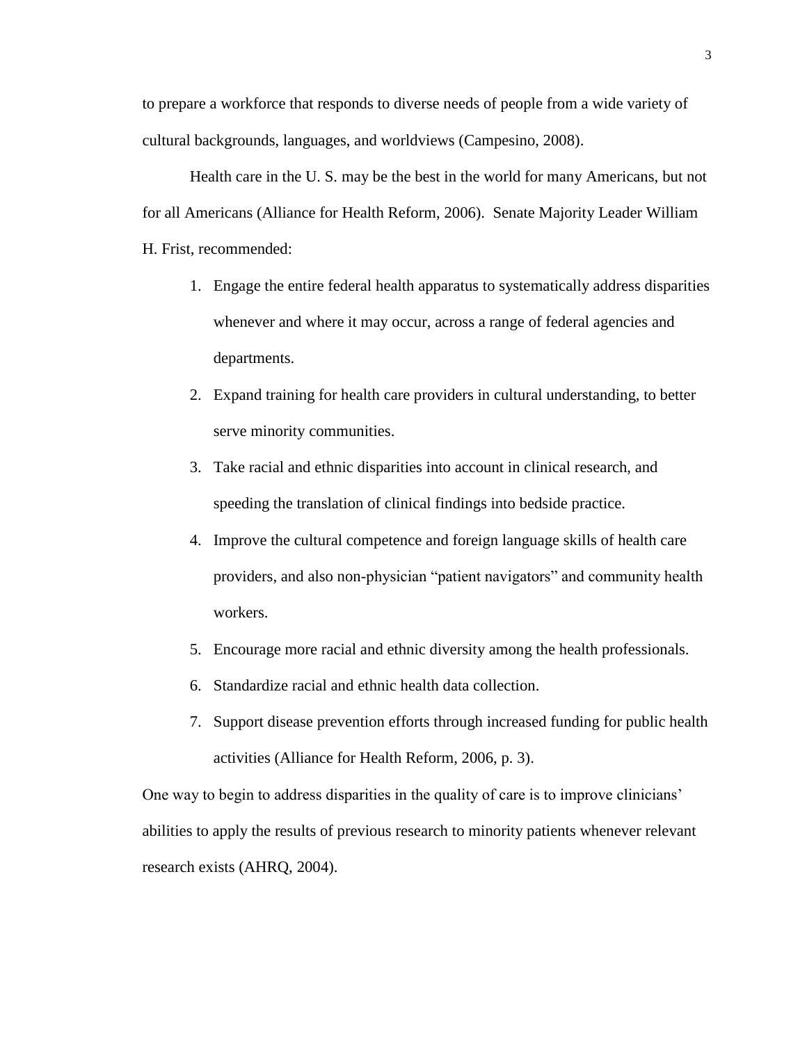to prepare a workforce that responds to diverse needs of people from a wide variety of cultural backgrounds, languages, and worldviews (Campesino, 2008).

Health care in the U. S. may be the best in the world for many Americans, but not for all Americans (Alliance for Health Reform, 2006). Senate Majority Leader William H. Frist, recommended:

- 1. Engage the entire federal health apparatus to systematically address disparities whenever and where it may occur, across a range of federal agencies and departments.
- 2. Expand training for health care providers in cultural understanding, to better serve minority communities.
- 3. Take racial and ethnic disparities into account in clinical research, and speeding the translation of clinical findings into bedside practice.
- 4. Improve the cultural competence and foreign language skills of health care providers, and also non-physician "patient navigators" and community health workers.
- 5. Encourage more racial and ethnic diversity among the health professionals.
- 6. Standardize racial and ethnic health data collection.
- 7. Support disease prevention efforts through increased funding for public health activities (Alliance for Health Reform, 2006, p. 3).

One way to begin to address disparities in the quality of care is to improve clinicians' abilities to apply the results of previous research to minority patients whenever relevant research exists (AHRQ, 2004).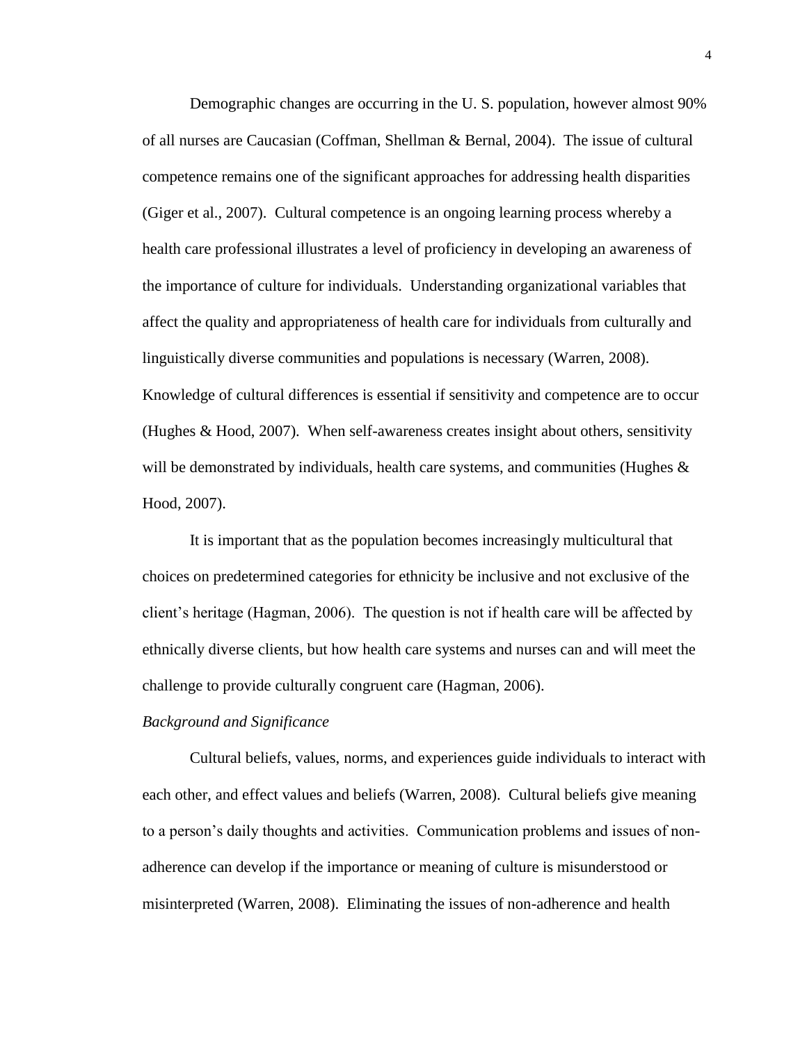Demographic changes are occurring in the U. S. population, however almost 90% of all nurses are Caucasian (Coffman, Shellman & Bernal, 2004). The issue of cultural competence remains one of the significant approaches for addressing health disparities (Giger et al., 2007). Cultural competence is an ongoing learning process whereby a health care professional illustrates a level of proficiency in developing an awareness of the importance of culture for individuals. Understanding organizational variables that affect the quality and appropriateness of health care for individuals from culturally and linguistically diverse communities and populations is necessary (Warren, 2008). Knowledge of cultural differences is essential if sensitivity and competence are to occur (Hughes & Hood, 2007). When self-awareness creates insight about others, sensitivity will be demonstrated by individuals, health care systems, and communities (Hughes  $\&$ Hood, 2007).

It is important that as the population becomes increasingly multicultural that choices on predetermined categories for ethnicity be inclusive and not exclusive of the client's heritage (Hagman, 2006). The question is not if health care will be affected by ethnically diverse clients, but how health care systems and nurses can and will meet the challenge to provide culturally congruent care (Hagman, 2006).

#### *Background and Significance*

Cultural beliefs, values, norms, and experiences guide individuals to interact with each other, and effect values and beliefs (Warren, 2008). Cultural beliefs give meaning to a person's daily thoughts and activities. Communication problems and issues of nonadherence can develop if the importance or meaning of culture is misunderstood or misinterpreted (Warren, 2008). Eliminating the issues of non-adherence and health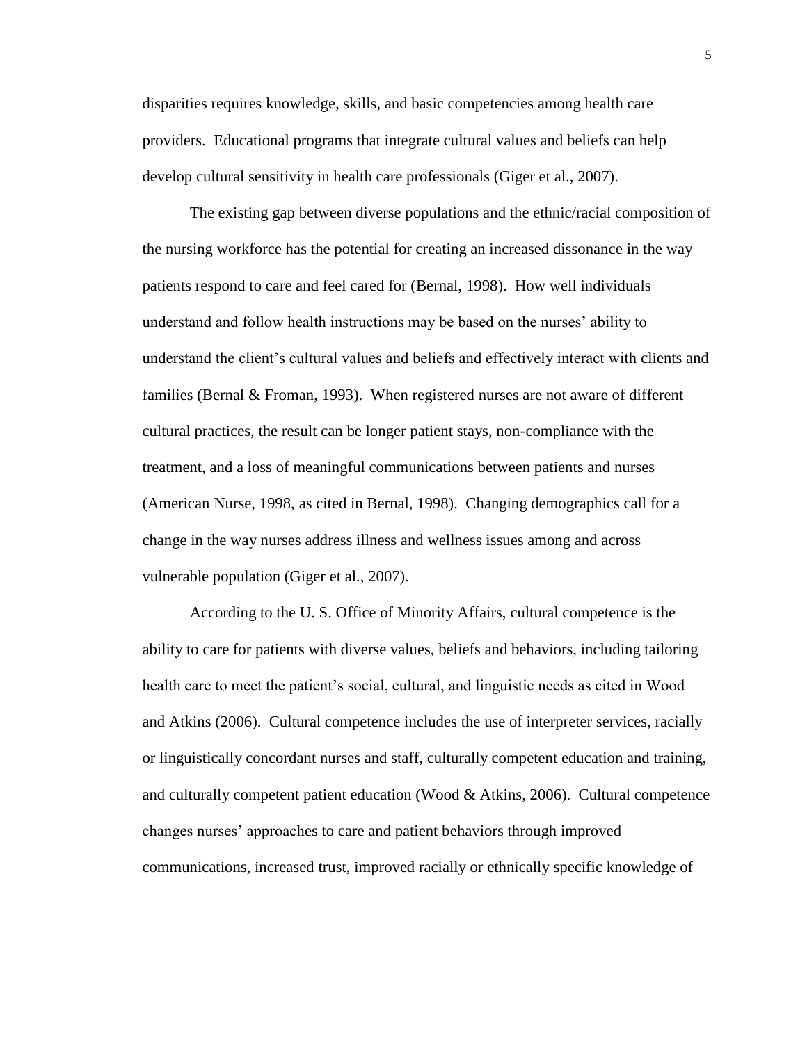disparities requires knowledge, skills, and basic competencies among health care providers. Educational programs that integrate cultural values and beliefs can help develop cultural sensitivity in health care professionals (Giger et al., 2007).

The existing gap between diverse populations and the ethnic/racial composition of the nursing workforce has the potential for creating an increased dissonance in the way patients respond to care and feel cared for (Bernal, 1998). How well individuals understand and follow health instructions may be based on the nurses' ability to understand the client's cultural values and beliefs and effectively interact with clients and families (Bernal & Froman, 1993). When registered nurses are not aware of different cultural practices, the result can be longer patient stays, non-compliance with the treatment, and a loss of meaningful communications between patients and nurses (American Nurse, 1998, as cited in Bernal, 1998). Changing demographics call for a change in the way nurses address illness and wellness issues among and across vulnerable population (Giger et al., 2007).

According to the U. S. Office of Minority Affairs, cultural competence is the ability to care for patients with diverse values, beliefs and behaviors, including tailoring health care to meet the patient's social, cultural, and linguistic needs as cited in Wood and Atkins (2006). Cultural competence includes the use of interpreter services, racially or linguistically concordant nurses and staff, culturally competent education and training, and culturally competent patient education (Wood & Atkins, 2006). Cultural competence changes nurses' approaches to care and patient behaviors through improved communications, increased trust, improved racially or ethnically specific knowledge of

5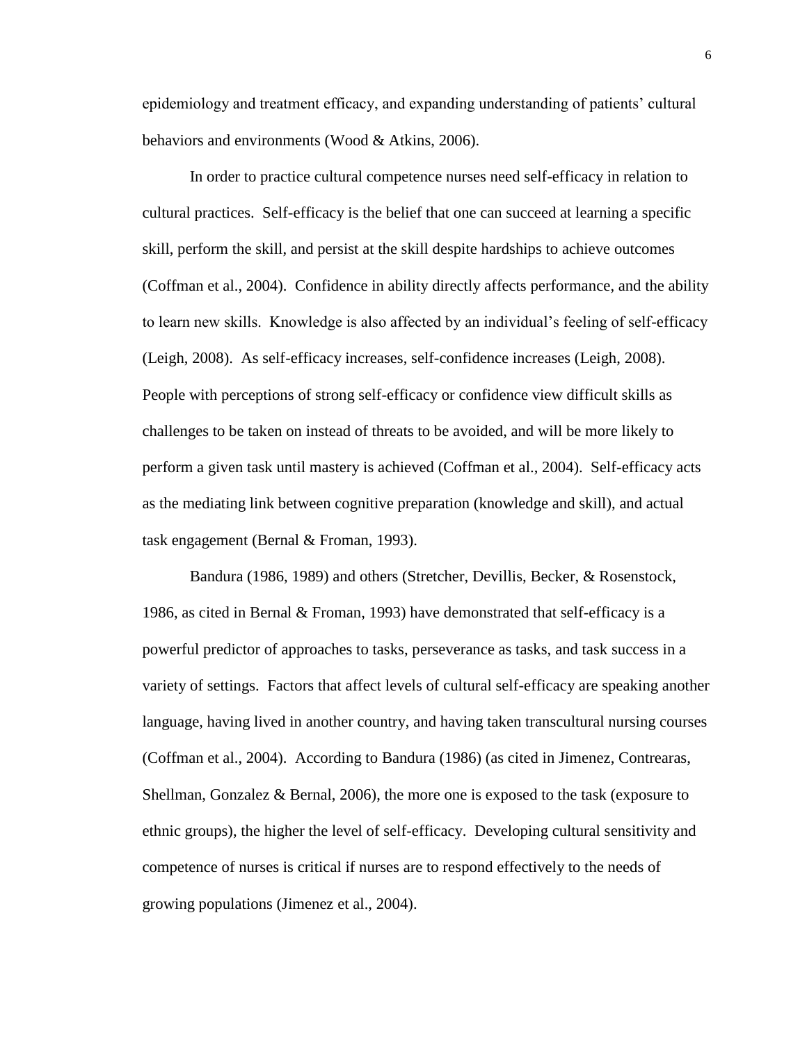epidemiology and treatment efficacy, and expanding understanding of patients' cultural behaviors and environments (Wood & Atkins, 2006).

In order to practice cultural competence nurses need self-efficacy in relation to cultural practices. Self-efficacy is the belief that one can succeed at learning a specific skill, perform the skill, and persist at the skill despite hardships to achieve outcomes (Coffman et al., 2004). Confidence in ability directly affects performance, and the ability to learn new skills. Knowledge is also affected by an individual's feeling of self-efficacy (Leigh, 2008). As self-efficacy increases, self-confidence increases (Leigh, 2008). People with perceptions of strong self-efficacy or confidence view difficult skills as challenges to be taken on instead of threats to be avoided, and will be more likely to perform a given task until mastery is achieved (Coffman et al., 2004). Self-efficacy acts as the mediating link between cognitive preparation (knowledge and skill), and actual task engagement (Bernal & Froman, 1993).

Bandura (1986, 1989) and others (Stretcher, Devillis, Becker, & Rosenstock, 1986, as cited in Bernal & Froman, 1993) have demonstrated that self-efficacy is a powerful predictor of approaches to tasks, perseverance as tasks, and task success in a variety of settings. Factors that affect levels of cultural self-efficacy are speaking another language, having lived in another country, and having taken transcultural nursing courses (Coffman et al., 2004). According to Bandura (1986) (as cited in Jimenez, Contrearas, Shellman, Gonzalez & Bernal, 2006), the more one is exposed to the task (exposure to ethnic groups), the higher the level of self-efficacy. Developing cultural sensitivity and competence of nurses is critical if nurses are to respond effectively to the needs of growing populations (Jimenez et al., 2004).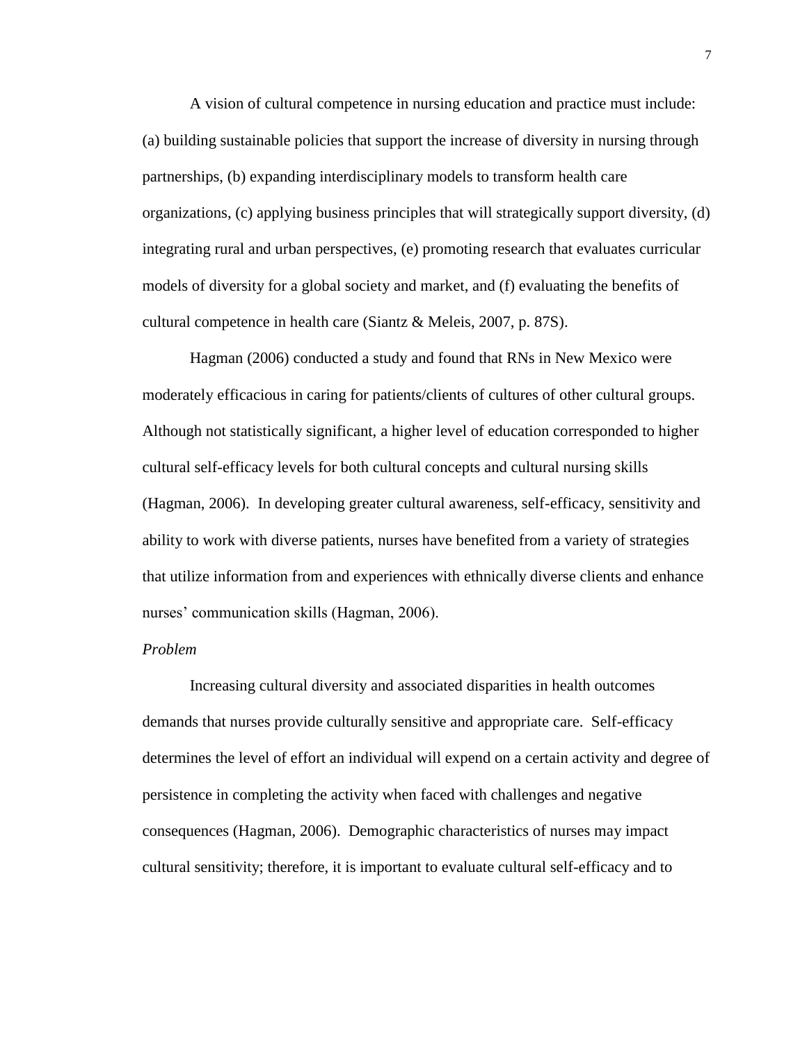A vision of cultural competence in nursing education and practice must include: (a) building sustainable policies that support the increase of diversity in nursing through partnerships, (b) expanding interdisciplinary models to transform health care organizations, (c) applying business principles that will strategically support diversity, (d) integrating rural and urban perspectives, (e) promoting research that evaluates curricular models of diversity for a global society and market, and (f) evaluating the benefits of cultural competence in health care (Siantz & Meleis, 2007, p. 87S).

Hagman (2006) conducted a study and found that RNs in New Mexico were moderately efficacious in caring for patients/clients of cultures of other cultural groups. Although not statistically significant, a higher level of education corresponded to higher cultural self-efficacy levels for both cultural concepts and cultural nursing skills (Hagman, 2006). In developing greater cultural awareness, self-efficacy, sensitivity and ability to work with diverse patients, nurses have benefited from a variety of strategies that utilize information from and experiences with ethnically diverse clients and enhance nurses' communication skills (Hagman, 2006).

#### *Problem*

Increasing cultural diversity and associated disparities in health outcomes demands that nurses provide culturally sensitive and appropriate care. Self-efficacy determines the level of effort an individual will expend on a certain activity and degree of persistence in completing the activity when faced with challenges and negative consequences (Hagman, 2006). Demographic characteristics of nurses may impact cultural sensitivity; therefore, it is important to evaluate cultural self-efficacy and to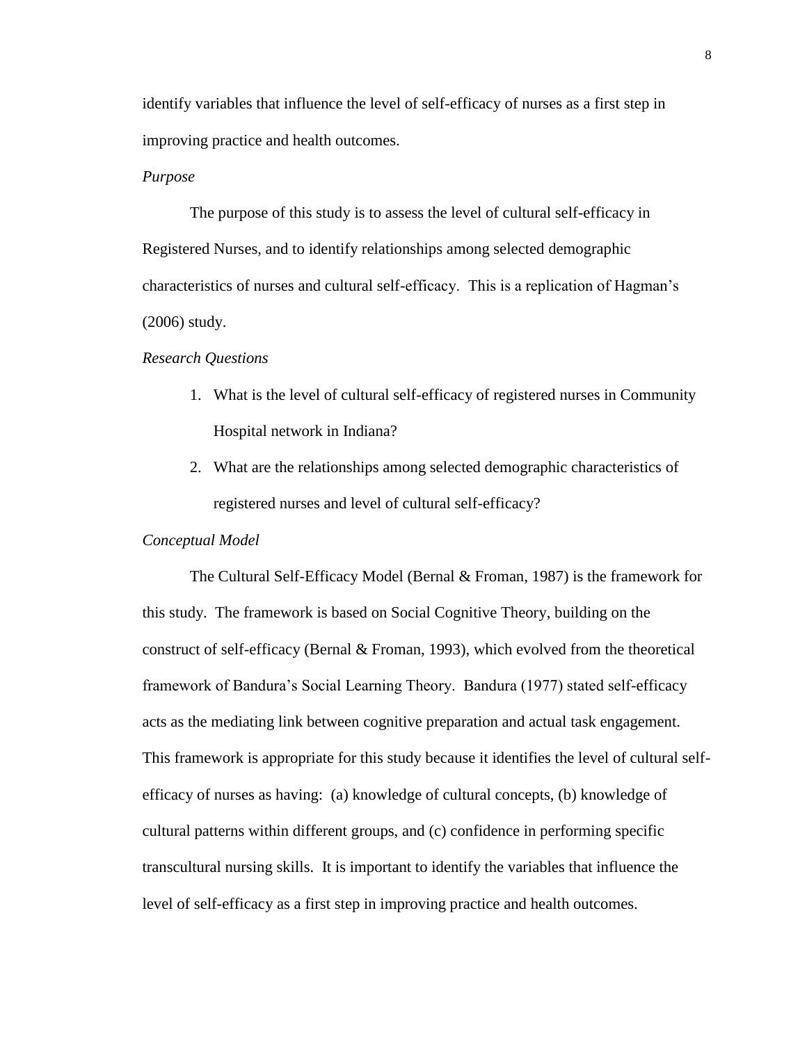identify variables that influence the level of self-efficacy of nurses as a first step in improving practice and health outcomes.

#### *Purpose*

The purpose of this study is to assess the level of cultural self-efficacy in Registered Nurses, and to identify relationships among selected demographic characteristics of nurses and cultural self-efficacy. This is a replication of Hagman's (2006) study.

#### *Research Questions*

- 1. What is the level of cultural self-efficacy of registered nurses in Community Hospital network in Indiana?
- 2. What are the relationships among selected demographic characteristics of registered nurses and level of cultural self-efficacy?

## *Conceptual Model*

The Cultural Self-Efficacy Model (Bernal & Froman, 1987) is the framework for this study. The framework is based on Social Cognitive Theory, building on the construct of self-efficacy (Bernal & Froman, 1993), which evolved from the theoretical framework of Bandura's Social Learning Theory. Bandura (1977) stated self-efficacy acts as the mediating link between cognitive preparation and actual task engagement. This framework is appropriate for this study because it identifies the level of cultural selfefficacy of nurses as having: (a) knowledge of cultural concepts, (b) knowledge of cultural patterns within different groups, and (c) confidence in performing specific transcultural nursing skills. It is important to identify the variables that influence the level of self-efficacy as a first step in improving practice and health outcomes.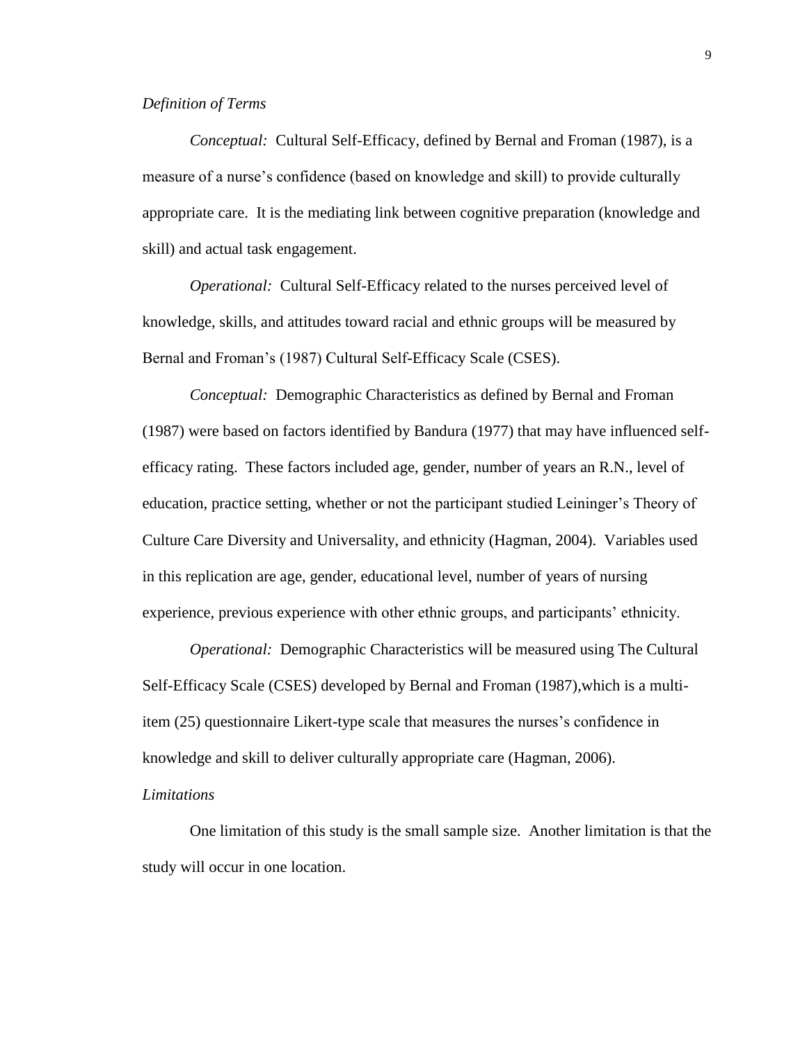## *Definition of Terms*

*Conceptual:* Cultural Self-Efficacy, defined by Bernal and Froman (1987), is a measure of a nurse's confidence (based on knowledge and skill) to provide culturally appropriate care. It is the mediating link between cognitive preparation (knowledge and skill) and actual task engagement.

*Operational:* Cultural Self-Efficacy related to the nurses perceived level of knowledge, skills, and attitudes toward racial and ethnic groups will be measured by Bernal and Froman's (1987) Cultural Self-Efficacy Scale (CSES).

*Conceptual:* Demographic Characteristics as defined by Bernal and Froman (1987) were based on factors identified by Bandura (1977) that may have influenced selfefficacy rating. These factors included age, gender, number of years an R.N., level of education, practice setting, whether or not the participant studied Leininger's Theory of Culture Care Diversity and Universality, and ethnicity (Hagman, 2004). Variables used in this replication are age, gender, educational level, number of years of nursing experience, previous experience with other ethnic groups, and participants' ethnicity.

*Operational:* Demographic Characteristics will be measured using The Cultural Self-Efficacy Scale (CSES) developed by Bernal and Froman (1987),which is a multiitem (25) questionnaire Likert-type scale that measures the nurses's confidence in knowledge and skill to deliver culturally appropriate care (Hagman, 2006).

#### *Limitations*

One limitation of this study is the small sample size. Another limitation is that the study will occur in one location.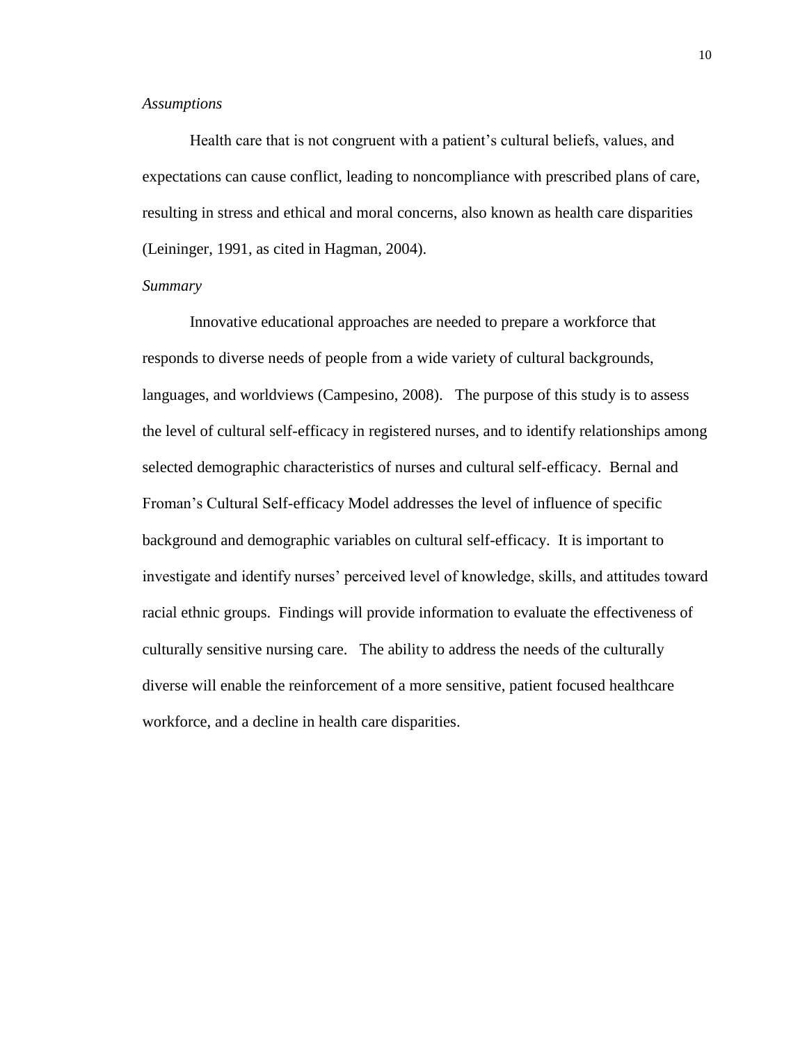## *Assumptions*

Health care that is not congruent with a patient's cultural beliefs, values, and expectations can cause conflict, leading to noncompliance with prescribed plans of care, resulting in stress and ethical and moral concerns, also known as health care disparities (Leininger, 1991, as cited in Hagman, 2004).

## *Summary*

Innovative educational approaches are needed to prepare a workforce that responds to diverse needs of people from a wide variety of cultural backgrounds, languages, and worldviews (Campesino, 2008). The purpose of this study is to assess the level of cultural self-efficacy in registered nurses, and to identify relationships among selected demographic characteristics of nurses and cultural self-efficacy. Bernal and Froman's Cultural Self-efficacy Model addresses the level of influence of specific background and demographic variables on cultural self-efficacy. It is important to investigate and identify nurses' perceived level of knowledge, skills, and attitudes toward racial ethnic groups. Findings will provide information to evaluate the effectiveness of culturally sensitive nursing care. The ability to address the needs of the culturally diverse will enable the reinforcement of a more sensitive, patient focused healthcare workforce, and a decline in health care disparities.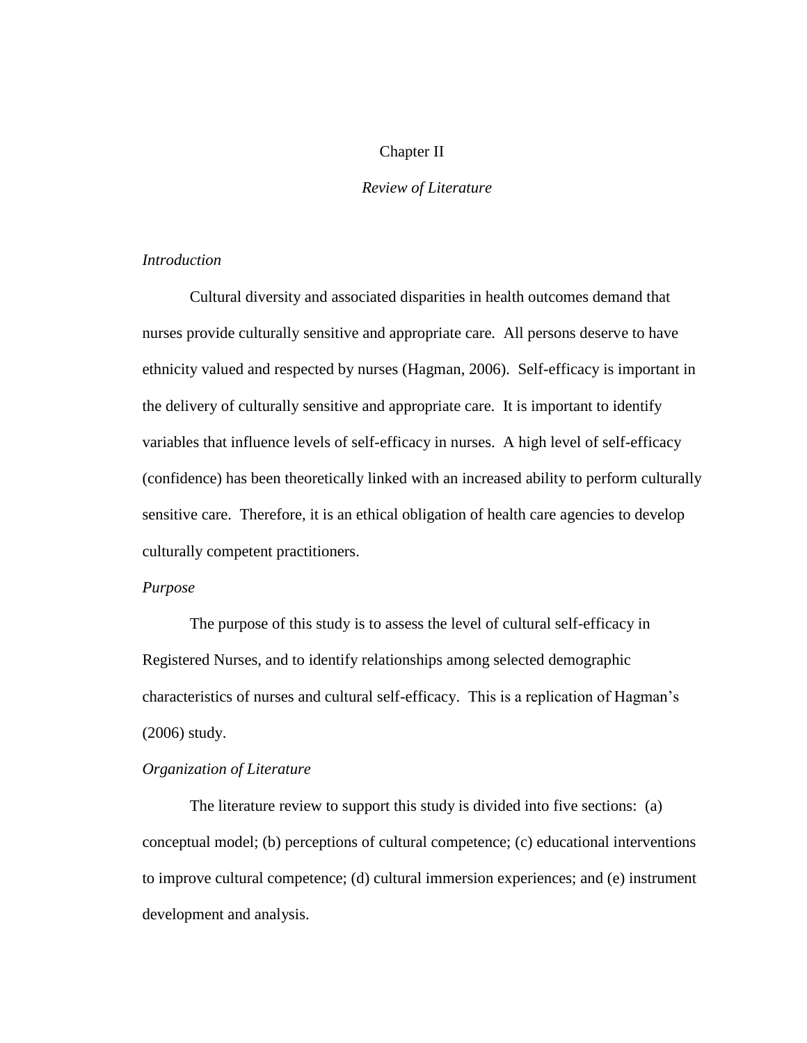## Chapter II

## *Review of Literature*

## *Introduction*

Cultural diversity and associated disparities in health outcomes demand that nurses provide culturally sensitive and appropriate care. All persons deserve to have ethnicity valued and respected by nurses (Hagman, 2006). Self-efficacy is important in the delivery of culturally sensitive and appropriate care. It is important to identify variables that influence levels of self-efficacy in nurses. A high level of self-efficacy (confidence) has been theoretically linked with an increased ability to perform culturally sensitive care. Therefore, it is an ethical obligation of health care agencies to develop culturally competent practitioners.

## *Purpose*

The purpose of this study is to assess the level of cultural self-efficacy in Registered Nurses, and to identify relationships among selected demographic characteristics of nurses and cultural self-efficacy. This is a replication of Hagman's (2006) study.

## *Organization of Literature*

The literature review to support this study is divided into five sections: (a) conceptual model; (b) perceptions of cultural competence; (c) educational interventions to improve cultural competence; (d) cultural immersion experiences; and (e) instrument development and analysis.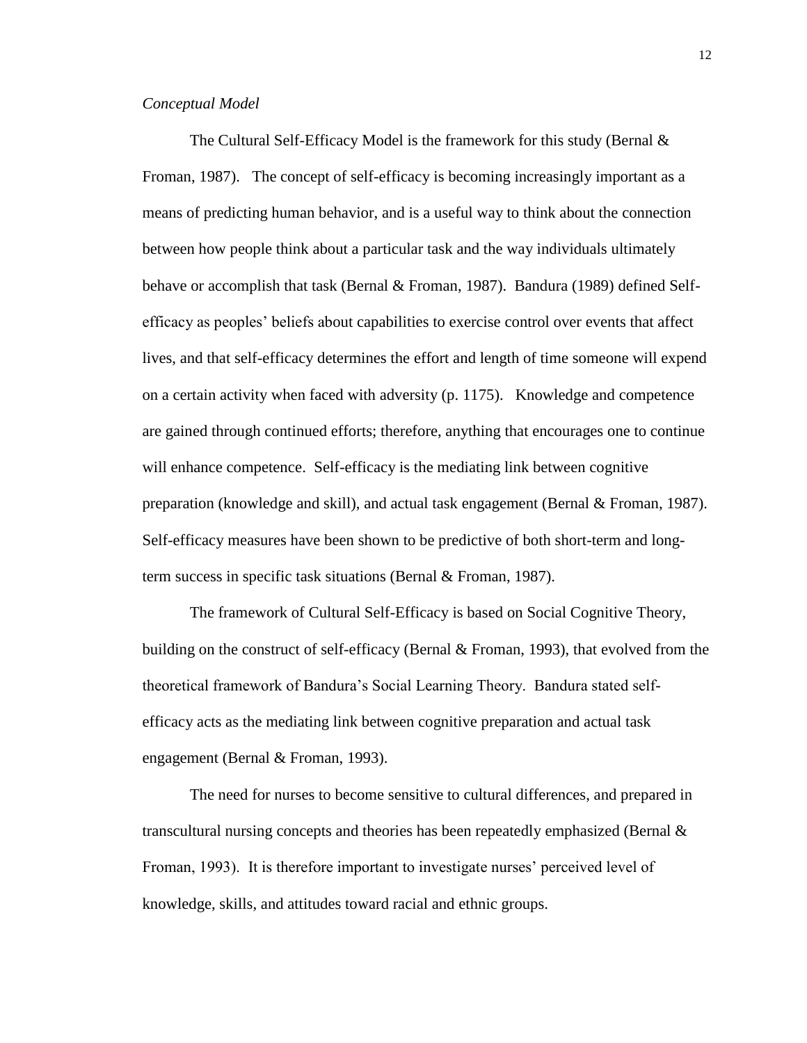## *Conceptual Model*

The Cultural Self-Efficacy Model is the framework for this study (Bernal & Froman, 1987). The concept of self-efficacy is becoming increasingly important as a means of predicting human behavior, and is a useful way to think about the connection between how people think about a particular task and the way individuals ultimately behave or accomplish that task (Bernal & Froman, 1987). Bandura (1989) defined Selfefficacy as peoples' beliefs about capabilities to exercise control over events that affect lives, and that self-efficacy determines the effort and length of time someone will expend on a certain activity when faced with adversity (p. 1175). Knowledge and competence are gained through continued efforts; therefore, anything that encourages one to continue will enhance competence. Self-efficacy is the mediating link between cognitive preparation (knowledge and skill), and actual task engagement (Bernal & Froman, 1987). Self-efficacy measures have been shown to be predictive of both short-term and longterm success in specific task situations (Bernal & Froman, 1987).

The framework of Cultural Self-Efficacy is based on Social Cognitive Theory, building on the construct of self-efficacy (Bernal & Froman, 1993), that evolved from the theoretical framework of Bandura's Social Learning Theory. Bandura stated selfefficacy acts as the mediating link between cognitive preparation and actual task engagement (Bernal & Froman, 1993).

The need for nurses to become sensitive to cultural differences, and prepared in transcultural nursing concepts and theories has been repeatedly emphasized (Bernal & Froman, 1993). It is therefore important to investigate nurses' perceived level of knowledge, skills, and attitudes toward racial and ethnic groups.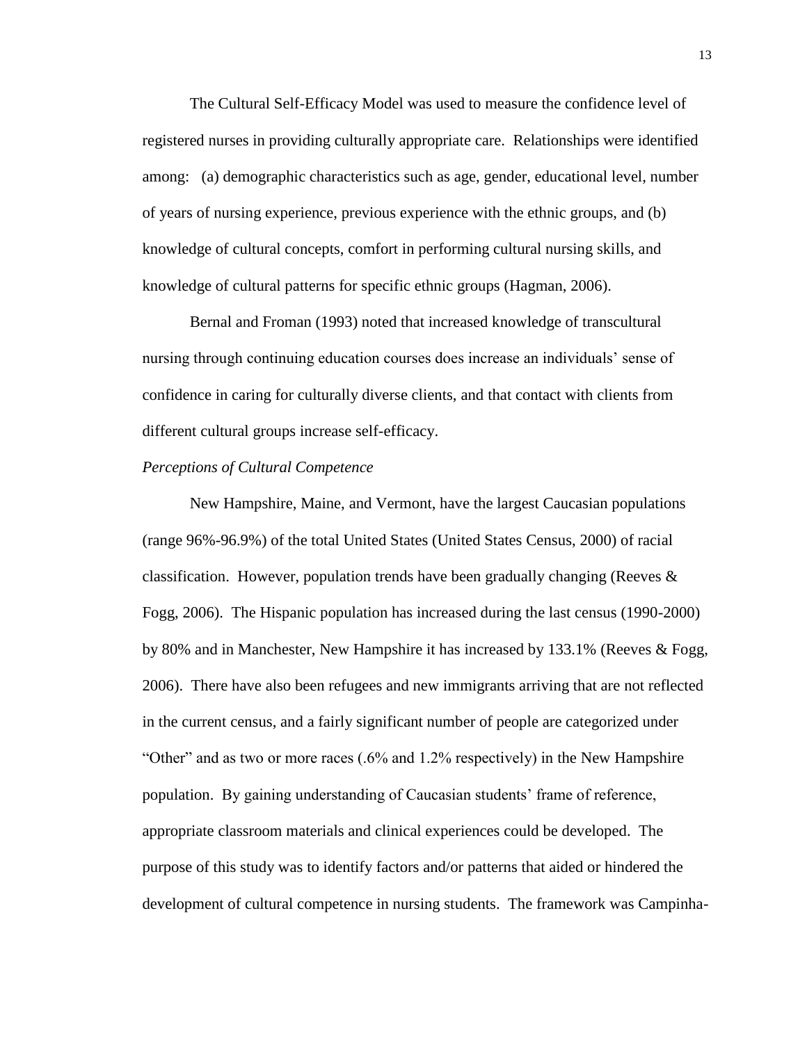The Cultural Self-Efficacy Model was used to measure the confidence level of registered nurses in providing culturally appropriate care. Relationships were identified among: (a) demographic characteristics such as age, gender, educational level, number of years of nursing experience, previous experience with the ethnic groups, and (b) knowledge of cultural concepts, comfort in performing cultural nursing skills, and knowledge of cultural patterns for specific ethnic groups (Hagman, 2006).

Bernal and Froman (1993) noted that increased knowledge of transcultural nursing through continuing education courses does increase an individuals' sense of confidence in caring for culturally diverse clients, and that contact with clients from different cultural groups increase self-efficacy.

#### *Perceptions of Cultural Competence*

New Hampshire, Maine, and Vermont, have the largest Caucasian populations (range 96%-96.9%) of the total United States (United States Census, 2000) of racial classification. However, population trends have been gradually changing (Reeves  $\&$ Fogg, 2006). The Hispanic population has increased during the last census (1990-2000) by 80% and in Manchester, New Hampshire it has increased by 133.1% (Reeves & Fogg, 2006). There have also been refugees and new immigrants arriving that are not reflected in the current census, and a fairly significant number of people are categorized under "Other" and as two or more races (.6% and 1.2% respectively) in the New Hampshire population. By gaining understanding of Caucasian students' frame of reference, appropriate classroom materials and clinical experiences could be developed. The purpose of this study was to identify factors and/or patterns that aided or hindered the development of cultural competence in nursing students. The framework was Campinha-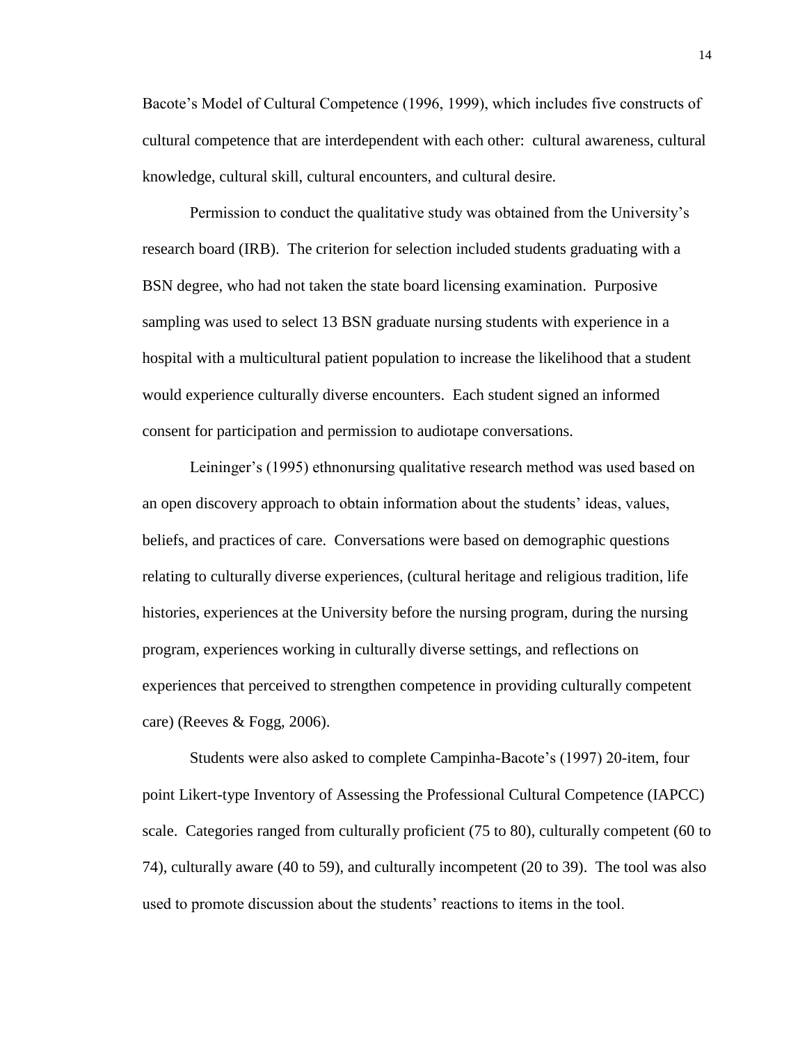Bacote's Model of Cultural Competence (1996, 1999), which includes five constructs of cultural competence that are interdependent with each other: cultural awareness, cultural knowledge, cultural skill, cultural encounters, and cultural desire.

Permission to conduct the qualitative study was obtained from the University's research board (IRB). The criterion for selection included students graduating with a BSN degree, who had not taken the state board licensing examination. Purposive sampling was used to select 13 BSN graduate nursing students with experience in a hospital with a multicultural patient population to increase the likelihood that a student would experience culturally diverse encounters. Each student signed an informed consent for participation and permission to audiotape conversations.

Leininger's (1995) ethnonursing qualitative research method was used based on an open discovery approach to obtain information about the students' ideas, values, beliefs, and practices of care. Conversations were based on demographic questions relating to culturally diverse experiences, (cultural heritage and religious tradition, life histories, experiences at the University before the nursing program, during the nursing program, experiences working in culturally diverse settings, and reflections on experiences that perceived to strengthen competence in providing culturally competent care) (Reeves & Fogg, 2006).

Students were also asked to complete Campinha-Bacote's (1997) 20-item, four point Likert-type Inventory of Assessing the Professional Cultural Competence (IAPCC) scale. Categories ranged from culturally proficient (75 to 80), culturally competent (60 to 74), culturally aware (40 to 59), and culturally incompetent (20 to 39). The tool was also used to promote discussion about the students' reactions to items in the tool.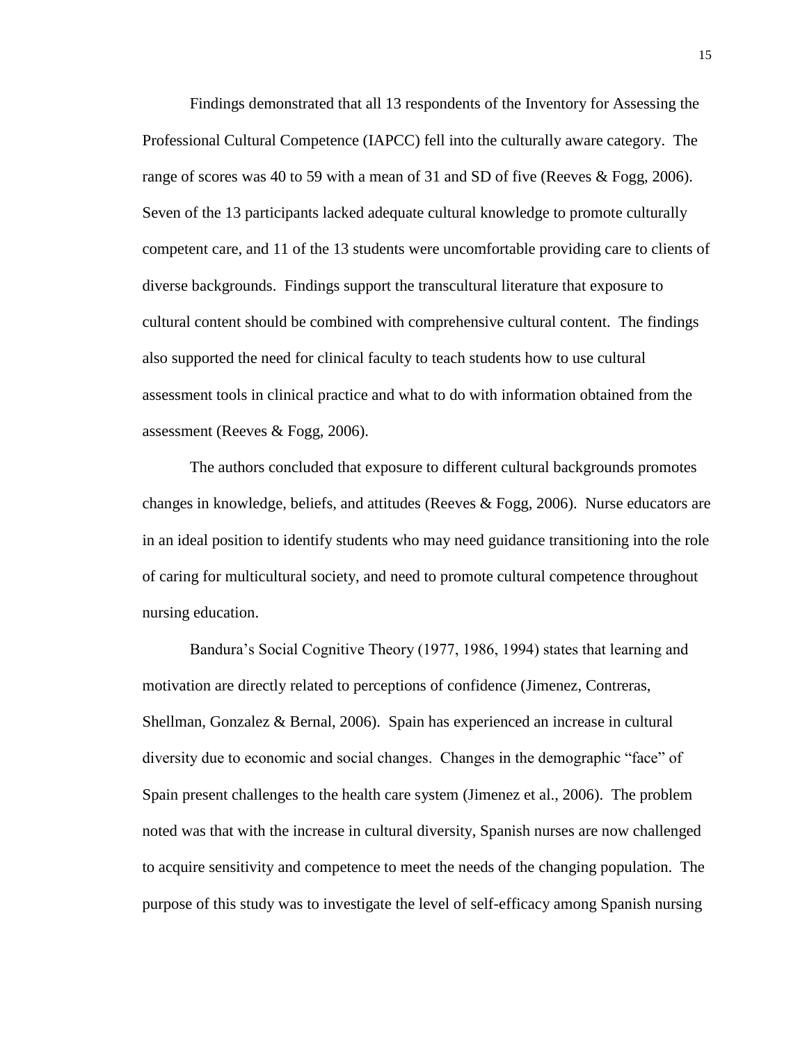Findings demonstrated that all 13 respondents of the Inventory for Assessing the Professional Cultural Competence (IAPCC) fell into the culturally aware category. The range of scores was 40 to 59 with a mean of 31 and SD of five (Reeves & Fogg, 2006). Seven of the 13 participants lacked adequate cultural knowledge to promote culturally competent care, and 11 of the 13 students were uncomfortable providing care to clients of diverse backgrounds. Findings support the transcultural literature that exposure to cultural content should be combined with comprehensive cultural content. The findings also supported the need for clinical faculty to teach students how to use cultural assessment tools in clinical practice and what to do with information obtained from the assessment (Reeves & Fogg, 2006).

The authors concluded that exposure to different cultural backgrounds promotes changes in knowledge, beliefs, and attitudes (Reeves  $\&$  Fogg, 2006). Nurse educators are in an ideal position to identify students who may need guidance transitioning into the role of caring for multicultural society, and need to promote cultural competence throughout nursing education.

Bandura's Social Cognitive Theory (1977, 1986, 1994) states that learning and motivation are directly related to perceptions of confidence (Jimenez, Contreras, Shellman, Gonzalez & Bernal, 2006). Spain has experienced an increase in cultural diversity due to economic and social changes. Changes in the demographic "face" of Spain present challenges to the health care system (Jimenez et al., 2006). The problem noted was that with the increase in cultural diversity, Spanish nurses are now challenged to acquire sensitivity and competence to meet the needs of the changing population. The purpose of this study was to investigate the level of self-efficacy among Spanish nursing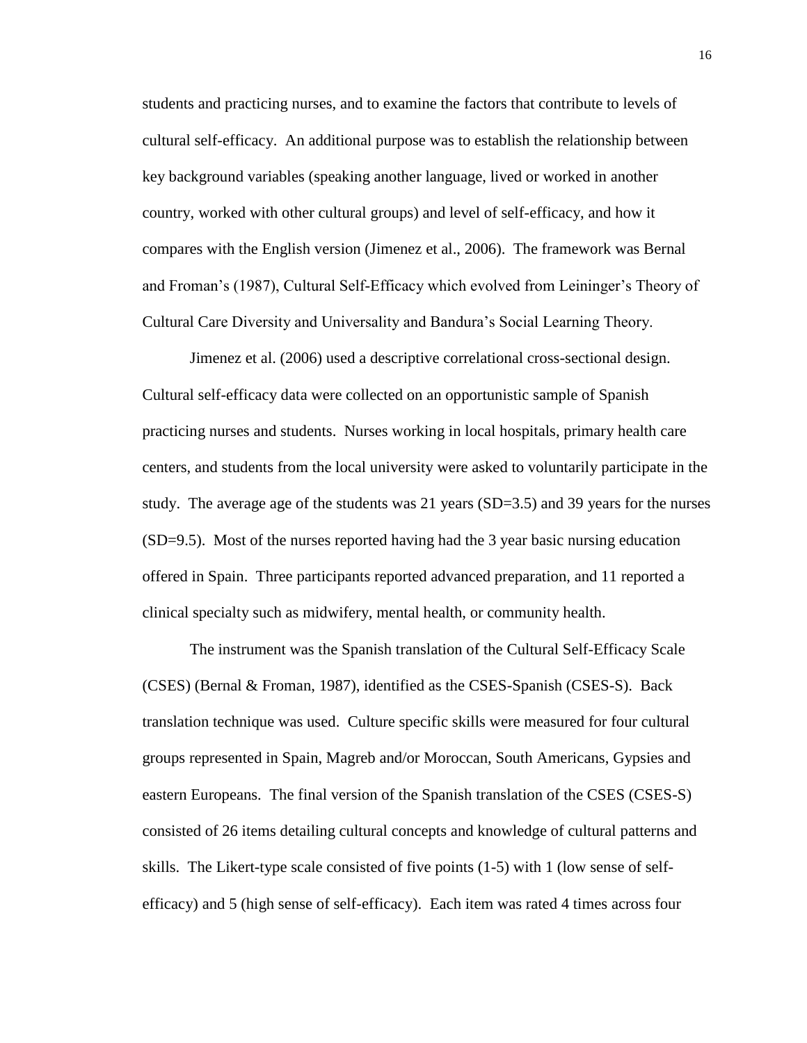students and practicing nurses, and to examine the factors that contribute to levels of cultural self-efficacy. An additional purpose was to establish the relationship between key background variables (speaking another language, lived or worked in another country, worked with other cultural groups) and level of self-efficacy, and how it compares with the English version (Jimenez et al., 2006). The framework was Bernal and Froman's (1987), Cultural Self-Efficacy which evolved from Leininger's Theory of Cultural Care Diversity and Universality and Bandura's Social Learning Theory.

Jimenez et al. (2006) used a descriptive correlational cross-sectional design. Cultural self-efficacy data were collected on an opportunistic sample of Spanish practicing nurses and students. Nurses working in local hospitals, primary health care centers, and students from the local university were asked to voluntarily participate in the study. The average age of the students was 21 years (SD=3.5) and 39 years for the nurses (SD=9.5). Most of the nurses reported having had the 3 year basic nursing education offered in Spain. Three participants reported advanced preparation, and 11 reported a clinical specialty such as midwifery, mental health, or community health.

The instrument was the Spanish translation of the Cultural Self-Efficacy Scale (CSES) (Bernal & Froman, 1987), identified as the CSES-Spanish (CSES-S). Back translation technique was used. Culture specific skills were measured for four cultural groups represented in Spain, Magreb and/or Moroccan, South Americans, Gypsies and eastern Europeans. The final version of the Spanish translation of the CSES (CSES-S) consisted of 26 items detailing cultural concepts and knowledge of cultural patterns and skills. The Likert-type scale consisted of five points (1-5) with 1 (low sense of selfefficacy) and 5 (high sense of self-efficacy). Each item was rated 4 times across four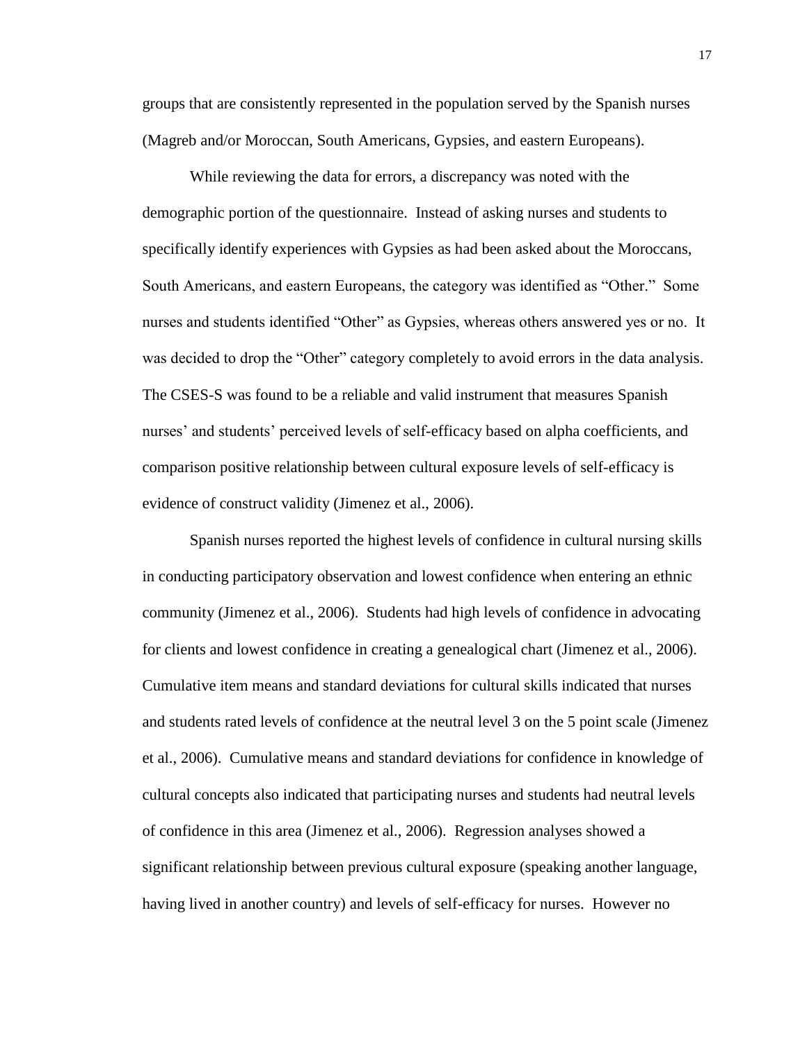groups that are consistently represented in the population served by the Spanish nurses (Magreb and/or Moroccan, South Americans, Gypsies, and eastern Europeans).

While reviewing the data for errors, a discrepancy was noted with the demographic portion of the questionnaire. Instead of asking nurses and students to specifically identify experiences with Gypsies as had been asked about the Moroccans, South Americans, and eastern Europeans, the category was identified as "Other." Some nurses and students identified "Other" as Gypsies, whereas others answered yes or no. It was decided to drop the "Other" category completely to avoid errors in the data analysis. The CSES-S was found to be a reliable and valid instrument that measures Spanish nurses' and students' perceived levels of self-efficacy based on alpha coefficients, and comparison positive relationship between cultural exposure levels of self-efficacy is evidence of construct validity (Jimenez et al., 2006).

Spanish nurses reported the highest levels of confidence in cultural nursing skills in conducting participatory observation and lowest confidence when entering an ethnic community (Jimenez et al., 2006). Students had high levels of confidence in advocating for clients and lowest confidence in creating a genealogical chart (Jimenez et al., 2006). Cumulative item means and standard deviations for cultural skills indicated that nurses and students rated levels of confidence at the neutral level 3 on the 5 point scale (Jimenez et al., 2006). Cumulative means and standard deviations for confidence in knowledge of cultural concepts also indicated that participating nurses and students had neutral levels of confidence in this area (Jimenez et al., 2006). Regression analyses showed a significant relationship between previous cultural exposure (speaking another language, having lived in another country) and levels of self-efficacy for nurses. However no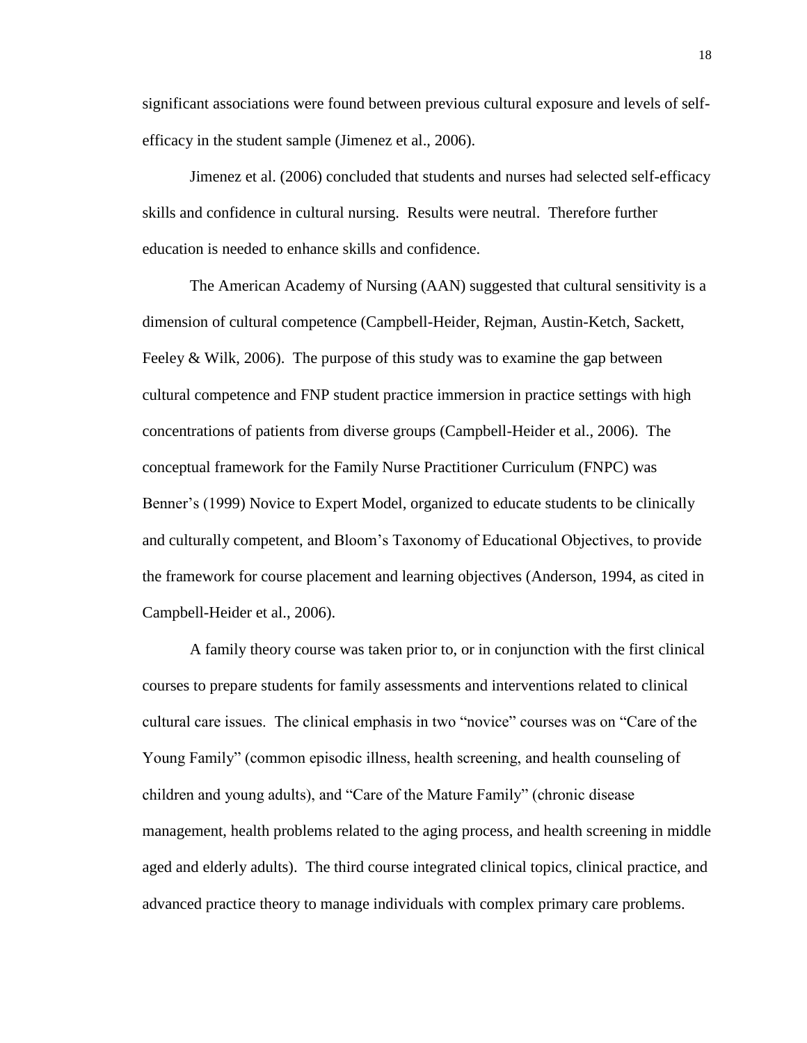significant associations were found between previous cultural exposure and levels of selfefficacy in the student sample (Jimenez et al., 2006).

Jimenez et al. (2006) concluded that students and nurses had selected self-efficacy skills and confidence in cultural nursing. Results were neutral. Therefore further education is needed to enhance skills and confidence.

The American Academy of Nursing (AAN) suggested that cultural sensitivity is a dimension of cultural competence (Campbell-Heider, Rejman, Austin-Ketch, Sackett, Feeley & Wilk, 2006). The purpose of this study was to examine the gap between cultural competence and FNP student practice immersion in practice settings with high concentrations of patients from diverse groups (Campbell-Heider et al., 2006). The conceptual framework for the Family Nurse Practitioner Curriculum (FNPC) was Benner's (1999) Novice to Expert Model, organized to educate students to be clinically and culturally competent, and Bloom's Taxonomy of Educational Objectives, to provide the framework for course placement and learning objectives (Anderson, 1994, as cited in Campbell-Heider et al., 2006).

A family theory course was taken prior to, or in conjunction with the first clinical courses to prepare students for family assessments and interventions related to clinical cultural care issues. The clinical emphasis in two "novice" courses was on "Care of the Young Family" (common episodic illness, health screening, and health counseling of children and young adults), and "Care of the Mature Family" (chronic disease management, health problems related to the aging process, and health screening in middle aged and elderly adults). The third course integrated clinical topics, clinical practice, and advanced practice theory to manage individuals with complex primary care problems.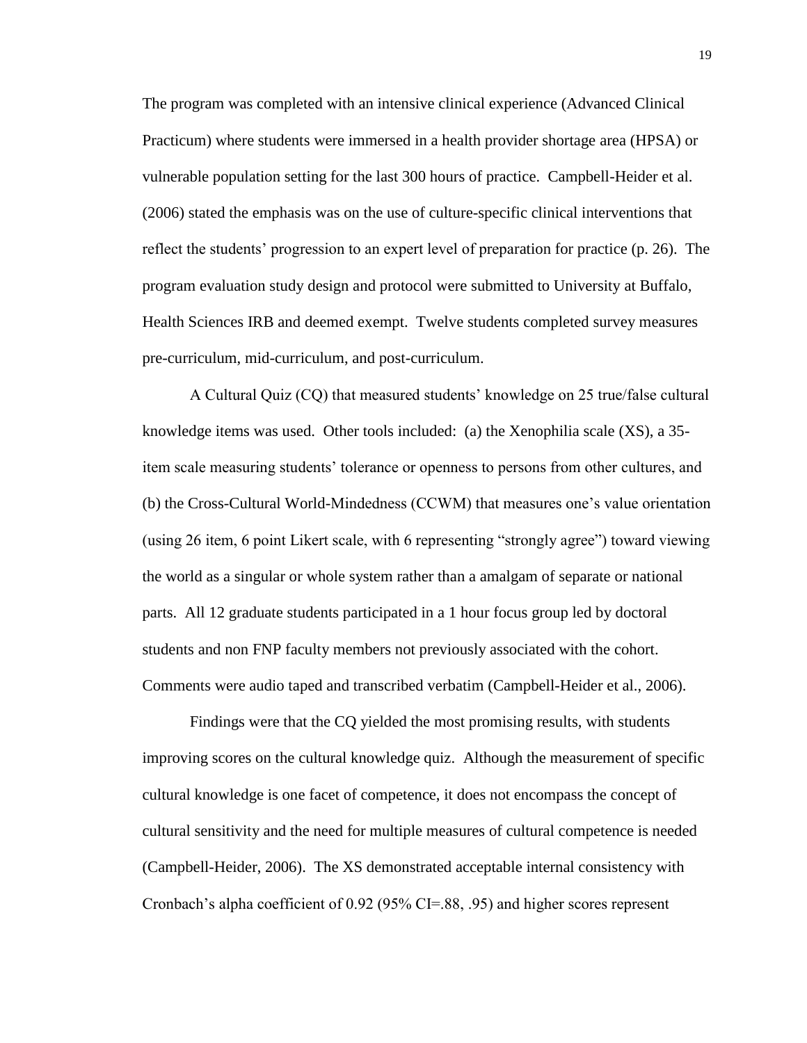The program was completed with an intensive clinical experience (Advanced Clinical Practicum) where students were immersed in a health provider shortage area (HPSA) or vulnerable population setting for the last 300 hours of practice. Campbell-Heider et al. (2006) stated the emphasis was on the use of culture-specific clinical interventions that reflect the students' progression to an expert level of preparation for practice (p. 26). The program evaluation study design and protocol were submitted to University at Buffalo, Health Sciences IRB and deemed exempt. Twelve students completed survey measures pre-curriculum, mid-curriculum, and post-curriculum.

A Cultural Quiz (CQ) that measured students' knowledge on 25 true/false cultural knowledge items was used. Other tools included: (a) the Xenophilia scale (XS), a 35 item scale measuring students' tolerance or openness to persons from other cultures, and (b) the Cross-Cultural World-Mindedness (CCWM) that measures one's value orientation (using 26 item, 6 point Likert scale, with 6 representing "strongly agree") toward viewing the world as a singular or whole system rather than a amalgam of separate or national parts. All 12 graduate students participated in a 1 hour focus group led by doctoral students and non FNP faculty members not previously associated with the cohort. Comments were audio taped and transcribed verbatim (Campbell-Heider et al., 2006).

Findings were that the CQ yielded the most promising results, with students improving scores on the cultural knowledge quiz. Although the measurement of specific cultural knowledge is one facet of competence, it does not encompass the concept of cultural sensitivity and the need for multiple measures of cultural competence is needed (Campbell-Heider, 2006). The XS demonstrated acceptable internal consistency with Cronbach's alpha coefficient of 0.92 (95% CI=.88, .95) and higher scores represent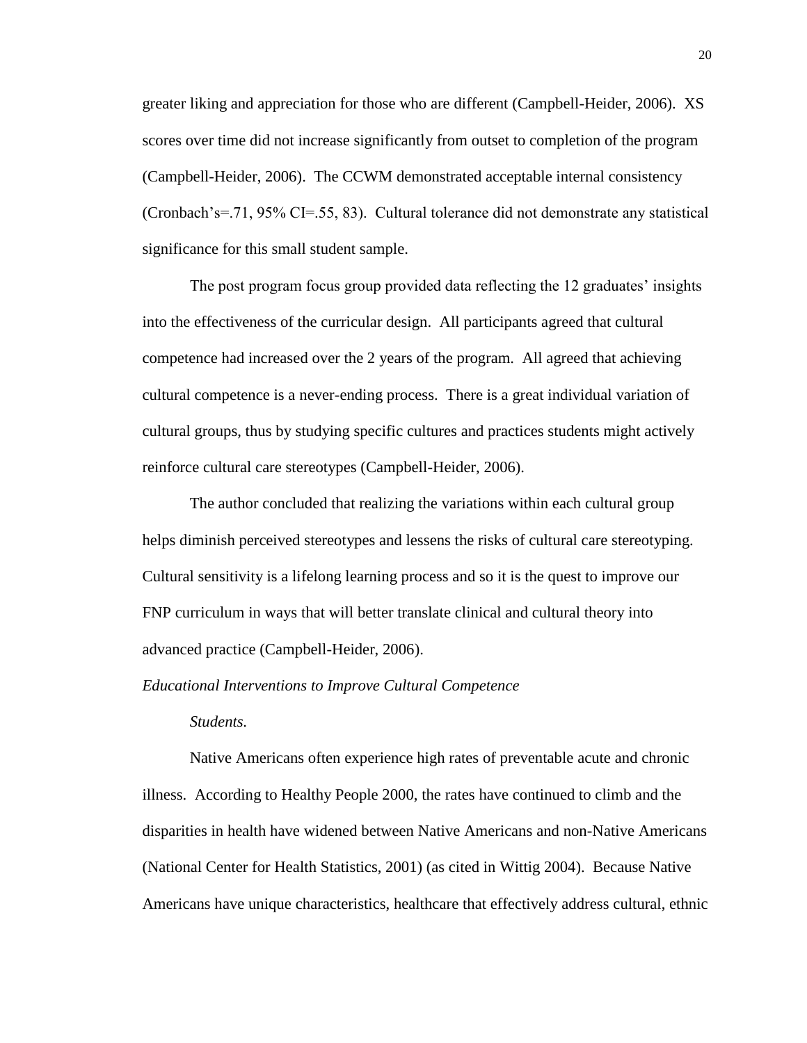greater liking and appreciation for those who are different (Campbell-Heider, 2006). XS scores over time did not increase significantly from outset to completion of the program (Campbell-Heider, 2006). The CCWM demonstrated acceptable internal consistency (Cronbach's=.71, 95% CI=.55, 83). Cultural tolerance did not demonstrate any statistical significance for this small student sample.

The post program focus group provided data reflecting the 12 graduates' insights into the effectiveness of the curricular design. All participants agreed that cultural competence had increased over the 2 years of the program. All agreed that achieving cultural competence is a never-ending process. There is a great individual variation of cultural groups, thus by studying specific cultures and practices students might actively reinforce cultural care stereotypes (Campbell-Heider, 2006).

The author concluded that realizing the variations within each cultural group helps diminish perceived stereotypes and lessens the risks of cultural care stereotyping. Cultural sensitivity is a lifelong learning process and so it is the quest to improve our FNP curriculum in ways that will better translate clinical and cultural theory into advanced practice (Campbell-Heider, 2006).

#### *Educational Interventions to Improve Cultural Competence*

## *Students.*

Native Americans often experience high rates of preventable acute and chronic illness. According to Healthy People 2000, the rates have continued to climb and the disparities in health have widened between Native Americans and non-Native Americans (National Center for Health Statistics, 2001) (as cited in Wittig 2004). Because Native Americans have unique characteristics, healthcare that effectively address cultural, ethnic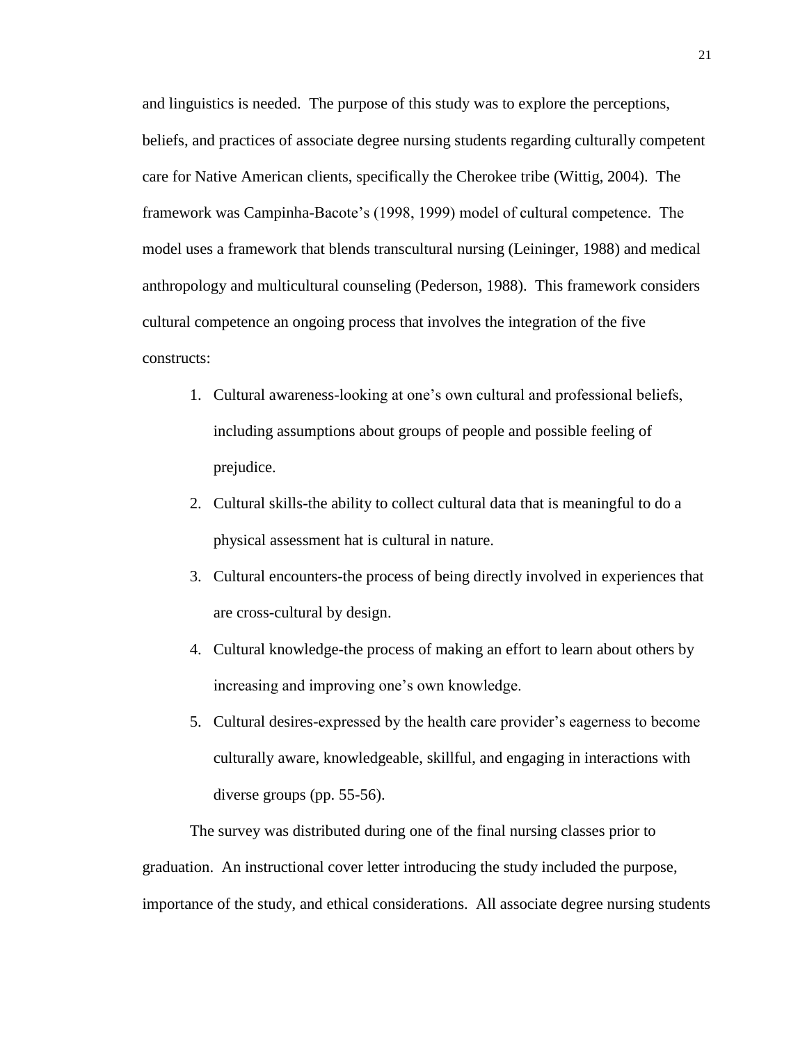and linguistics is needed. The purpose of this study was to explore the perceptions, beliefs, and practices of associate degree nursing students regarding culturally competent care for Native American clients, specifically the Cherokee tribe (Wittig, 2004). The framework was Campinha-Bacote's (1998, 1999) model of cultural competence. The model uses a framework that blends transcultural nursing (Leininger, 1988) and medical anthropology and multicultural counseling (Pederson, 1988). This framework considers cultural competence an ongoing process that involves the integration of the five constructs:

- 1. Cultural awareness-looking at one's own cultural and professional beliefs, including assumptions about groups of people and possible feeling of prejudice.
- 2. Cultural skills-the ability to collect cultural data that is meaningful to do a physical assessment hat is cultural in nature.
- 3. Cultural encounters-the process of being directly involved in experiences that are cross-cultural by design.
- 4. Cultural knowledge-the process of making an effort to learn about others by increasing and improving one's own knowledge.
- 5. Cultural desires-expressed by the health care provider's eagerness to become culturally aware, knowledgeable, skillful, and engaging in interactions with diverse groups (pp. 55-56).

The survey was distributed during one of the final nursing classes prior to graduation. An instructional cover letter introducing the study included the purpose, importance of the study, and ethical considerations. All associate degree nursing students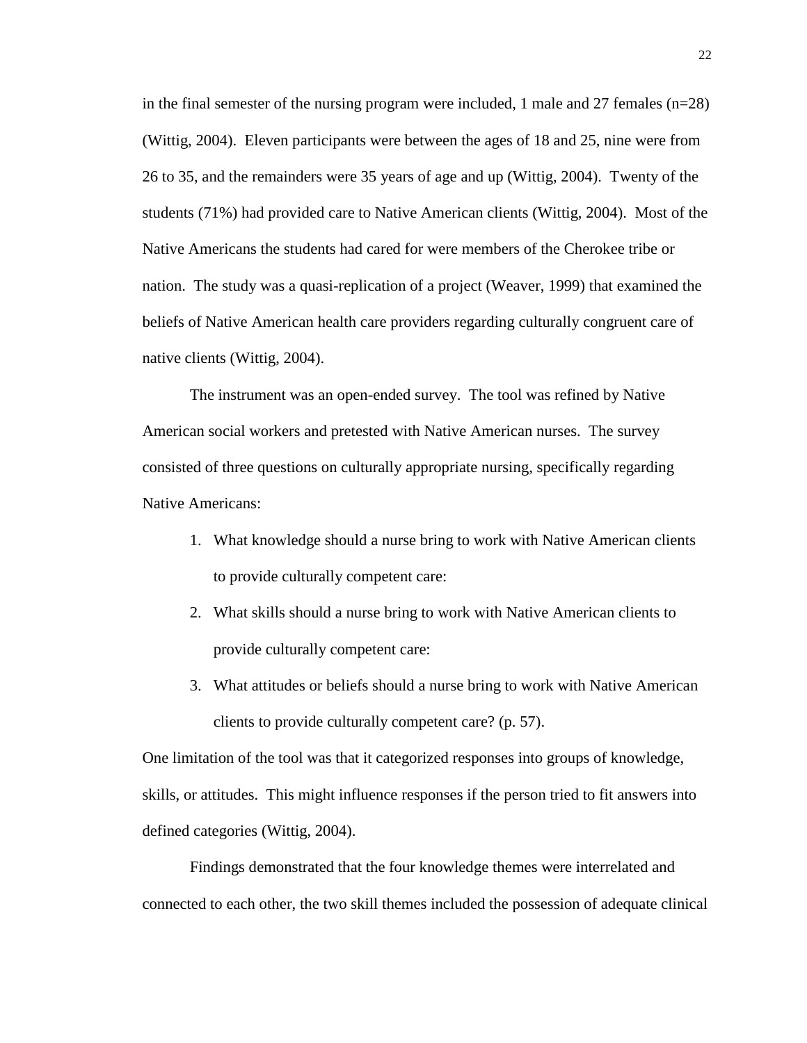in the final semester of the nursing program were included, 1 male and 27 females  $(n=28)$ (Wittig, 2004). Eleven participants were between the ages of 18 and 25, nine were from 26 to 35, and the remainders were 35 years of age and up (Wittig, 2004). Twenty of the students (71%) had provided care to Native American clients (Wittig, 2004). Most of the Native Americans the students had cared for were members of the Cherokee tribe or nation. The study was a quasi-replication of a project (Weaver, 1999) that examined the beliefs of Native American health care providers regarding culturally congruent care of native clients (Wittig, 2004).

The instrument was an open-ended survey. The tool was refined by Native American social workers and pretested with Native American nurses. The survey consisted of three questions on culturally appropriate nursing, specifically regarding Native Americans:

- 1. What knowledge should a nurse bring to work with Native American clients to provide culturally competent care:
- 2. What skills should a nurse bring to work with Native American clients to provide culturally competent care:
- 3. What attitudes or beliefs should a nurse bring to work with Native American clients to provide culturally competent care? (p. 57).

One limitation of the tool was that it categorized responses into groups of knowledge, skills, or attitudes. This might influence responses if the person tried to fit answers into defined categories (Wittig, 2004).

Findings demonstrated that the four knowledge themes were interrelated and connected to each other, the two skill themes included the possession of adequate clinical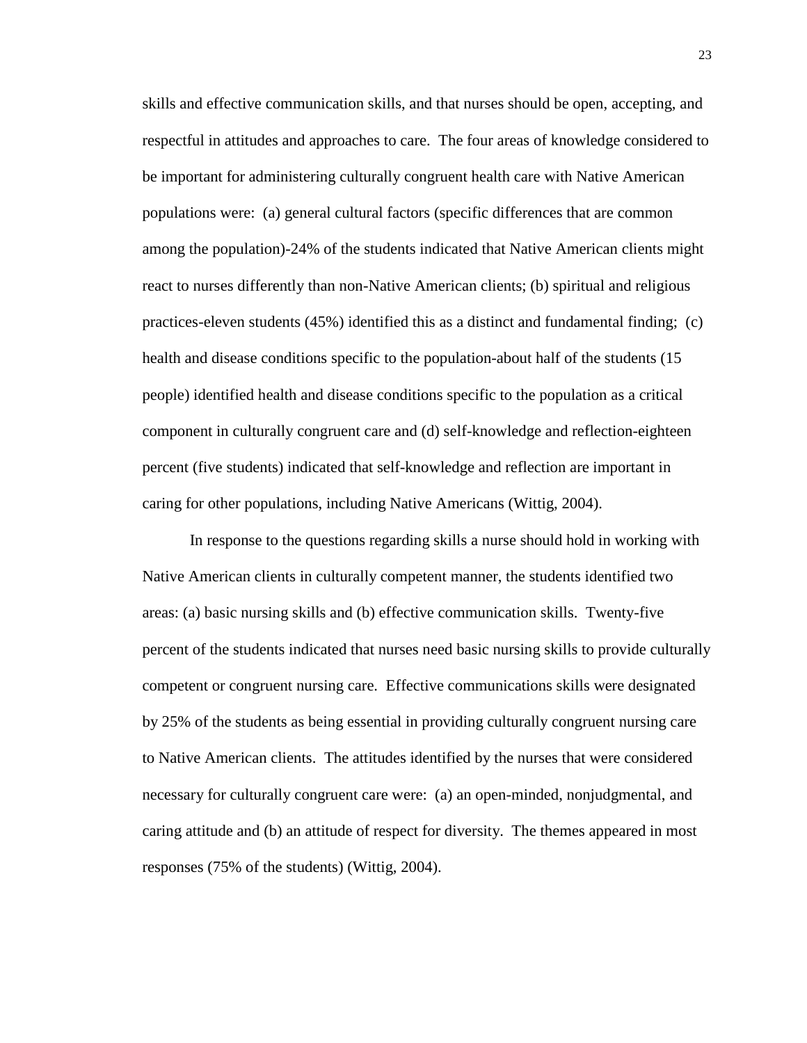skills and effective communication skills, and that nurses should be open, accepting, and respectful in attitudes and approaches to care. The four areas of knowledge considered to be important for administering culturally congruent health care with Native American populations were: (a) general cultural factors (specific differences that are common among the population)-24% of the students indicated that Native American clients might react to nurses differently than non-Native American clients; (b) spiritual and religious practices-eleven students (45%) identified this as a distinct and fundamental finding; (c) health and disease conditions specific to the population-about half of the students (15 people) identified health and disease conditions specific to the population as a critical component in culturally congruent care and (d) self-knowledge and reflection-eighteen percent (five students) indicated that self-knowledge and reflection are important in caring for other populations, including Native Americans (Wittig, 2004).

In response to the questions regarding skills a nurse should hold in working with Native American clients in culturally competent manner, the students identified two areas: (a) basic nursing skills and (b) effective communication skills. Twenty-five percent of the students indicated that nurses need basic nursing skills to provide culturally competent or congruent nursing care. Effective communications skills were designated by 25% of the students as being essential in providing culturally congruent nursing care to Native American clients. The attitudes identified by the nurses that were considered necessary for culturally congruent care were: (a) an open-minded, nonjudgmental, and caring attitude and (b) an attitude of respect for diversity. The themes appeared in most responses (75% of the students) (Wittig, 2004).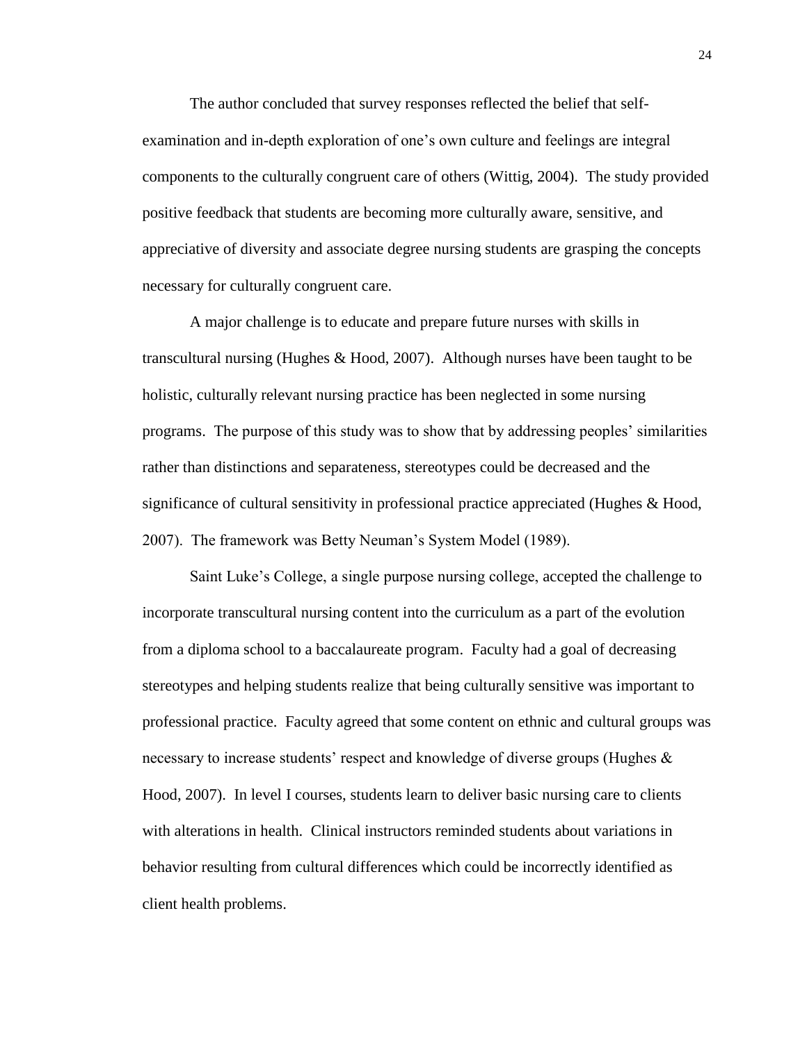The author concluded that survey responses reflected the belief that selfexamination and in-depth exploration of one's own culture and feelings are integral components to the culturally congruent care of others (Wittig, 2004). The study provided positive feedback that students are becoming more culturally aware, sensitive, and appreciative of diversity and associate degree nursing students are grasping the concepts necessary for culturally congruent care.

A major challenge is to educate and prepare future nurses with skills in transcultural nursing (Hughes & Hood, 2007). Although nurses have been taught to be holistic, culturally relevant nursing practice has been neglected in some nursing programs. The purpose of this study was to show that by addressing peoples' similarities rather than distinctions and separateness, stereotypes could be decreased and the significance of cultural sensitivity in professional practice appreciated (Hughes & Hood, 2007). The framework was Betty Neuman's System Model (1989).

Saint Luke's College, a single purpose nursing college, accepted the challenge to incorporate transcultural nursing content into the curriculum as a part of the evolution from a diploma school to a baccalaureate program. Faculty had a goal of decreasing stereotypes and helping students realize that being culturally sensitive was important to professional practice. Faculty agreed that some content on ethnic and cultural groups was necessary to increase students' respect and knowledge of diverse groups (Hughes  $\&$ Hood, 2007). In level I courses, students learn to deliver basic nursing care to clients with alterations in health. Clinical instructors reminded students about variations in behavior resulting from cultural differences which could be incorrectly identified as client health problems.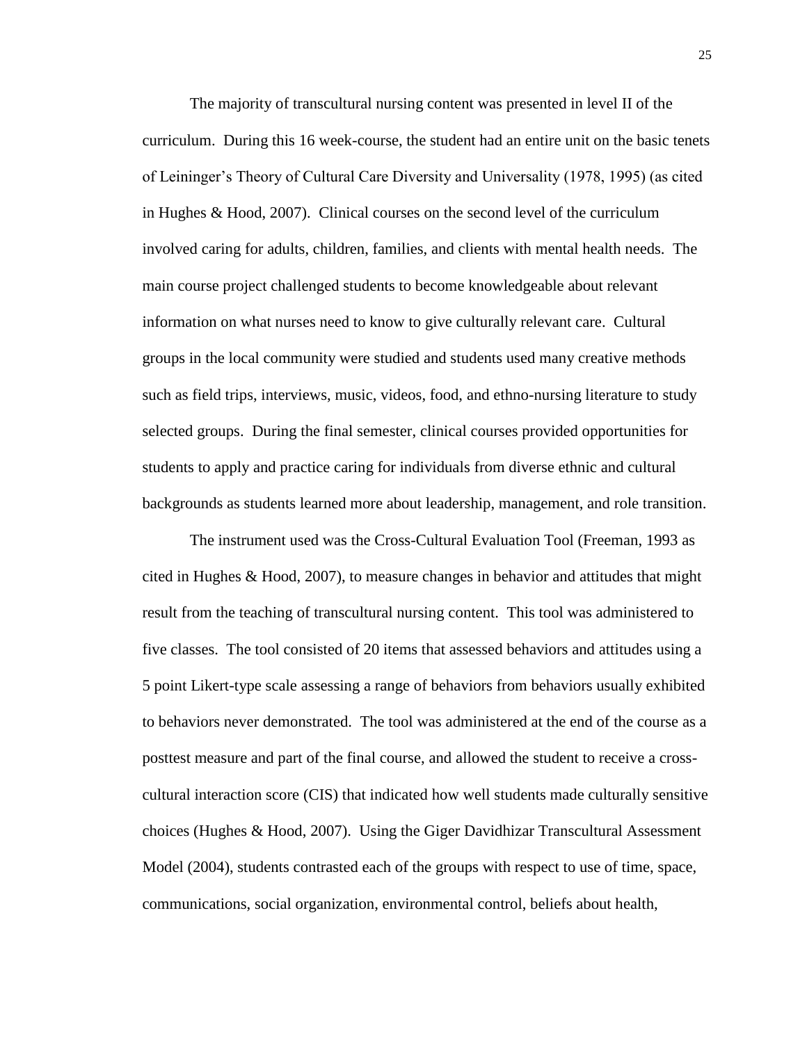The majority of transcultural nursing content was presented in level II of the curriculum. During this 16 week-course, the student had an entire unit on the basic tenets of Leininger's Theory of Cultural Care Diversity and Universality (1978, 1995) (as cited in Hughes & Hood, 2007). Clinical courses on the second level of the curriculum involved caring for adults, children, families, and clients with mental health needs. The main course project challenged students to become knowledgeable about relevant information on what nurses need to know to give culturally relevant care. Cultural groups in the local community were studied and students used many creative methods such as field trips, interviews, music, videos, food, and ethno-nursing literature to study selected groups. During the final semester, clinical courses provided opportunities for students to apply and practice caring for individuals from diverse ethnic and cultural backgrounds as students learned more about leadership, management, and role transition.

The instrument used was the Cross-Cultural Evaluation Tool (Freeman, 1993 as cited in Hughes & Hood, 2007), to measure changes in behavior and attitudes that might result from the teaching of transcultural nursing content. This tool was administered to five classes. The tool consisted of 20 items that assessed behaviors and attitudes using a 5 point Likert-type scale assessing a range of behaviors from behaviors usually exhibited to behaviors never demonstrated. The tool was administered at the end of the course as a posttest measure and part of the final course, and allowed the student to receive a crosscultural interaction score (CIS) that indicated how well students made culturally sensitive choices (Hughes & Hood, 2007). Using the Giger Davidhizar Transcultural Assessment Model (2004), students contrasted each of the groups with respect to use of time, space, communications, social organization, environmental control, beliefs about health,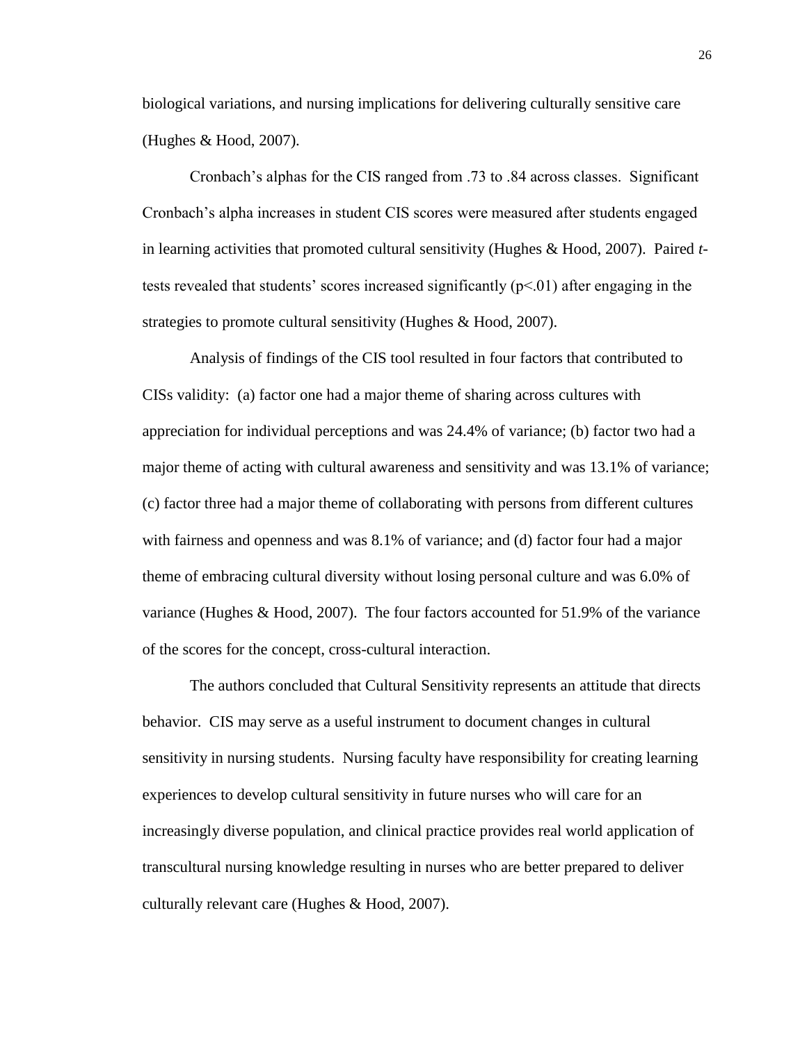biological variations, and nursing implications for delivering culturally sensitive care (Hughes & Hood, 2007).

Cronbach's alphas for the CIS ranged from .73 to .84 across classes. Significant Cronbach's alpha increases in student CIS scores were measured after students engaged in learning activities that promoted cultural sensitivity (Hughes & Hood, 2007). Paired *t*tests revealed that students' scores increased significantly  $(p<01)$  after engaging in the strategies to promote cultural sensitivity (Hughes & Hood, 2007).

Analysis of findings of the CIS tool resulted in four factors that contributed to CISs validity: (a) factor one had a major theme of sharing across cultures with appreciation for individual perceptions and was 24.4% of variance; (b) factor two had a major theme of acting with cultural awareness and sensitivity and was 13.1% of variance; (c) factor three had a major theme of collaborating with persons from different cultures with fairness and openness and was 8.1% of variance; and (d) factor four had a major theme of embracing cultural diversity without losing personal culture and was 6.0% of variance (Hughes & Hood, 2007). The four factors accounted for 51.9% of the variance of the scores for the concept, cross-cultural interaction.

The authors concluded that Cultural Sensitivity represents an attitude that directs behavior. CIS may serve as a useful instrument to document changes in cultural sensitivity in nursing students. Nursing faculty have responsibility for creating learning experiences to develop cultural sensitivity in future nurses who will care for an increasingly diverse population, and clinical practice provides real world application of transcultural nursing knowledge resulting in nurses who are better prepared to deliver culturally relevant care (Hughes & Hood, 2007).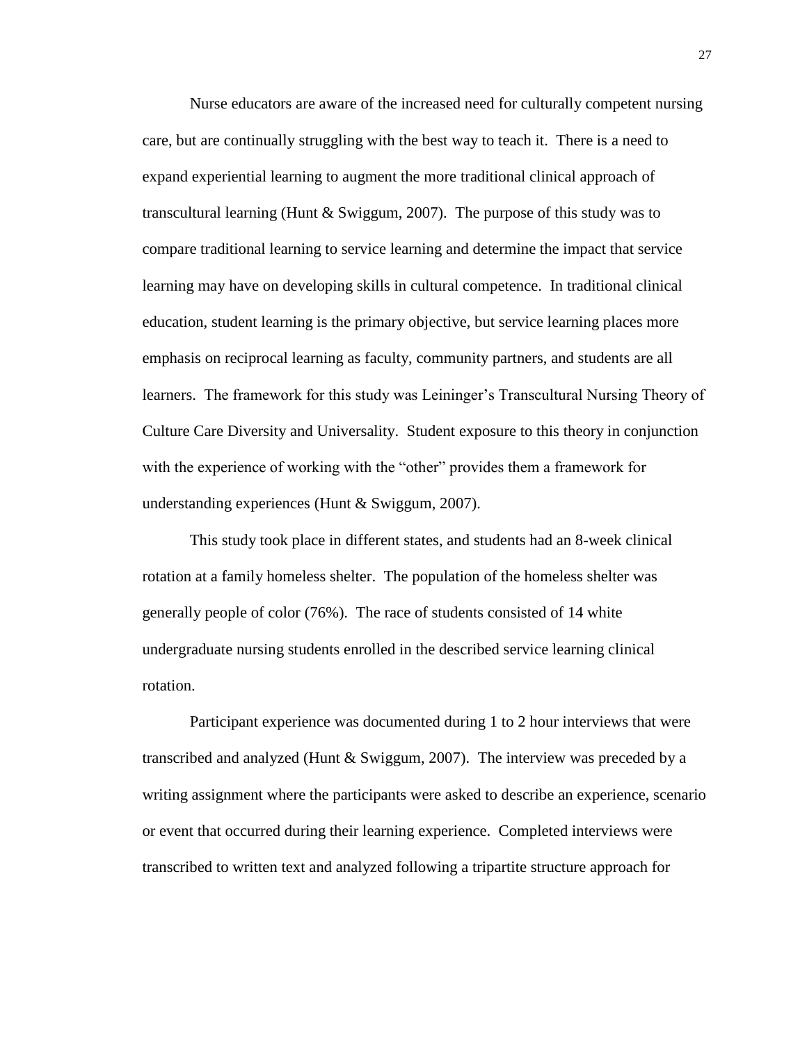Nurse educators are aware of the increased need for culturally competent nursing care, but are continually struggling with the best way to teach it. There is a need to expand experiential learning to augment the more traditional clinical approach of transcultural learning (Hunt & Swiggum, 2007). The purpose of this study was to compare traditional learning to service learning and determine the impact that service learning may have on developing skills in cultural competence. In traditional clinical education, student learning is the primary objective, but service learning places more emphasis on reciprocal learning as faculty, community partners, and students are all learners. The framework for this study was Leininger's Transcultural Nursing Theory of Culture Care Diversity and Universality. Student exposure to this theory in conjunction with the experience of working with the "other" provides them a framework for understanding experiences (Hunt & Swiggum, 2007).

This study took place in different states, and students had an 8-week clinical rotation at a family homeless shelter. The population of the homeless shelter was generally people of color (76%). The race of students consisted of 14 white undergraduate nursing students enrolled in the described service learning clinical rotation.

Participant experience was documented during 1 to 2 hour interviews that were transcribed and analyzed (Hunt & Swiggum, 2007). The interview was preceded by a writing assignment where the participants were asked to describe an experience, scenario or event that occurred during their learning experience. Completed interviews were transcribed to written text and analyzed following a tripartite structure approach for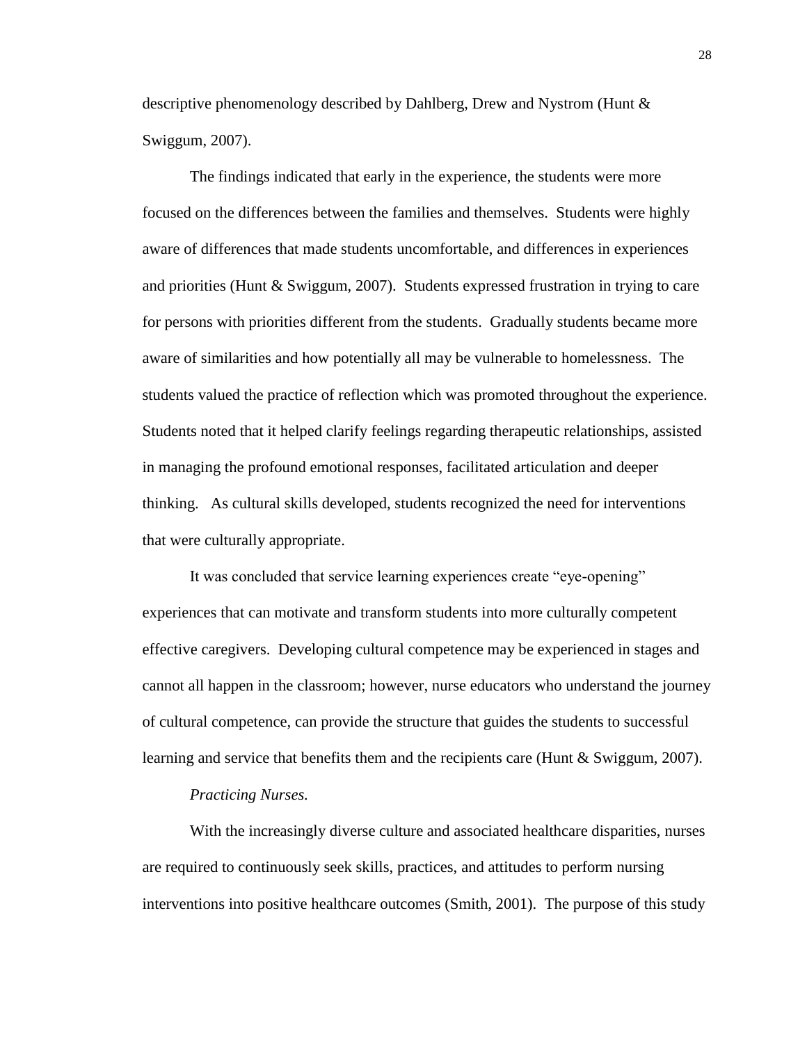descriptive phenomenology described by Dahlberg, Drew and Nystrom (Hunt & Swiggum, 2007).

The findings indicated that early in the experience, the students were more focused on the differences between the families and themselves. Students were highly aware of differences that made students uncomfortable, and differences in experiences and priorities (Hunt & Swiggum, 2007). Students expressed frustration in trying to care for persons with priorities different from the students. Gradually students became more aware of similarities and how potentially all may be vulnerable to homelessness. The students valued the practice of reflection which was promoted throughout the experience. Students noted that it helped clarify feelings regarding therapeutic relationships, assisted in managing the profound emotional responses, facilitated articulation and deeper thinking. As cultural skills developed, students recognized the need for interventions that were culturally appropriate.

It was concluded that service learning experiences create "eye-opening" experiences that can motivate and transform students into more culturally competent effective caregivers. Developing cultural competence may be experienced in stages and cannot all happen in the classroom; however, nurse educators who understand the journey of cultural competence, can provide the structure that guides the students to successful learning and service that benefits them and the recipients care (Hunt & Swiggum, 2007).

#### *Practicing Nurses.*

With the increasingly diverse culture and associated healthcare disparities, nurses are required to continuously seek skills, practices, and attitudes to perform nursing interventions into positive healthcare outcomes (Smith, 2001). The purpose of this study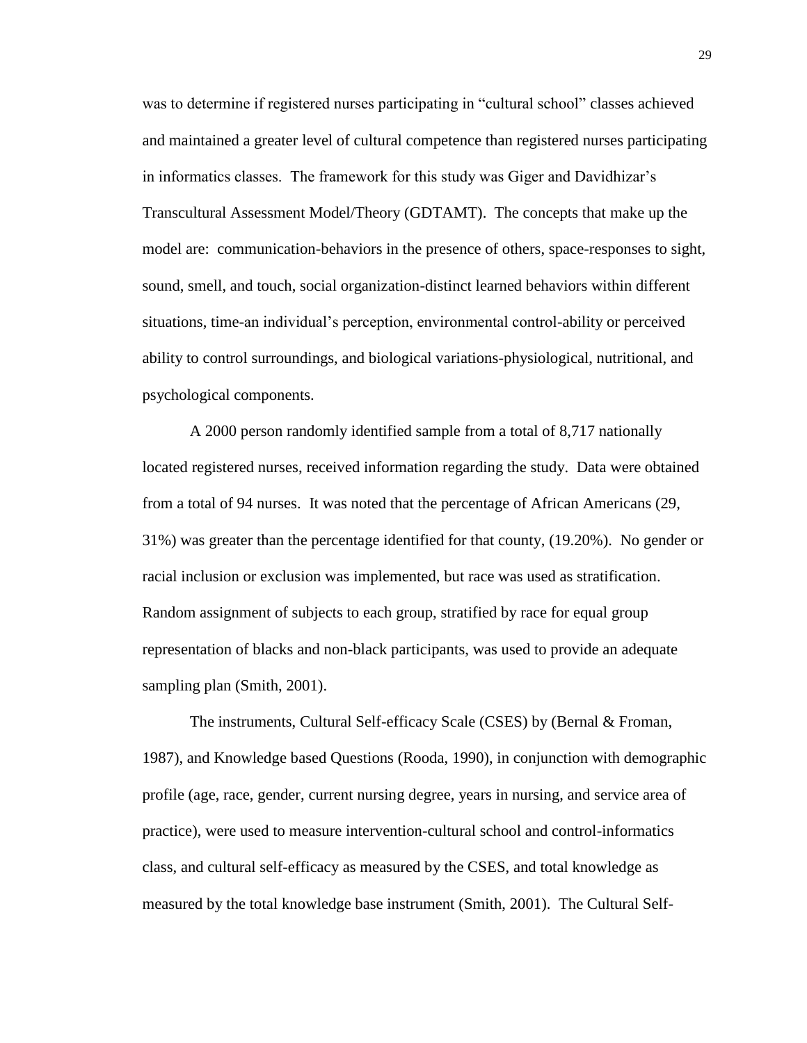was to determine if registered nurses participating in "cultural school" classes achieved and maintained a greater level of cultural competence than registered nurses participating in informatics classes. The framework for this study was Giger and Davidhizar's Transcultural Assessment Model/Theory (GDTAMT). The concepts that make up the model are: communication-behaviors in the presence of others, space-responses to sight, sound, smell, and touch, social organization-distinct learned behaviors within different situations, time-an individual's perception, environmental control-ability or perceived ability to control surroundings, and biological variations-physiological, nutritional, and psychological components.

A 2000 person randomly identified sample from a total of 8,717 nationally located registered nurses, received information regarding the study. Data were obtained from a total of 94 nurses. It was noted that the percentage of African Americans (29, 31%) was greater than the percentage identified for that county, (19.20%). No gender or racial inclusion or exclusion was implemented, but race was used as stratification. Random assignment of subjects to each group, stratified by race for equal group representation of blacks and non-black participants, was used to provide an adequate sampling plan (Smith, 2001).

The instruments, Cultural Self-efficacy Scale (CSES) by (Bernal & Froman, 1987), and Knowledge based Questions (Rooda, 1990), in conjunction with demographic profile (age, race, gender, current nursing degree, years in nursing, and service area of practice), were used to measure intervention-cultural school and control-informatics class, and cultural self-efficacy as measured by the CSES, and total knowledge as measured by the total knowledge base instrument (Smith, 2001). The Cultural Self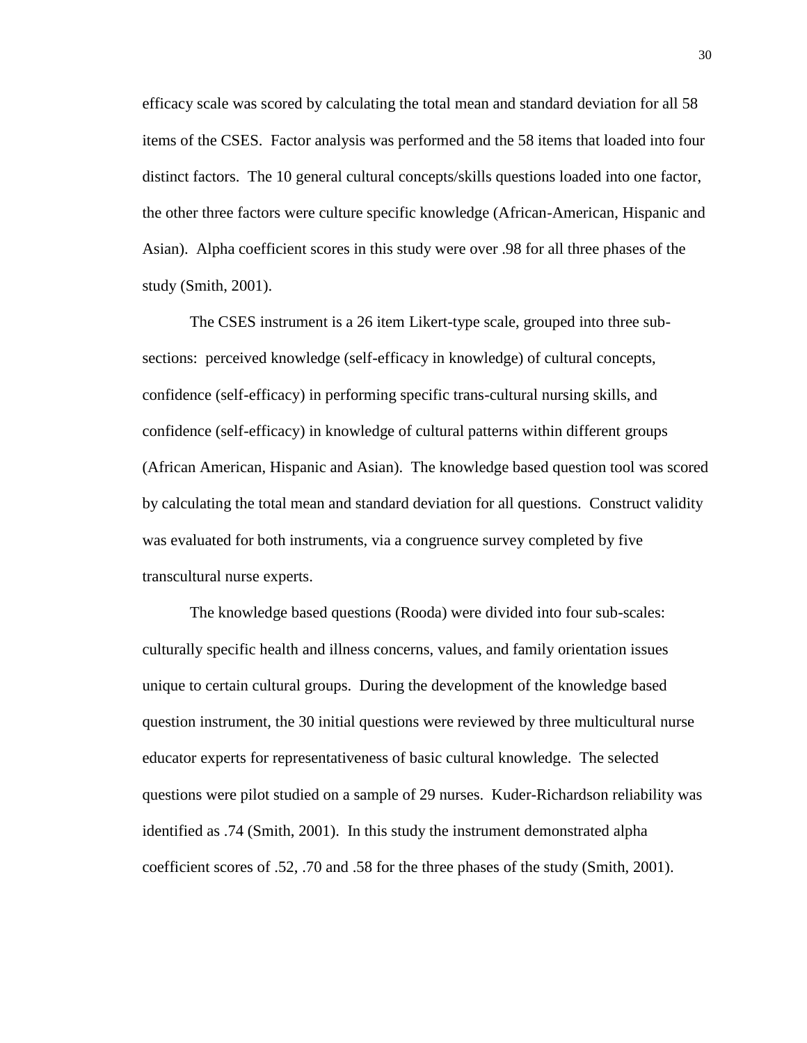efficacy scale was scored by calculating the total mean and standard deviation for all 58 items of the CSES. Factor analysis was performed and the 58 items that loaded into four distinct factors. The 10 general cultural concepts/skills questions loaded into one factor, the other three factors were culture specific knowledge (African-American, Hispanic and Asian). Alpha coefficient scores in this study were over .98 for all three phases of the study (Smith, 2001).

The CSES instrument is a 26 item Likert-type scale, grouped into three subsections: perceived knowledge (self-efficacy in knowledge) of cultural concepts, confidence (self-efficacy) in performing specific trans-cultural nursing skills, and confidence (self-efficacy) in knowledge of cultural patterns within different groups (African American, Hispanic and Asian). The knowledge based question tool was scored by calculating the total mean and standard deviation for all questions. Construct validity was evaluated for both instruments, via a congruence survey completed by five transcultural nurse experts.

The knowledge based questions (Rooda) were divided into four sub-scales: culturally specific health and illness concerns, values, and family orientation issues unique to certain cultural groups. During the development of the knowledge based question instrument, the 30 initial questions were reviewed by three multicultural nurse educator experts for representativeness of basic cultural knowledge. The selected questions were pilot studied on a sample of 29 nurses. Kuder-Richardson reliability was identified as .74 (Smith, 2001). In this study the instrument demonstrated alpha coefficient scores of .52, .70 and .58 for the three phases of the study (Smith, 2001).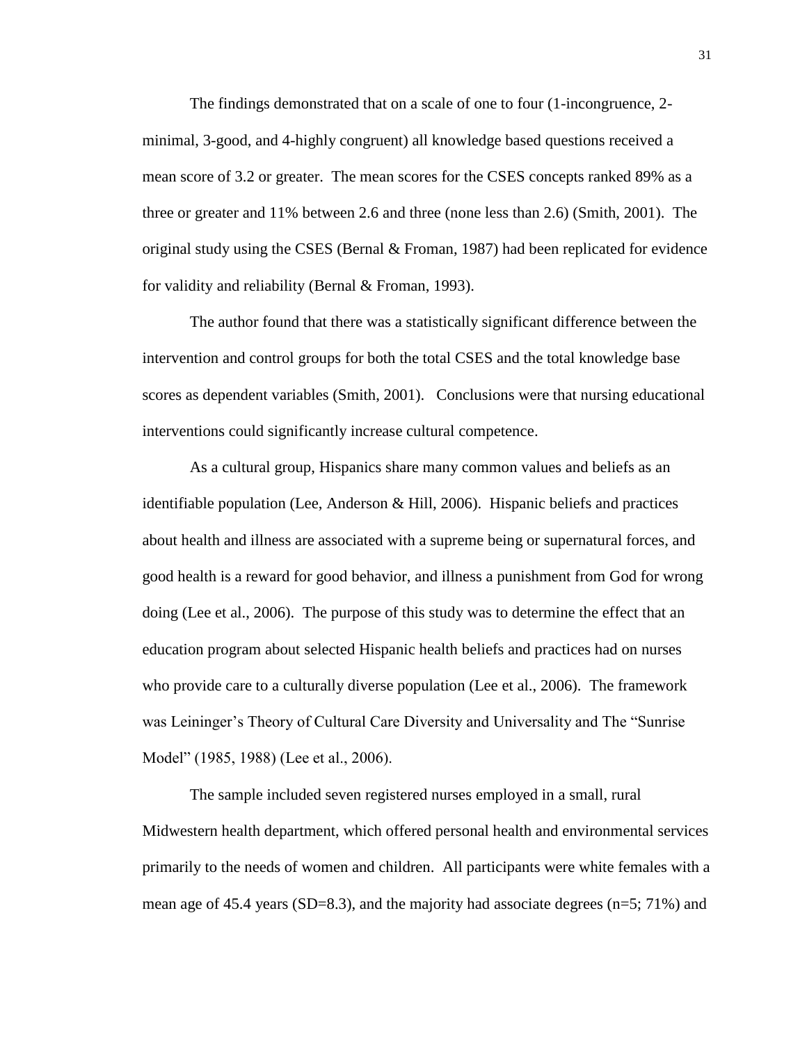The findings demonstrated that on a scale of one to four (1-incongruence, 2 minimal, 3-good, and 4-highly congruent) all knowledge based questions received a mean score of 3.2 or greater. The mean scores for the CSES concepts ranked 89% as a three or greater and 11% between 2.6 and three (none less than 2.6) (Smith, 2001). The original study using the CSES (Bernal  $&$  Froman, 1987) had been replicated for evidence for validity and reliability (Bernal & Froman, 1993).

The author found that there was a statistically significant difference between the intervention and control groups for both the total CSES and the total knowledge base scores as dependent variables (Smith, 2001). Conclusions were that nursing educational interventions could significantly increase cultural competence.

As a cultural group, Hispanics share many common values and beliefs as an identifiable population (Lee, Anderson & Hill, 2006). Hispanic beliefs and practices about health and illness are associated with a supreme being or supernatural forces, and good health is a reward for good behavior, and illness a punishment from God for wrong doing (Lee et al., 2006). The purpose of this study was to determine the effect that an education program about selected Hispanic health beliefs and practices had on nurses who provide care to a culturally diverse population (Lee et al., 2006). The framework was Leininger's Theory of Cultural Care Diversity and Universality and The "Sunrise Model" (1985, 1988) (Lee et al., 2006).

The sample included seven registered nurses employed in a small, rural Midwestern health department, which offered personal health and environmental services primarily to the needs of women and children. All participants were white females with a mean age of 45.4 years (SD=8.3), and the majority had associate degrees ( $n=5$ ; 71%) and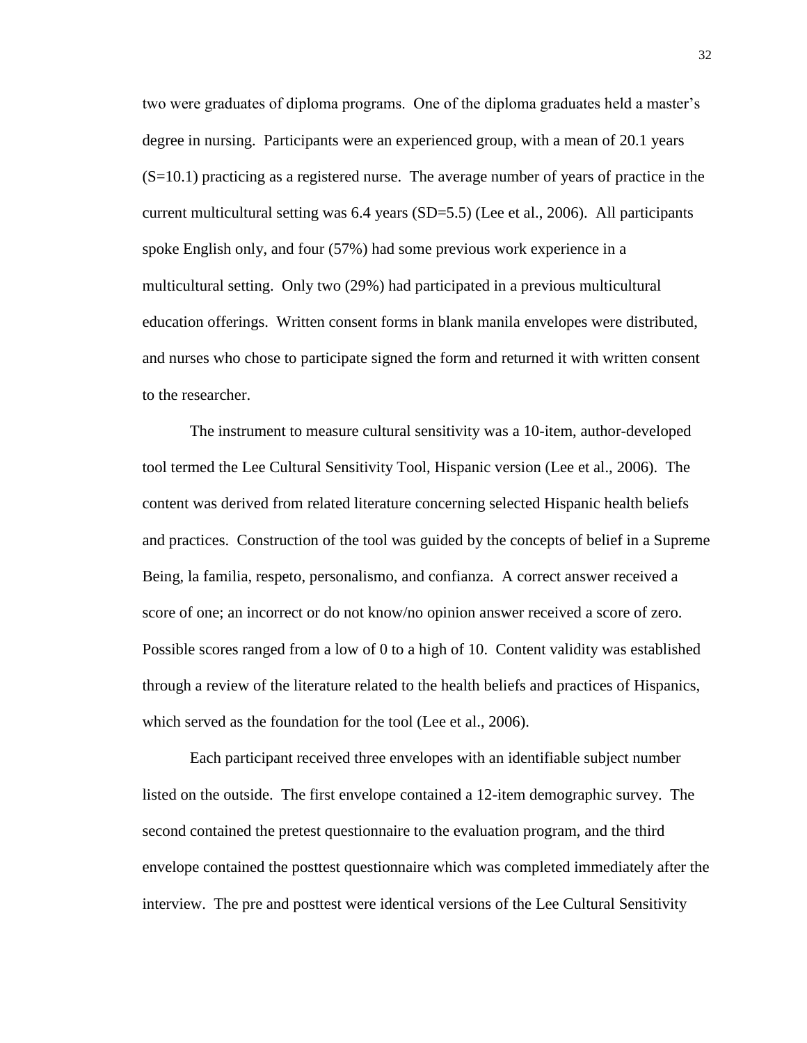two were graduates of diploma programs. One of the diploma graduates held a master's degree in nursing. Participants were an experienced group, with a mean of 20.1 years (S=10.1) practicing as a registered nurse. The average number of years of practice in the current multicultural setting was 6.4 years (SD=5.5) (Lee et al., 2006). All participants spoke English only, and four (57%) had some previous work experience in a multicultural setting. Only two (29%) had participated in a previous multicultural education offerings. Written consent forms in blank manila envelopes were distributed, and nurses who chose to participate signed the form and returned it with written consent to the researcher.

The instrument to measure cultural sensitivity was a 10-item, author-developed tool termed the Lee Cultural Sensitivity Tool, Hispanic version (Lee et al., 2006). The content was derived from related literature concerning selected Hispanic health beliefs and practices. Construction of the tool was guided by the concepts of belief in a Supreme Being, la familia, respeto, personalismo, and confianza. A correct answer received a score of one; an incorrect or do not know/no opinion answer received a score of zero. Possible scores ranged from a low of 0 to a high of 10. Content validity was established through a review of the literature related to the health beliefs and practices of Hispanics, which served as the foundation for the tool (Lee et al., 2006).

Each participant received three envelopes with an identifiable subject number listed on the outside. The first envelope contained a 12-item demographic survey. The second contained the pretest questionnaire to the evaluation program, and the third envelope contained the posttest questionnaire which was completed immediately after the interview. The pre and posttest were identical versions of the Lee Cultural Sensitivity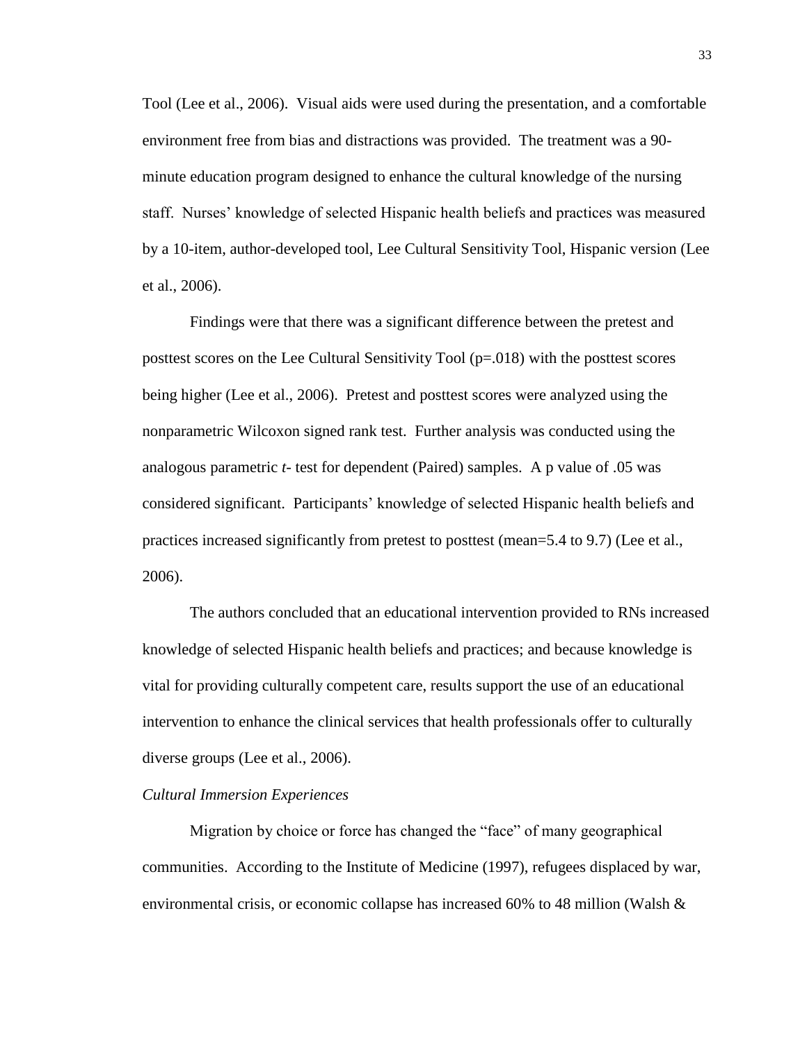Tool (Lee et al., 2006). Visual aids were used during the presentation, and a comfortable environment free from bias and distractions was provided. The treatment was a 90 minute education program designed to enhance the cultural knowledge of the nursing staff. Nurses' knowledge of selected Hispanic health beliefs and practices was measured by a 10-item, author-developed tool, Lee Cultural Sensitivity Tool, Hispanic version (Lee et al., 2006).

Findings were that there was a significant difference between the pretest and posttest scores on the Lee Cultural Sensitivity Tool (p=.018) with the posttest scores being higher (Lee et al., 2006). Pretest and posttest scores were analyzed using the nonparametric Wilcoxon signed rank test. Further analysis was conducted using the analogous parametric *t-* test for dependent (Paired) samples. A p value of .05 was considered significant. Participants' knowledge of selected Hispanic health beliefs and practices increased significantly from pretest to posttest (mean=5.4 to 9.7) (Lee et al., 2006).

The authors concluded that an educational intervention provided to RNs increased knowledge of selected Hispanic health beliefs and practices; and because knowledge is vital for providing culturally competent care, results support the use of an educational intervention to enhance the clinical services that health professionals offer to culturally diverse groups (Lee et al., 2006).

#### *Cultural Immersion Experiences*

Migration by choice or force has changed the "face" of many geographical communities. According to the Institute of Medicine (1997), refugees displaced by war, environmental crisis, or economic collapse has increased 60% to 48 million (Walsh  $\&$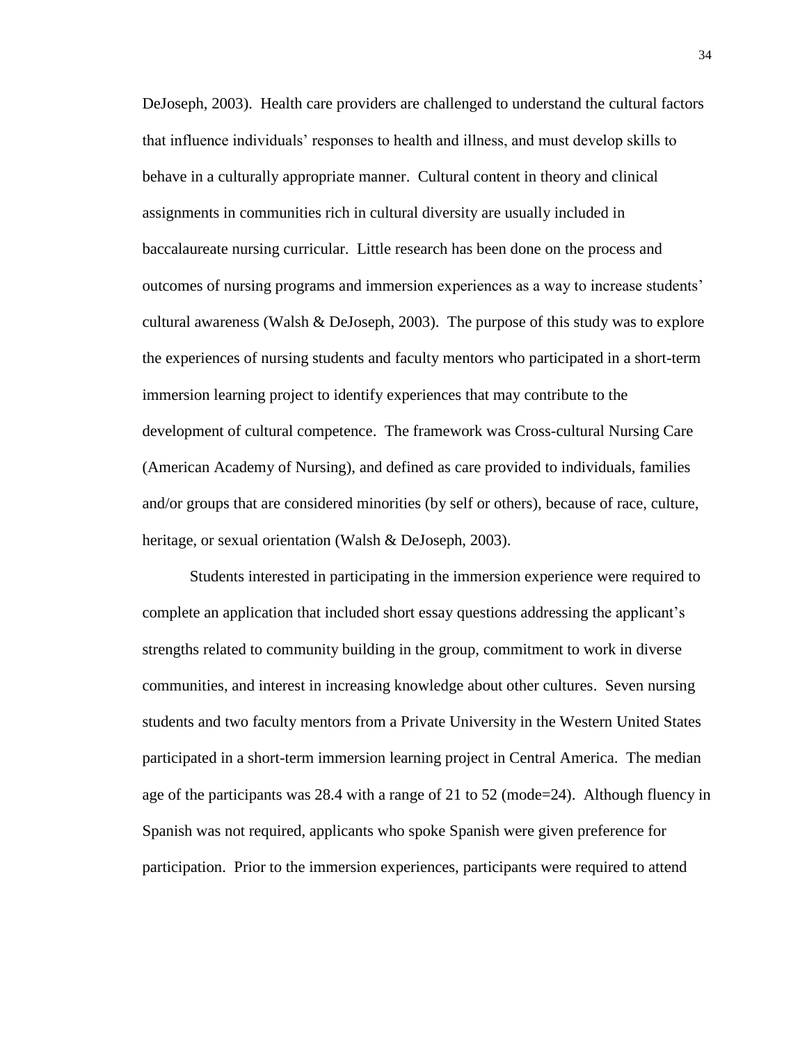DeJoseph, 2003). Health care providers are challenged to understand the cultural factors that influence individuals' responses to health and illness, and must develop skills to behave in a culturally appropriate manner. Cultural content in theory and clinical assignments in communities rich in cultural diversity are usually included in baccalaureate nursing curricular. Little research has been done on the process and outcomes of nursing programs and immersion experiences as a way to increase students' cultural awareness (Walsh & DeJoseph, 2003). The purpose of this study was to explore the experiences of nursing students and faculty mentors who participated in a short-term immersion learning project to identify experiences that may contribute to the development of cultural competence. The framework was Cross-cultural Nursing Care (American Academy of Nursing), and defined as care provided to individuals, families and/or groups that are considered minorities (by self or others), because of race, culture, heritage, or sexual orientation (Walsh & DeJoseph, 2003).

Students interested in participating in the immersion experience were required to complete an application that included short essay questions addressing the applicant's strengths related to community building in the group, commitment to work in diverse communities, and interest in increasing knowledge about other cultures. Seven nursing students and two faculty mentors from a Private University in the Western United States participated in a short-term immersion learning project in Central America. The median age of the participants was 28.4 with a range of 21 to 52 (mode=24). Although fluency in Spanish was not required, applicants who spoke Spanish were given preference for participation. Prior to the immersion experiences, participants were required to attend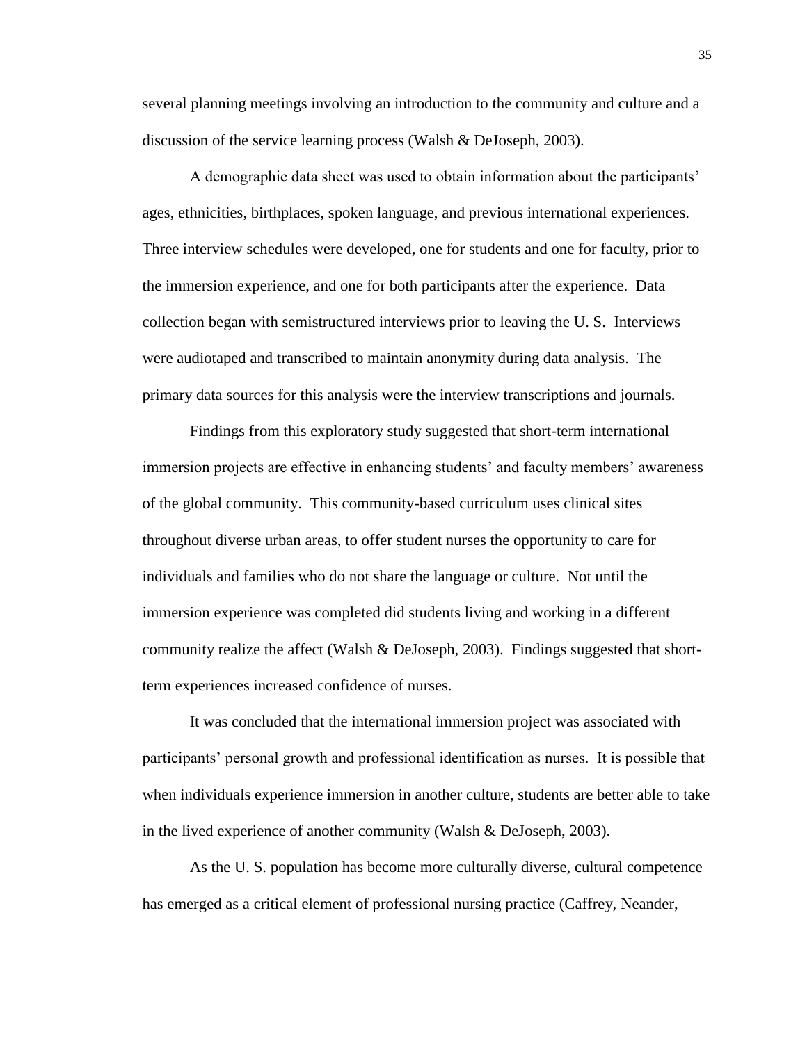several planning meetings involving an introduction to the community and culture and a discussion of the service learning process (Walsh & DeJoseph, 2003).

A demographic data sheet was used to obtain information about the participants' ages, ethnicities, birthplaces, spoken language, and previous international experiences. Three interview schedules were developed, one for students and one for faculty, prior to the immersion experience, and one for both participants after the experience. Data collection began with semistructured interviews prior to leaving the U. S. Interviews were audiotaped and transcribed to maintain anonymity during data analysis. The primary data sources for this analysis were the interview transcriptions and journals.

Findings from this exploratory study suggested that short-term international immersion projects are effective in enhancing students' and faculty members' awareness of the global community. This community-based curriculum uses clinical sites throughout diverse urban areas, to offer student nurses the opportunity to care for individuals and families who do not share the language or culture. Not until the immersion experience was completed did students living and working in a different community realize the affect (Walsh & DeJoseph, 2003). Findings suggested that shortterm experiences increased confidence of nurses.

It was concluded that the international immersion project was associated with participants' personal growth and professional identification as nurses. It is possible that when individuals experience immersion in another culture, students are better able to take in the lived experience of another community (Walsh & DeJoseph, 2003).

As the U. S. population has become more culturally diverse, cultural competence has emerged as a critical element of professional nursing practice (Caffrey, Neander,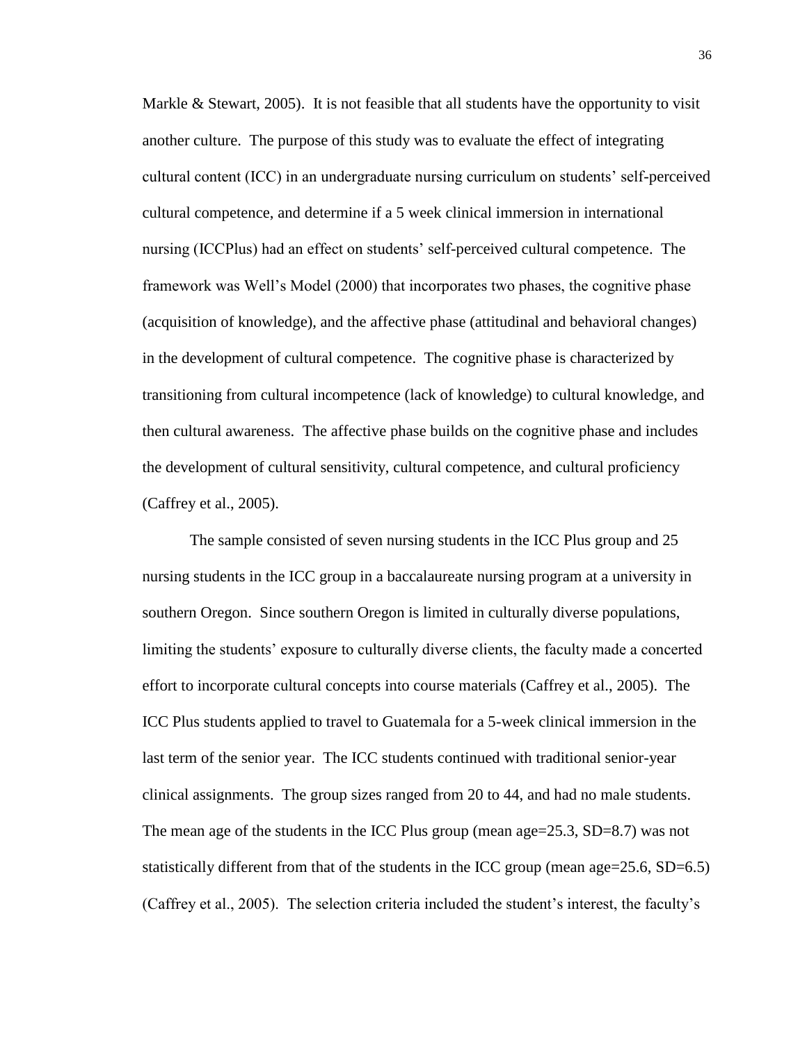Markle  $\&$  Stewart, 2005). It is not feasible that all students have the opportunity to visit another culture. The purpose of this study was to evaluate the effect of integrating cultural content (ICC) in an undergraduate nursing curriculum on students' self-perceived cultural competence, and determine if a 5 week clinical immersion in international nursing (ICCPlus) had an effect on students' self-perceived cultural competence. The framework was Well's Model (2000) that incorporates two phases, the cognitive phase (acquisition of knowledge), and the affective phase (attitudinal and behavioral changes) in the development of cultural competence. The cognitive phase is characterized by transitioning from cultural incompetence (lack of knowledge) to cultural knowledge, and then cultural awareness. The affective phase builds on the cognitive phase and includes the development of cultural sensitivity, cultural competence, and cultural proficiency (Caffrey et al., 2005).

The sample consisted of seven nursing students in the ICC Plus group and 25 nursing students in the ICC group in a baccalaureate nursing program at a university in southern Oregon. Since southern Oregon is limited in culturally diverse populations, limiting the students' exposure to culturally diverse clients, the faculty made a concerted effort to incorporate cultural concepts into course materials (Caffrey et al., 2005). The ICC Plus students applied to travel to Guatemala for a 5-week clinical immersion in the last term of the senior year. The ICC students continued with traditional senior-year clinical assignments. The group sizes ranged from 20 to 44, and had no male students. The mean age of the students in the ICC Plus group (mean age= $25.3$ , SD= $8.7$ ) was not statistically different from that of the students in the ICC group (mean age=25.6, SD=6.5) (Caffrey et al., 2005). The selection criteria included the student's interest, the faculty's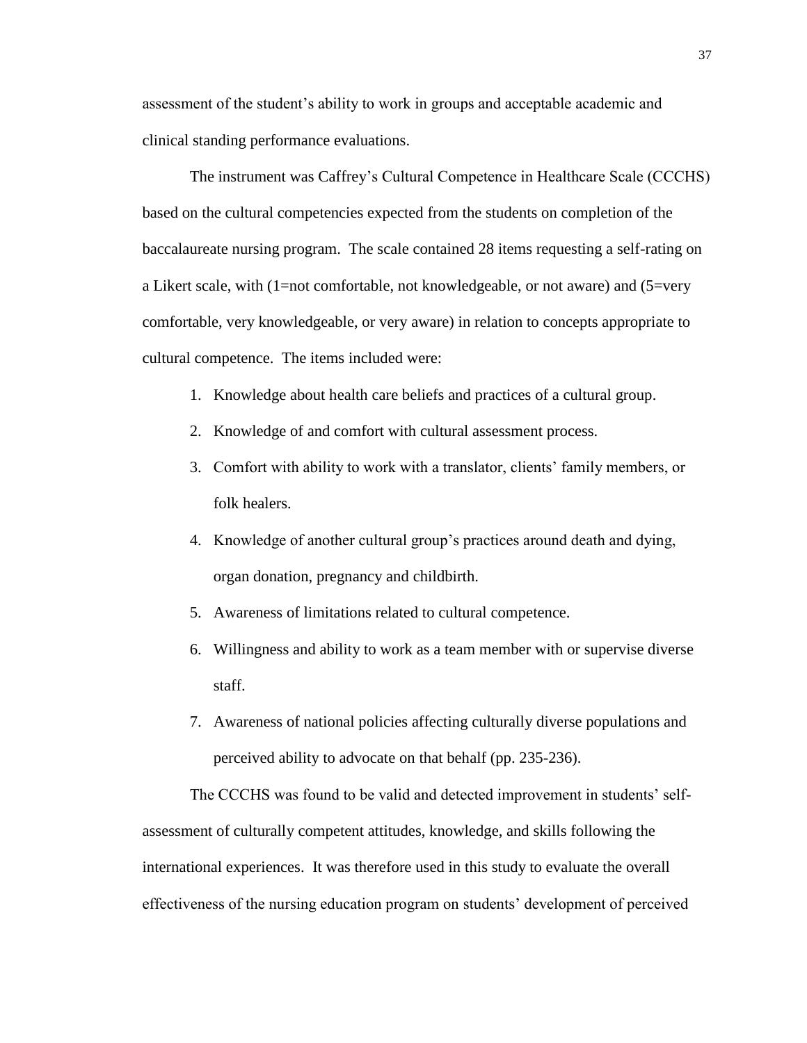assessment of the student's ability to work in groups and acceptable academic and clinical standing performance evaluations.

The instrument was Caffrey's Cultural Competence in Healthcare Scale (CCCHS) based on the cultural competencies expected from the students on completion of the baccalaureate nursing program. The scale contained 28 items requesting a self-rating on a Likert scale, with (1=not comfortable, not knowledgeable, or not aware) and (5=very comfortable, very knowledgeable, or very aware) in relation to concepts appropriate to cultural competence. The items included were:

- 1. Knowledge about health care beliefs and practices of a cultural group.
- 2. Knowledge of and comfort with cultural assessment process.
- 3. Comfort with ability to work with a translator, clients' family members, or folk healers.
- 4. Knowledge of another cultural group's practices around death and dying, organ donation, pregnancy and childbirth.
- 5. Awareness of limitations related to cultural competence.
- 6. Willingness and ability to work as a team member with or supervise diverse staff.
- 7. Awareness of national policies affecting culturally diverse populations and perceived ability to advocate on that behalf (pp. 235-236).

The CCCHS was found to be valid and detected improvement in students' selfassessment of culturally competent attitudes, knowledge, and skills following the international experiences. It was therefore used in this study to evaluate the overall effectiveness of the nursing education program on students' development of perceived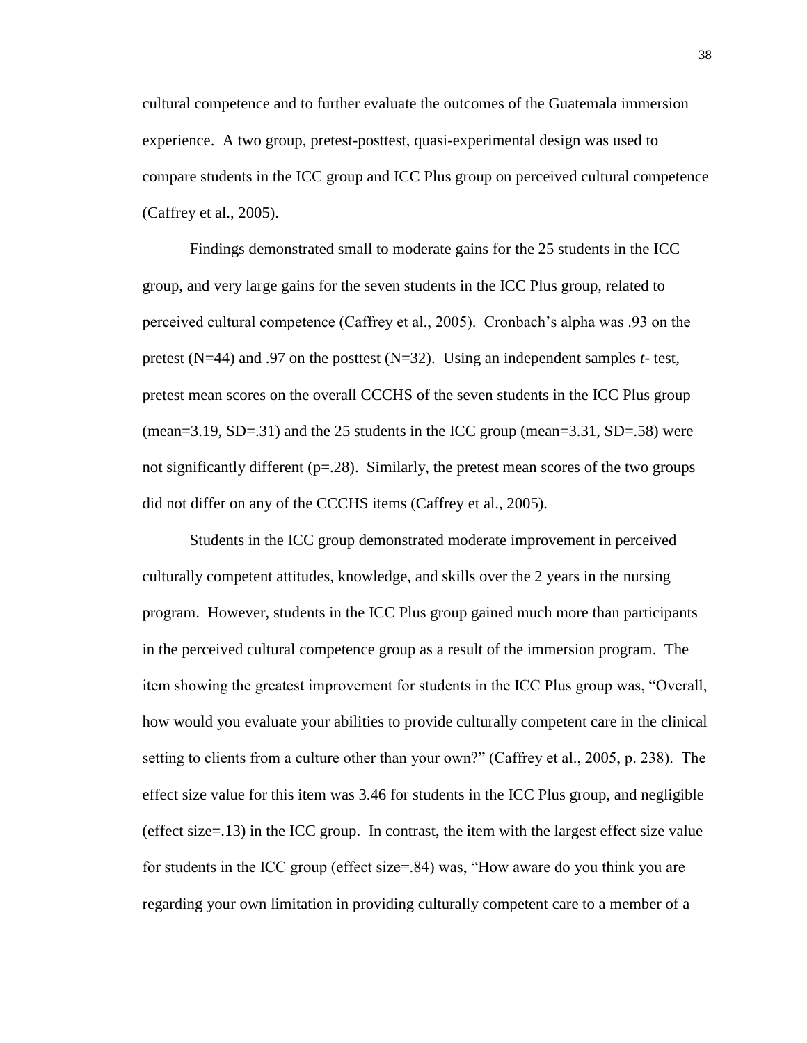cultural competence and to further evaluate the outcomes of the Guatemala immersion experience. A two group, pretest-posttest, quasi-experimental design was used to compare students in the ICC group and ICC Plus group on perceived cultural competence (Caffrey et al., 2005).

Findings demonstrated small to moderate gains for the 25 students in the ICC group, and very large gains for the seven students in the ICC Plus group, related to perceived cultural competence (Caffrey et al., 2005). Cronbach's alpha was .93 on the pretest (N=44) and .97 on the posttest (N=32). Using an independent samples *t-* test, pretest mean scores on the overall CCCHS of the seven students in the ICC Plus group (mean=3.19, SD=.31) and the 25 students in the ICC group (mean=3.31, SD=.58) were not significantly different  $(p=.28)$ . Similarly, the pretest mean scores of the two groups did not differ on any of the CCCHS items (Caffrey et al., 2005).

Students in the ICC group demonstrated moderate improvement in perceived culturally competent attitudes, knowledge, and skills over the 2 years in the nursing program. However, students in the ICC Plus group gained much more than participants in the perceived cultural competence group as a result of the immersion program. The item showing the greatest improvement for students in the ICC Plus group was, "Overall, how would you evaluate your abilities to provide culturally competent care in the clinical setting to clients from a culture other than your own?" (Caffrey et al., 2005, p. 238). The effect size value for this item was 3.46 for students in the ICC Plus group, and negligible (effect size=.13) in the ICC group. In contrast, the item with the largest effect size value for students in the ICC group (effect size=.84) was, "How aware do you think you are regarding your own limitation in providing culturally competent care to a member of a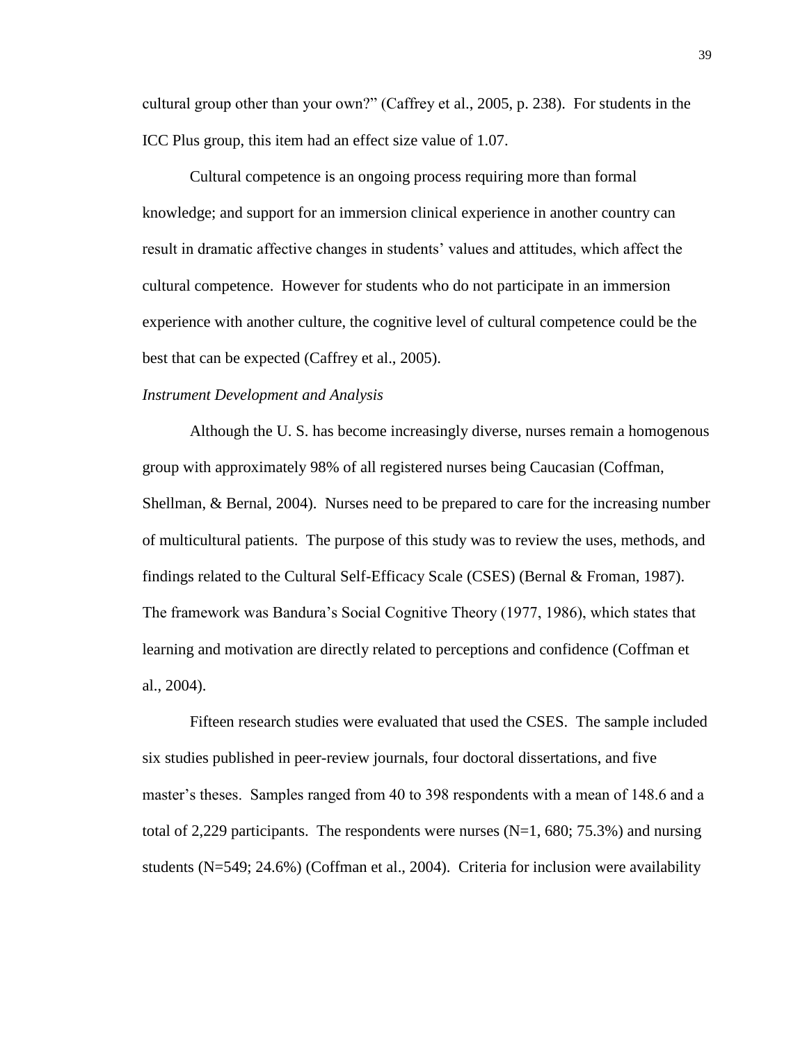cultural group other than your own?" (Caffrey et al., 2005, p. 238). For students in the ICC Plus group, this item had an effect size value of 1.07.

Cultural competence is an ongoing process requiring more than formal knowledge; and support for an immersion clinical experience in another country can result in dramatic affective changes in students' values and attitudes, which affect the cultural competence. However for students who do not participate in an immersion experience with another culture, the cognitive level of cultural competence could be the best that can be expected (Caffrey et al., 2005).

## *Instrument Development and Analysis*

Although the U. S. has become increasingly diverse, nurses remain a homogenous group with approximately 98% of all registered nurses being Caucasian (Coffman, Shellman, & Bernal, 2004). Nurses need to be prepared to care for the increasing number of multicultural patients. The purpose of this study was to review the uses, methods, and findings related to the Cultural Self-Efficacy Scale (CSES) (Bernal & Froman, 1987). The framework was Bandura's Social Cognitive Theory (1977, 1986), which states that learning and motivation are directly related to perceptions and confidence (Coffman et al., 2004).

Fifteen research studies were evaluated that used the CSES. The sample included six studies published in peer-review journals, four doctoral dissertations, and five master's theses. Samples ranged from 40 to 398 respondents with a mean of 148.6 and a total of 2,229 participants. The respondents were nurses  $(N=1, 680; 75.3%)$  and nursing students (N=549; 24.6%) (Coffman et al., 2004). Criteria for inclusion were availability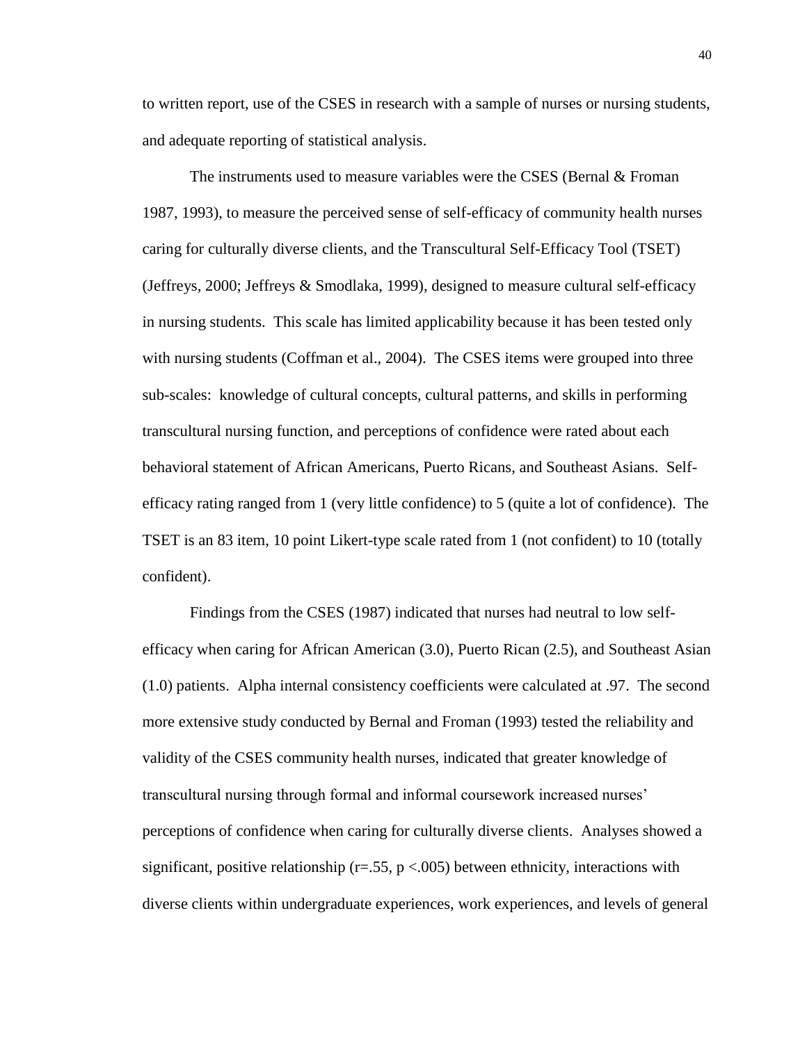to written report, use of the CSES in research with a sample of nurses or nursing students, and adequate reporting of statistical analysis.

The instruments used to measure variables were the CSES (Bernal & Froman 1987, 1993), to measure the perceived sense of self-efficacy of community health nurses caring for culturally diverse clients, and the Transcultural Self-Efficacy Tool (TSET) (Jeffreys, 2000; Jeffreys & Smodlaka, 1999), designed to measure cultural self-efficacy in nursing students. This scale has limited applicability because it has been tested only with nursing students (Coffman et al., 2004). The CSES items were grouped into three sub-scales: knowledge of cultural concepts, cultural patterns, and skills in performing transcultural nursing function, and perceptions of confidence were rated about each behavioral statement of African Americans, Puerto Ricans, and Southeast Asians. Selfefficacy rating ranged from 1 (very little confidence) to 5 (quite a lot of confidence). The TSET is an 83 item, 10 point Likert-type scale rated from 1 (not confident) to 10 (totally confident).

Findings from the CSES (1987) indicated that nurses had neutral to low selfefficacy when caring for African American (3.0), Puerto Rican (2.5), and Southeast Asian (1.0) patients. Alpha internal consistency coefficients were calculated at .97. The second more extensive study conducted by Bernal and Froman (1993) tested the reliability and validity of the CSES community health nurses, indicated that greater knowledge of transcultural nursing through formal and informal coursework increased nurses' perceptions of confidence when caring for culturally diverse clients. Analyses showed a significant, positive relationship ( $r=0.55$ ,  $p < 0.005$ ) between ethnicity, interactions with diverse clients within undergraduate experiences, work experiences, and levels of general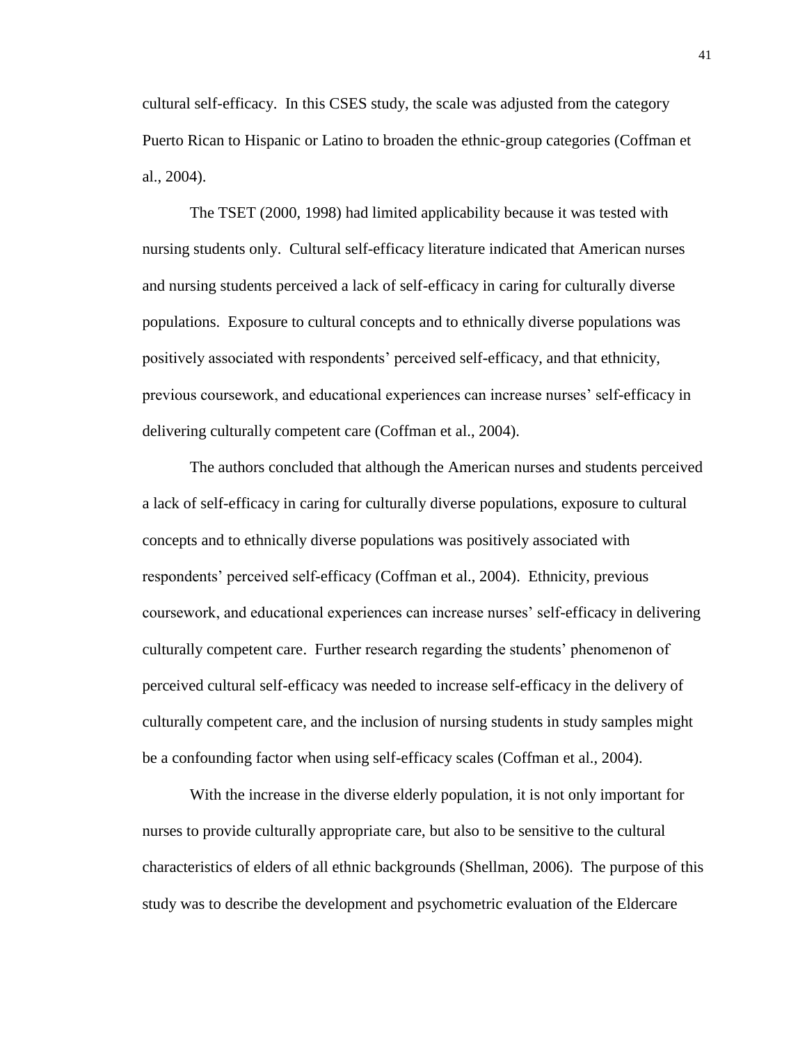cultural self-efficacy. In this CSES study, the scale was adjusted from the category Puerto Rican to Hispanic or Latino to broaden the ethnic-group categories (Coffman et al., 2004).

The TSET (2000, 1998) had limited applicability because it was tested with nursing students only. Cultural self-efficacy literature indicated that American nurses and nursing students perceived a lack of self-efficacy in caring for culturally diverse populations. Exposure to cultural concepts and to ethnically diverse populations was positively associated with respondents' perceived self-efficacy, and that ethnicity, previous coursework, and educational experiences can increase nurses' self-efficacy in delivering culturally competent care (Coffman et al., 2004).

The authors concluded that although the American nurses and students perceived a lack of self-efficacy in caring for culturally diverse populations, exposure to cultural concepts and to ethnically diverse populations was positively associated with respondents' perceived self-efficacy (Coffman et al., 2004). Ethnicity, previous coursework, and educational experiences can increase nurses' self-efficacy in delivering culturally competent care. Further research regarding the students' phenomenon of perceived cultural self-efficacy was needed to increase self-efficacy in the delivery of culturally competent care, and the inclusion of nursing students in study samples might be a confounding factor when using self-efficacy scales (Coffman et al., 2004).

With the increase in the diverse elderly population, it is not only important for nurses to provide culturally appropriate care, but also to be sensitive to the cultural characteristics of elders of all ethnic backgrounds (Shellman, 2006). The purpose of this study was to describe the development and psychometric evaluation of the Eldercare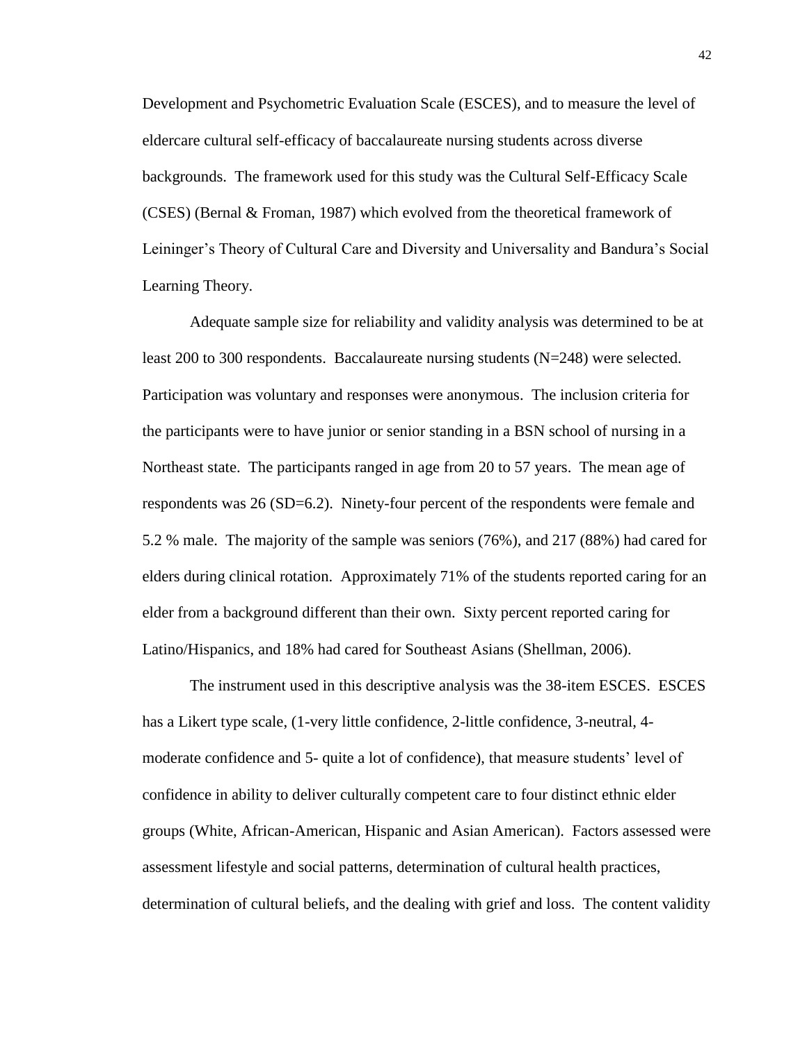Development and Psychometric Evaluation Scale (ESCES), and to measure the level of eldercare cultural self-efficacy of baccalaureate nursing students across diverse backgrounds. The framework used for this study was the Cultural Self-Efficacy Scale (CSES) (Bernal & Froman, 1987) which evolved from the theoretical framework of Leininger's Theory of Cultural Care and Diversity and Universality and Bandura's Social Learning Theory.

Adequate sample size for reliability and validity analysis was determined to be at least 200 to 300 respondents. Baccalaureate nursing students (N=248) were selected. Participation was voluntary and responses were anonymous. The inclusion criteria for the participants were to have junior or senior standing in a BSN school of nursing in a Northeast state. The participants ranged in age from 20 to 57 years. The mean age of respondents was 26 (SD=6.2). Ninety-four percent of the respondents were female and 5.2 % male. The majority of the sample was seniors (76%), and 217 (88%) had cared for elders during clinical rotation. Approximately 71% of the students reported caring for an elder from a background different than their own. Sixty percent reported caring for Latino/Hispanics, and 18% had cared for Southeast Asians (Shellman, 2006).

The instrument used in this descriptive analysis was the 38-item ESCES. ESCES has a Likert type scale, (1-very little confidence, 2-little confidence, 3-neutral, 4 moderate confidence and 5- quite a lot of confidence), that measure students' level of confidence in ability to deliver culturally competent care to four distinct ethnic elder groups (White, African-American, Hispanic and Asian American). Factors assessed were assessment lifestyle and social patterns, determination of cultural health practices, determination of cultural beliefs, and the dealing with grief and loss. The content validity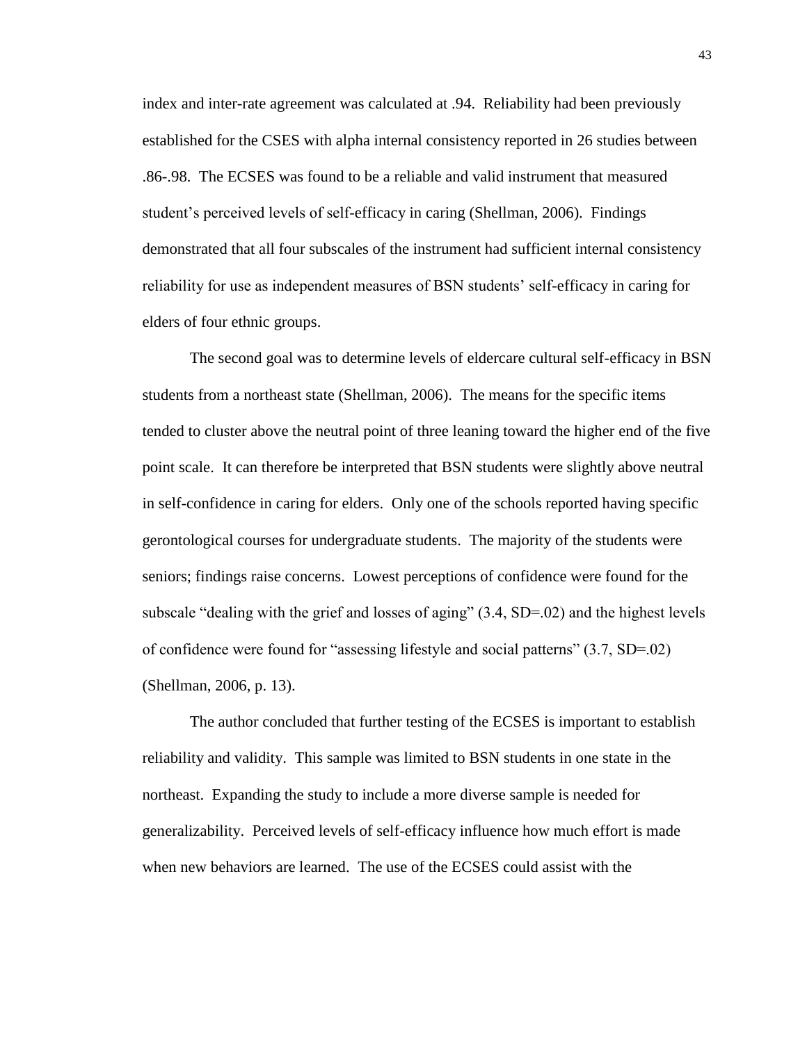index and inter-rate agreement was calculated at .94. Reliability had been previously established for the CSES with alpha internal consistency reported in 26 studies between .86-.98. The ECSES was found to be a reliable and valid instrument that measured student's perceived levels of self-efficacy in caring (Shellman, 2006). Findings demonstrated that all four subscales of the instrument had sufficient internal consistency reliability for use as independent measures of BSN students' self-efficacy in caring for elders of four ethnic groups.

The second goal was to determine levels of eldercare cultural self-efficacy in BSN students from a northeast state (Shellman, 2006). The means for the specific items tended to cluster above the neutral point of three leaning toward the higher end of the five point scale. It can therefore be interpreted that BSN students were slightly above neutral in self-confidence in caring for elders. Only one of the schools reported having specific gerontological courses for undergraduate students. The majority of the students were seniors; findings raise concerns. Lowest perceptions of confidence were found for the subscale "dealing with the grief and losses of aging" (3.4, SD=.02) and the highest levels of confidence were found for "assessing lifestyle and social patterns" (3.7, SD=.02) (Shellman, 2006, p. 13).

The author concluded that further testing of the ECSES is important to establish reliability and validity. This sample was limited to BSN students in one state in the northeast. Expanding the study to include a more diverse sample is needed for generalizability. Perceived levels of self-efficacy influence how much effort is made when new behaviors are learned. The use of the ECSES could assist with the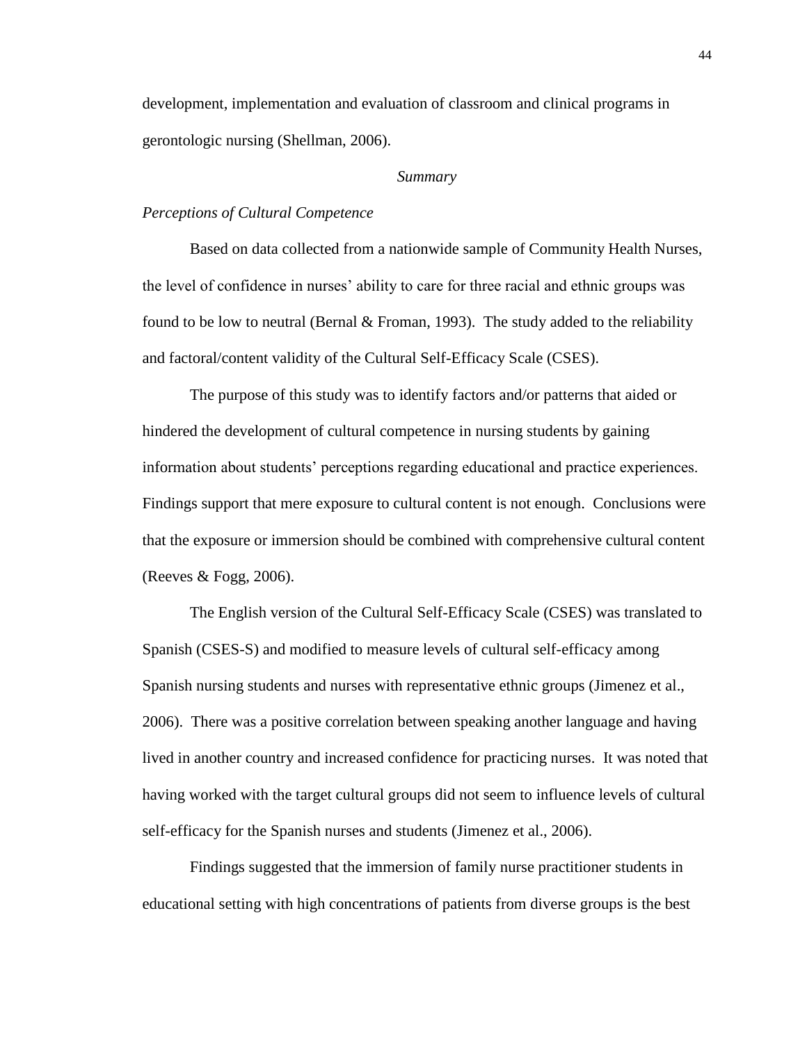development, implementation and evaluation of classroom and clinical programs in gerontologic nursing (Shellman, 2006).

#### *Summary*

## *Perceptions of Cultural Competence*

Based on data collected from a nationwide sample of Community Health Nurses, the level of confidence in nurses' ability to care for three racial and ethnic groups was found to be low to neutral (Bernal  $&$  Froman, 1993). The study added to the reliability and factoral/content validity of the Cultural Self-Efficacy Scale (CSES).

The purpose of this study was to identify factors and/or patterns that aided or hindered the development of cultural competence in nursing students by gaining information about students' perceptions regarding educational and practice experiences. Findings support that mere exposure to cultural content is not enough. Conclusions were that the exposure or immersion should be combined with comprehensive cultural content (Reeves  $&$  Fogg, 2006).

The English version of the Cultural Self-Efficacy Scale (CSES) was translated to Spanish (CSES-S) and modified to measure levels of cultural self-efficacy among Spanish nursing students and nurses with representative ethnic groups (Jimenez et al., 2006). There was a positive correlation between speaking another language and having lived in another country and increased confidence for practicing nurses. It was noted that having worked with the target cultural groups did not seem to influence levels of cultural self-efficacy for the Spanish nurses and students (Jimenez et al., 2006).

Findings suggested that the immersion of family nurse practitioner students in educational setting with high concentrations of patients from diverse groups is the best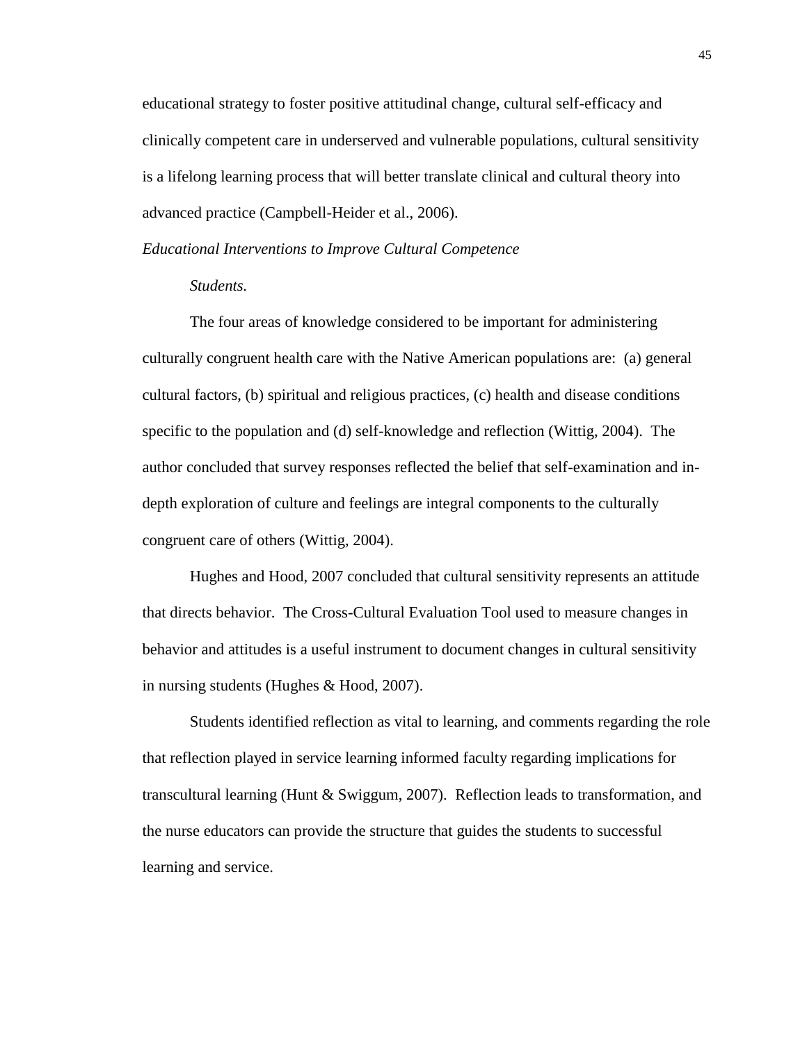educational strategy to foster positive attitudinal change, cultural self-efficacy and clinically competent care in underserved and vulnerable populations, cultural sensitivity is a lifelong learning process that will better translate clinical and cultural theory into advanced practice (Campbell-Heider et al., 2006).

#### *Educational Interventions to Improve Cultural Competence*

## *Students.*

The four areas of knowledge considered to be important for administering culturally congruent health care with the Native American populations are: (a) general cultural factors, (b) spiritual and religious practices, (c) health and disease conditions specific to the population and (d) self-knowledge and reflection (Wittig, 2004). The author concluded that survey responses reflected the belief that self-examination and indepth exploration of culture and feelings are integral components to the culturally congruent care of others (Wittig, 2004).

Hughes and Hood, 2007 concluded that cultural sensitivity represents an attitude that directs behavior. The Cross-Cultural Evaluation Tool used to measure changes in behavior and attitudes is a useful instrument to document changes in cultural sensitivity in nursing students (Hughes & Hood, 2007).

Students identified reflection as vital to learning, and comments regarding the role that reflection played in service learning informed faculty regarding implications for transcultural learning (Hunt & Swiggum, 2007). Reflection leads to transformation, and the nurse educators can provide the structure that guides the students to successful learning and service.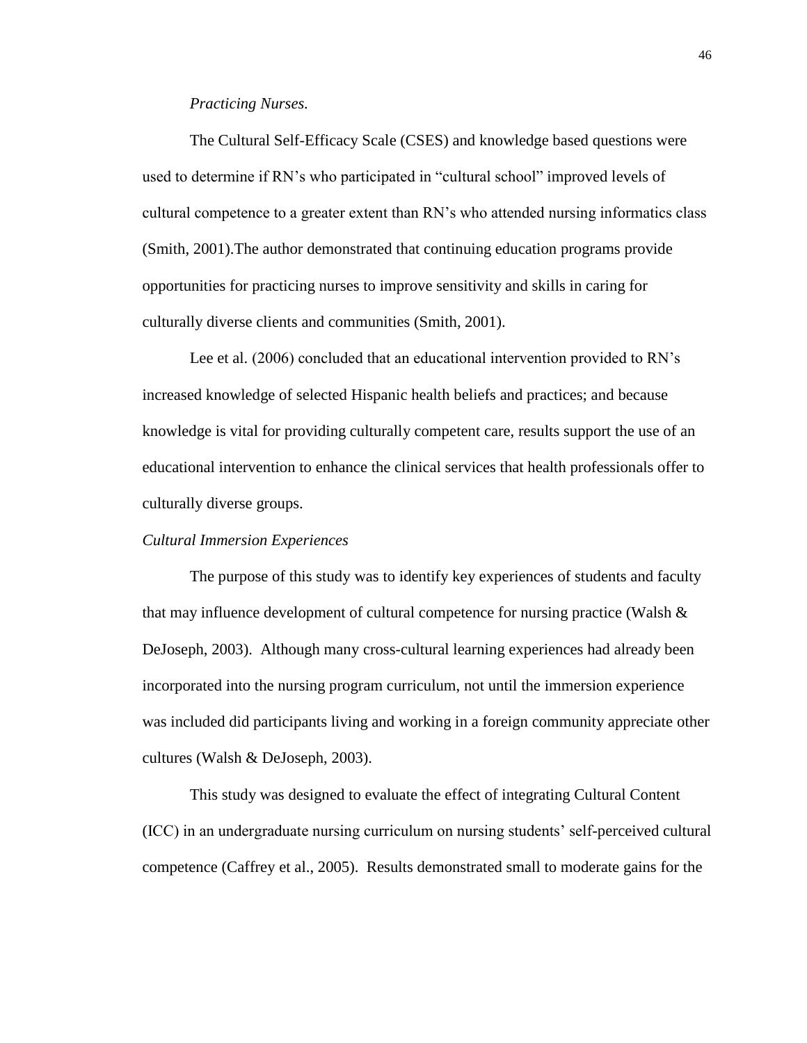#### *Practicing Nurses.*

The Cultural Self-Efficacy Scale (CSES) and knowledge based questions were used to determine if RN's who participated in "cultural school" improved levels of cultural competence to a greater extent than RN's who attended nursing informatics class (Smith, 2001).The author demonstrated that continuing education programs provide opportunities for practicing nurses to improve sensitivity and skills in caring for culturally diverse clients and communities (Smith, 2001).

Lee et al. (2006) concluded that an educational intervention provided to RN's increased knowledge of selected Hispanic health beliefs and practices; and because knowledge is vital for providing culturally competent care, results support the use of an educational intervention to enhance the clinical services that health professionals offer to culturally diverse groups.

#### *Cultural Immersion Experiences*

The purpose of this study was to identify key experiences of students and faculty that may influence development of cultural competence for nursing practice (Walsh & DeJoseph, 2003). Although many cross-cultural learning experiences had already been incorporated into the nursing program curriculum, not until the immersion experience was included did participants living and working in a foreign community appreciate other cultures (Walsh & DeJoseph, 2003).

This study was designed to evaluate the effect of integrating Cultural Content (ICC) in an undergraduate nursing curriculum on nursing students' self-perceived cultural competence (Caffrey et al., 2005). Results demonstrated small to moderate gains for the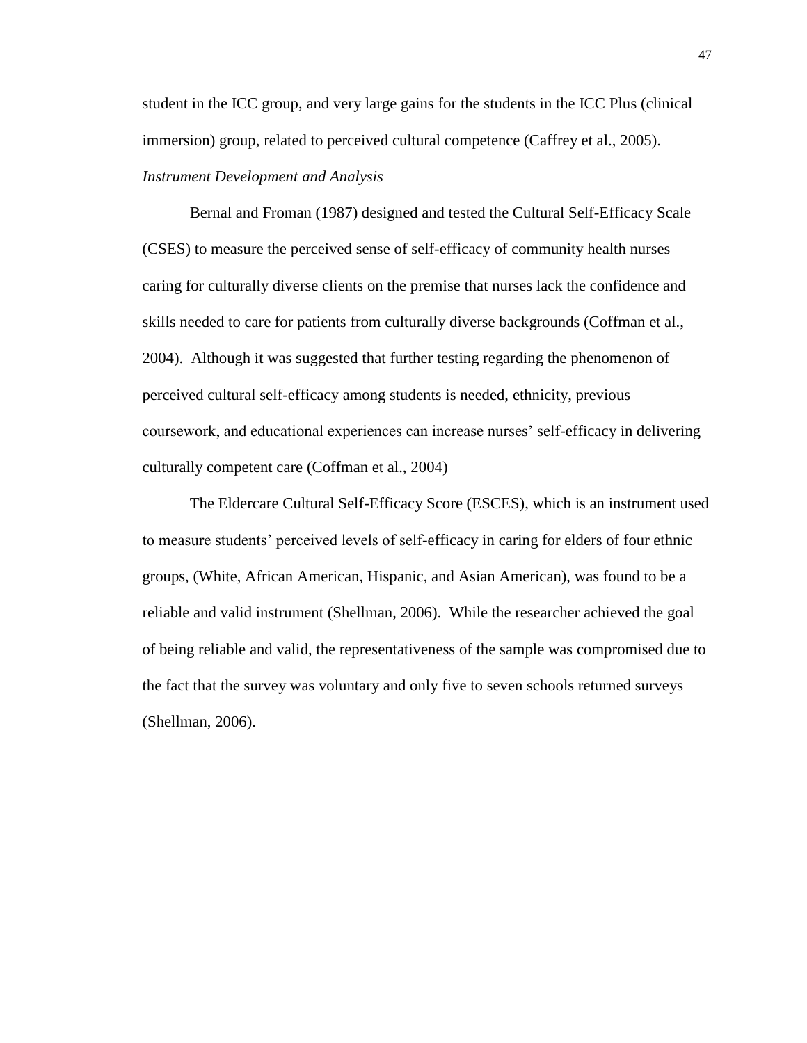student in the ICC group, and very large gains for the students in the ICC Plus (clinical immersion) group, related to perceived cultural competence (Caffrey et al., 2005). *Instrument Development and Analysis* 

Bernal and Froman (1987) designed and tested the Cultural Self-Efficacy Scale (CSES) to measure the perceived sense of self-efficacy of community health nurses caring for culturally diverse clients on the premise that nurses lack the confidence and skills needed to care for patients from culturally diverse backgrounds (Coffman et al., 2004). Although it was suggested that further testing regarding the phenomenon of perceived cultural self-efficacy among students is needed, ethnicity, previous coursework, and educational experiences can increase nurses' self-efficacy in delivering culturally competent care (Coffman et al., 2004)

The Eldercare Cultural Self-Efficacy Score (ESCES), which is an instrument used to measure students' perceived levels of self-efficacy in caring for elders of four ethnic groups, (White, African American, Hispanic, and Asian American), was found to be a reliable and valid instrument (Shellman, 2006). While the researcher achieved the goal of being reliable and valid, the representativeness of the sample was compromised due to the fact that the survey was voluntary and only five to seven schools returned surveys (Shellman, 2006).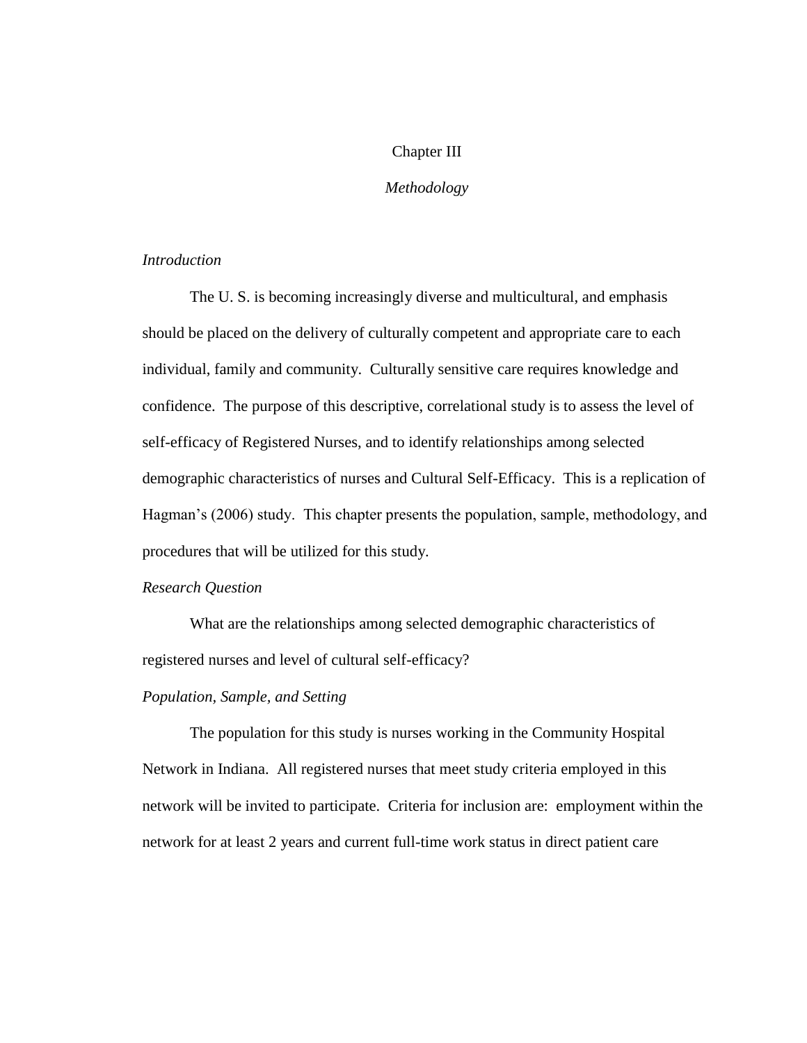## Chapter III

## *Methodology*

## *Introduction*

The U. S. is becoming increasingly diverse and multicultural, and emphasis should be placed on the delivery of culturally competent and appropriate care to each individual, family and community. Culturally sensitive care requires knowledge and confidence. The purpose of this descriptive, correlational study is to assess the level of self-efficacy of Registered Nurses, and to identify relationships among selected demographic characteristics of nurses and Cultural Self-Efficacy. This is a replication of Hagman's (2006) study. This chapter presents the population, sample, methodology, and procedures that will be utilized for this study.

## *Research Question*

What are the relationships among selected demographic characteristics of registered nurses and level of cultural self-efficacy?

## *Population, Sample, and Setting*

The population for this study is nurses working in the Community Hospital Network in Indiana. All registered nurses that meet study criteria employed in this network will be invited to participate. Criteria for inclusion are: employment within the network for at least 2 years and current full-time work status in direct patient care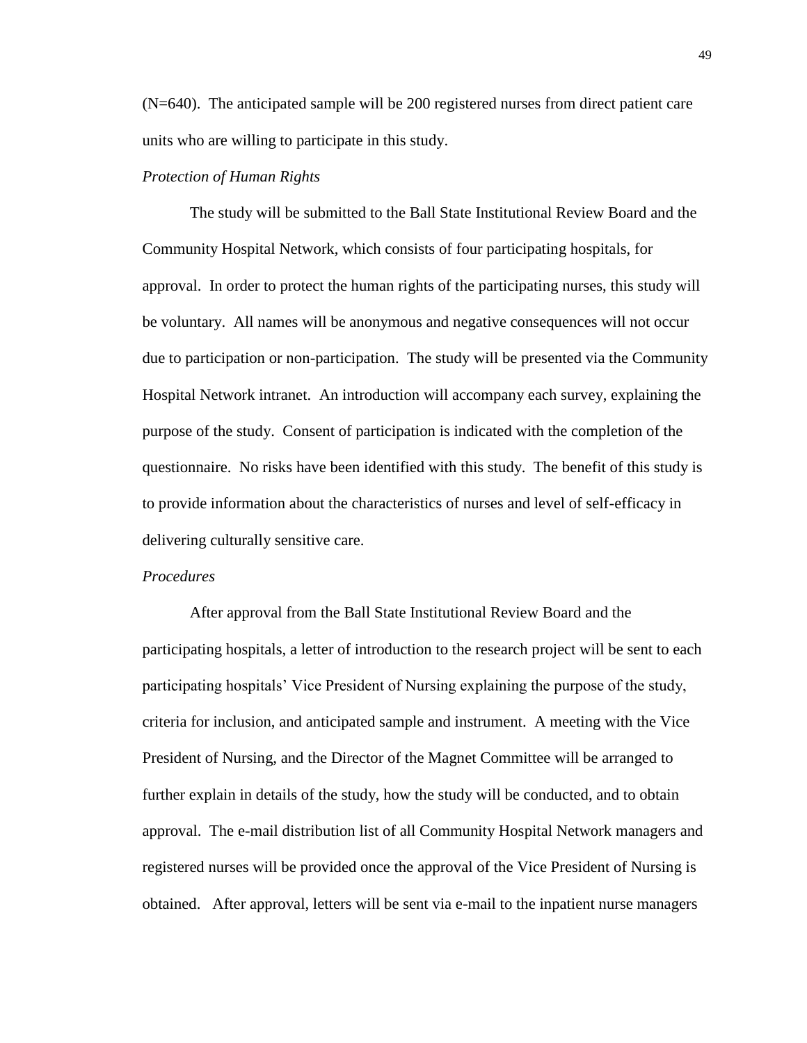(N=640). The anticipated sample will be 200 registered nurses from direct patient care units who are willing to participate in this study.

## *Protection of Human Rights*

The study will be submitted to the Ball State Institutional Review Board and the Community Hospital Network, which consists of four participating hospitals, for approval. In order to protect the human rights of the participating nurses, this study will be voluntary. All names will be anonymous and negative consequences will not occur due to participation or non-participation. The study will be presented via the Community Hospital Network intranet. An introduction will accompany each survey, explaining the purpose of the study. Consent of participation is indicated with the completion of the questionnaire. No risks have been identified with this study. The benefit of this study is to provide information about the characteristics of nurses and level of self-efficacy in delivering culturally sensitive care.

#### *Procedures*

After approval from the Ball State Institutional Review Board and the participating hospitals, a letter of introduction to the research project will be sent to each participating hospitals' Vice President of Nursing explaining the purpose of the study, criteria for inclusion, and anticipated sample and instrument. A meeting with the Vice President of Nursing, and the Director of the Magnet Committee will be arranged to further explain in details of the study, how the study will be conducted, and to obtain approval. The e-mail distribution list of all Community Hospital Network managers and registered nurses will be provided once the approval of the Vice President of Nursing is obtained. After approval, letters will be sent via e-mail to the inpatient nurse managers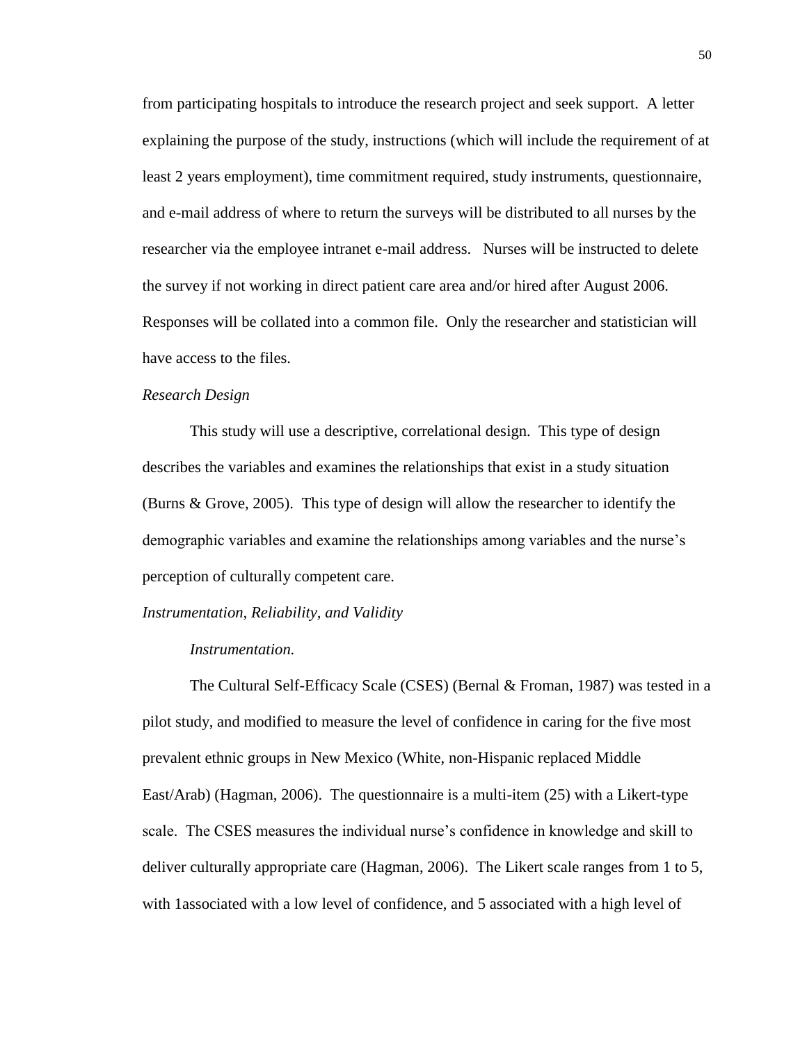from participating hospitals to introduce the research project and seek support. A letter explaining the purpose of the study, instructions (which will include the requirement of at least 2 years employment), time commitment required, study instruments, questionnaire, and e-mail address of where to return the surveys will be distributed to all nurses by the researcher via the employee intranet e-mail address. Nurses will be instructed to delete the survey if not working in direct patient care area and/or hired after August 2006. Responses will be collated into a common file. Only the researcher and statistician will have access to the files.

#### *Research Design*

This study will use a descriptive, correlational design. This type of design describes the variables and examines the relationships that exist in a study situation (Burns & Grove, 2005). This type of design will allow the researcher to identify the demographic variables and examine the relationships among variables and the nurse's perception of culturally competent care.

#### *Instrumentation, Reliability, and Validity*

#### *Instrumentation.*

The Cultural Self-Efficacy Scale (CSES) (Bernal & Froman, 1987) was tested in a pilot study, and modified to measure the level of confidence in caring for the five most prevalent ethnic groups in New Mexico (White, non-Hispanic replaced Middle East/Arab) (Hagman, 2006). The questionnaire is a multi-item (25) with a Likert-type scale. The CSES measures the individual nurse's confidence in knowledge and skill to deliver culturally appropriate care (Hagman, 2006). The Likert scale ranges from 1 to 5, with 1associated with a low level of confidence, and 5 associated with a high level of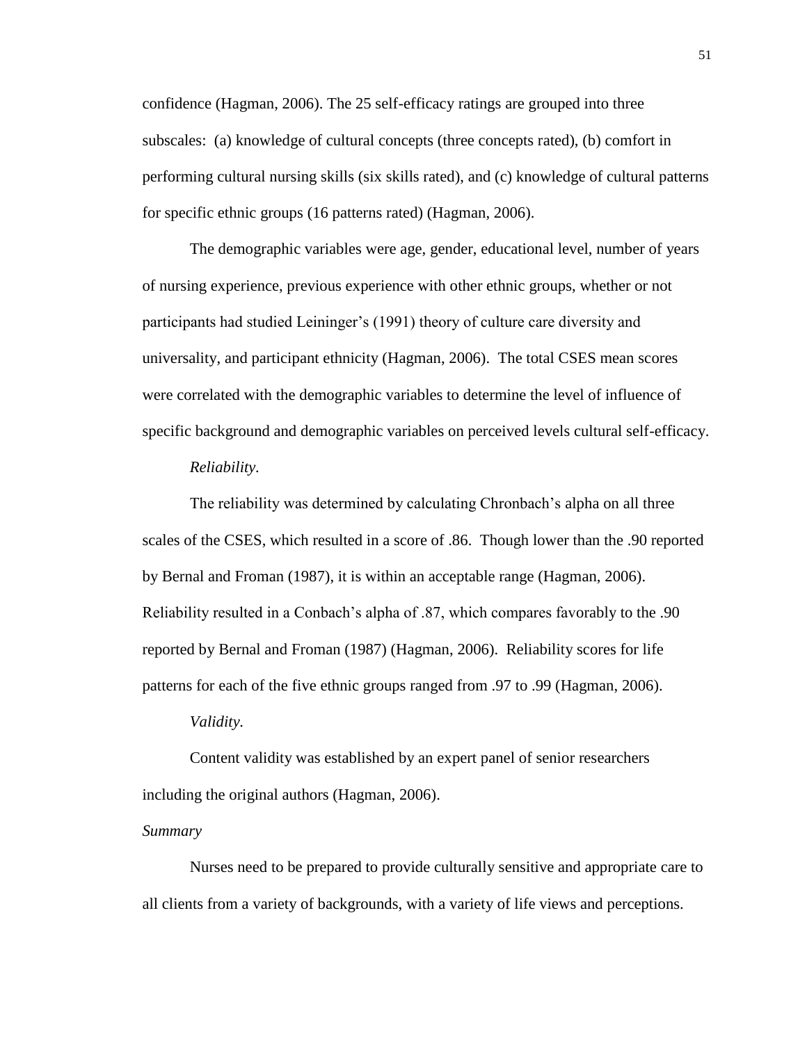confidence (Hagman, 2006). The 25 self-efficacy ratings are grouped into three subscales: (a) knowledge of cultural concepts (three concepts rated), (b) comfort in performing cultural nursing skills (six skills rated), and (c) knowledge of cultural patterns for specific ethnic groups (16 patterns rated) (Hagman, 2006).

The demographic variables were age, gender, educational level, number of years of nursing experience, previous experience with other ethnic groups, whether or not participants had studied Leininger's (1991) theory of culture care diversity and universality, and participant ethnicity (Hagman, 2006). The total CSES mean scores were correlated with the demographic variables to determine the level of influence of specific background and demographic variables on perceived levels cultural self-efficacy.

#### *Reliability.*

The reliability was determined by calculating Chronbach's alpha on all three scales of the CSES, which resulted in a score of .86. Though lower than the .90 reported by Bernal and Froman (1987), it is within an acceptable range (Hagman, 2006). Reliability resulted in a Conbach's alpha of .87, which compares favorably to the .90 reported by Bernal and Froman (1987) (Hagman, 2006). Reliability scores for life patterns for each of the five ethnic groups ranged from .97 to .99 (Hagman, 2006).

#### *Validity.*

Content validity was established by an expert panel of senior researchers including the original authors (Hagman, 2006).

## *Summary*

Nurses need to be prepared to provide culturally sensitive and appropriate care to all clients from a variety of backgrounds, with a variety of life views and perceptions.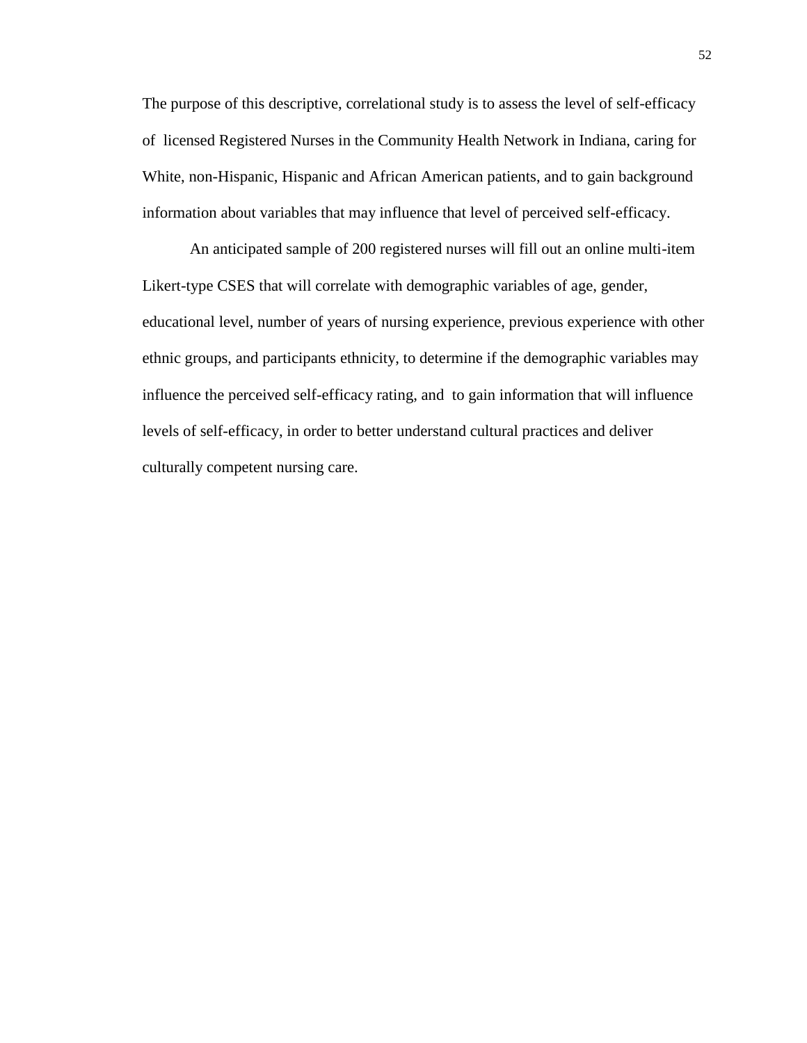The purpose of this descriptive, correlational study is to assess the level of self-efficacy of licensed Registered Nurses in the Community Health Network in Indiana, caring for White, non-Hispanic, Hispanic and African American patients, and to gain background information about variables that may influence that level of perceived self-efficacy.

An anticipated sample of 200 registered nurses will fill out an online multi-item Likert-type CSES that will correlate with demographic variables of age, gender, educational level, number of years of nursing experience, previous experience with other ethnic groups, and participants ethnicity, to determine if the demographic variables may influence the perceived self-efficacy rating, and to gain information that will influence levels of self-efficacy, in order to better understand cultural practices and deliver culturally competent nursing care.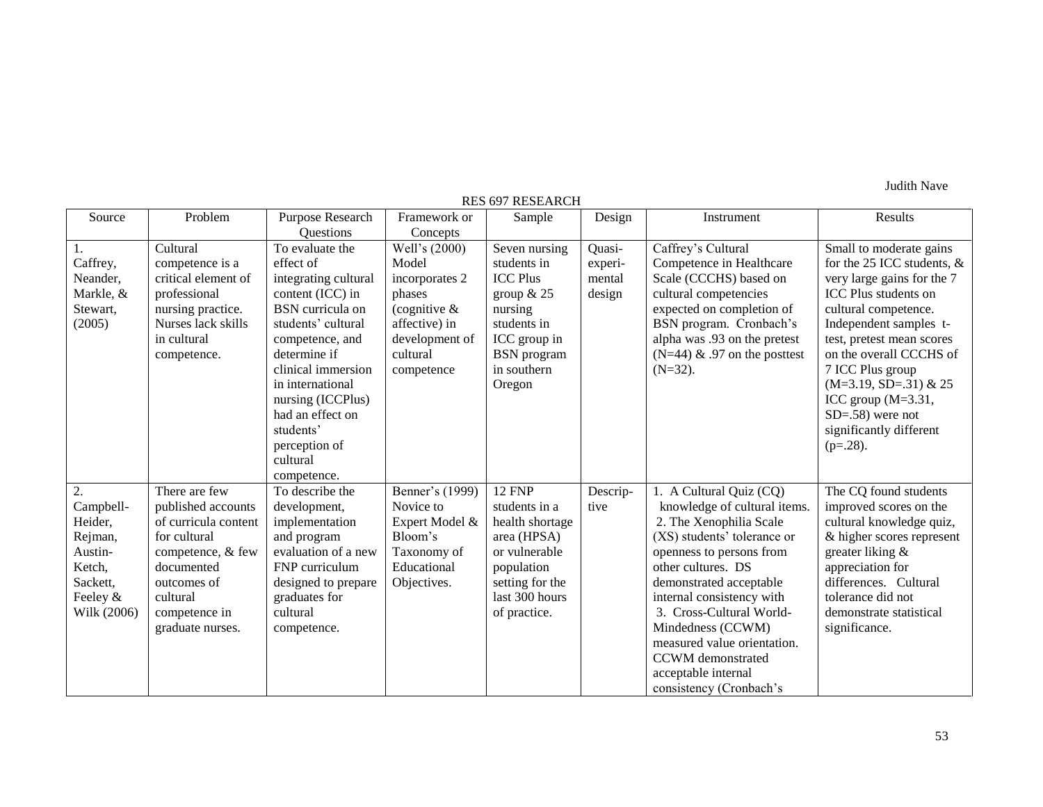Judith Nave

| <b>RES 697 RESEARCH</b> |                      |                                |                           |                                |          |                                                         |                               |  |
|-------------------------|----------------------|--------------------------------|---------------------------|--------------------------------|----------|---------------------------------------------------------|-------------------------------|--|
| Source                  | Problem              | Purpose Research               | Framework or              | Sample                         | Design   | Instrument                                              | Results                       |  |
|                         |                      | Questions                      | Concepts                  |                                |          |                                                         |                               |  |
|                         | Cultural             | To evaluate the                | Well's (2000)             | Seven nursing                  | Quasi-   | Caffrey's Cultural                                      | Small to moderate gains       |  |
| Caffrey,                | competence is a      | effect of                      | Model                     | students in                    | experi-  | Competence in Healthcare                                | for the 25 ICC students, $\&$ |  |
| Neander,                | critical element of  | integrating cultural           | incorporates 2            | <b>ICC Plus</b>                | mental   | Scale (CCCHS) based on                                  | very large gains for the 7    |  |
| Markle, &               | professional         | content (ICC) in               | phases                    | group $& 25$                   | design   | cultural competencies                                   | <b>ICC Plus students on</b>   |  |
| Stewart,                | nursing practice.    | <b>BSN</b> curricula on        | (cognitive $\&$           | nursing                        |          | expected on completion of                               | cultural competence.          |  |
| (2005)                  | Nurses lack skills   | students' cultural             | affective) in             | students in                    |          | BSN program. Cronbach's                                 | Independent samples t-        |  |
|                         | in cultural          | competence, and                | development of            | ICC group in                   |          | alpha was .93 on the pretest                            | test, pretest mean scores     |  |
|                         | competence.          | determine if                   | cultural                  | <b>BSN</b> program             |          | $(N=44)$ & .97 on the posttest                          | on the overall CCCHS of       |  |
|                         |                      | clinical immersion             | competence                | in southern                    |          | $(N=32)$ .                                              | 7 ICC Plus group              |  |
|                         |                      | in international               |                           | Oregon                         |          |                                                         | $(M=3.19, SD=.31)$ & 25       |  |
|                         |                      | nursing (ICCPlus)              |                           |                                |          |                                                         | ICC group (M=3.31,            |  |
|                         |                      | had an effect on               |                           |                                |          |                                                         | $SD=.58$ ) were not           |  |
|                         |                      | students'                      |                           |                                |          |                                                         | significantly different       |  |
|                         |                      | perception of<br>cultural      |                           |                                |          |                                                         | $(p=.28).$                    |  |
|                         |                      |                                |                           |                                |          |                                                         |                               |  |
| 2.                      | There are few        | competence.<br>To describe the | Benner's (1999)           | <b>12 FNP</b>                  | Descrip- |                                                         | The CQ found students         |  |
| Campbell-               | published accounts   | development,                   | Novice to                 | students in a                  | tive     | 1. A Cultural Quiz (CQ)<br>knowledge of cultural items. | improved scores on the        |  |
| Heider,                 | of curricula content | implementation                 |                           |                                |          | 2. The Xenophilia Scale                                 | cultural knowledge quiz,      |  |
| Rejman,                 | for cultural         | and program                    | Expert Model &<br>Bloom's | health shortage<br>area (HPSA) |          | (XS) students' tolerance or                             | & higher scores represent     |  |
| Austin-                 | competence, & few    | evaluation of a new            | Taxonomy of               | or vulnerable                  |          | openness to persons from                                | greater liking &              |  |
| Ketch,                  | documented           | FNP curriculum                 | Educational               | population                     |          | other cultures. DS                                      | appreciation for              |  |
| Sackett,                | outcomes of          | designed to prepare            | Objectives.               | setting for the                |          | demonstrated acceptable                                 | differences. Cultural         |  |
| Feeley &                | cultural             | graduates for                  |                           | last 300 hours                 |          | internal consistency with                               | tolerance did not             |  |
| Wilk (2006)             | competence in        | cultural                       |                           | of practice.                   |          | 3. Cross-Cultural World-                                | demonstrate statistical       |  |
|                         | graduate nurses.     | competence.                    |                           |                                |          | Mindedness (CCWM)                                       | significance.                 |  |
|                         |                      |                                |                           |                                |          | measured value orientation.                             |                               |  |
|                         |                      |                                |                           |                                |          | <b>CCWM</b> demonstrated                                |                               |  |
|                         |                      |                                |                           |                                |          | acceptable internal                                     |                               |  |
|                         |                      |                                |                           |                                |          | consistency (Cronbach's                                 |                               |  |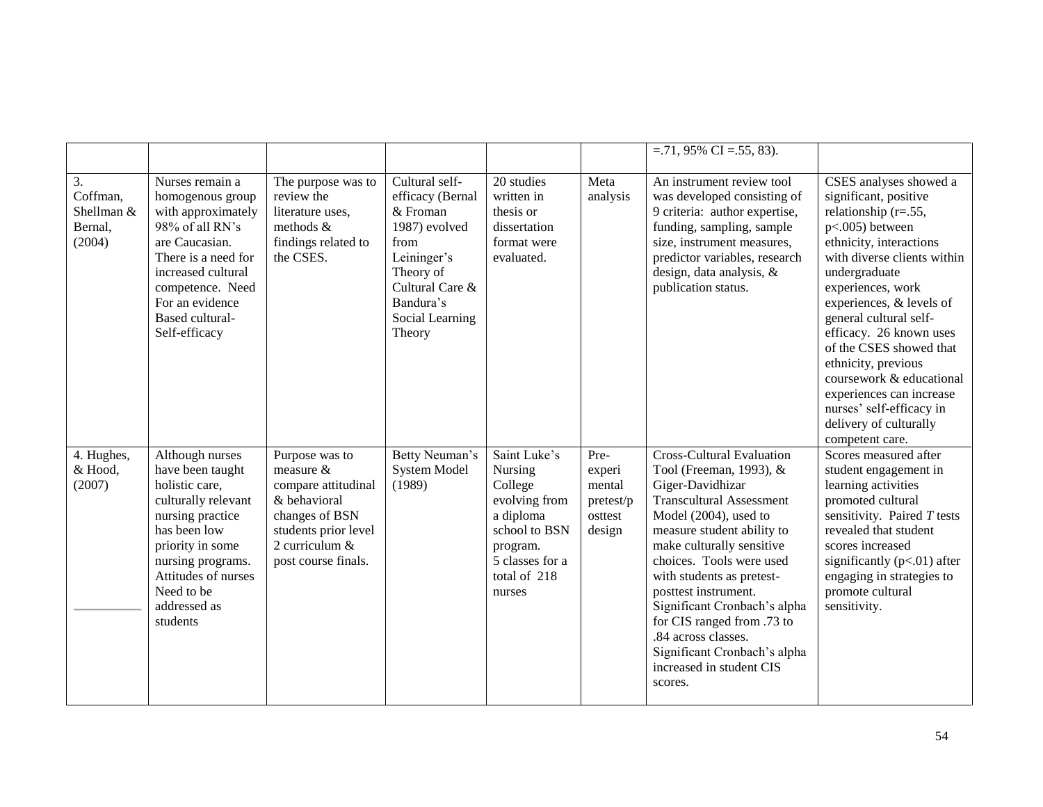|                                                   |                                                                                                                                                                                                                               |                                                                                                                                                       |                                                                                                                                                                  |                                                                                                                                            |                                                            | $=.71,95\%$ CI $=.55,83$ ).                                                                                                                                                                                                                                                                                                                                                                                                                         |                                                                                                                                                                                                                                                                                                                                                                                                                                                                    |
|---------------------------------------------------|-------------------------------------------------------------------------------------------------------------------------------------------------------------------------------------------------------------------------------|-------------------------------------------------------------------------------------------------------------------------------------------------------|------------------------------------------------------------------------------------------------------------------------------------------------------------------|--------------------------------------------------------------------------------------------------------------------------------------------|------------------------------------------------------------|-----------------------------------------------------------------------------------------------------------------------------------------------------------------------------------------------------------------------------------------------------------------------------------------------------------------------------------------------------------------------------------------------------------------------------------------------------|--------------------------------------------------------------------------------------------------------------------------------------------------------------------------------------------------------------------------------------------------------------------------------------------------------------------------------------------------------------------------------------------------------------------------------------------------------------------|
| 3.<br>Coffman,<br>Shellman &<br>Bernal,<br>(2004) | Nurses remain a<br>homogenous group<br>with approximately<br>98% of all RN's<br>are Caucasian.<br>There is a need for<br>increased cultural<br>competence. Need<br>For an evidence<br><b>Based cultural-</b><br>Self-efficacy | The purpose was to<br>review the<br>literature uses,<br>methods &<br>findings related to<br>the CSES.                                                 | Cultural self-<br>efficacy (Bernal<br>& Froman<br>1987) evolved<br>from<br>Leininger's<br>Theory of<br>Cultural Care &<br>Bandura's<br>Social Learning<br>Theory | 20 studies<br>written in<br>thesis or<br>dissertation<br>format were<br>evaluated.                                                         | Meta<br>analysis                                           | An instrument review tool<br>was developed consisting of<br>9 criteria: author expertise,<br>funding, sampling, sample<br>size, instrument measures,<br>predictor variables, research<br>design, data analysis, &<br>publication status.                                                                                                                                                                                                            | CSES analyses showed a<br>significant, positive<br>relationship $(r=.55, )$<br>p<.005) between<br>ethnicity, interactions<br>with diverse clients within<br>undergraduate<br>experiences, work<br>experiences, & levels of<br>general cultural self-<br>efficacy. 26 known uses<br>of the CSES showed that<br>ethnicity, previous<br>coursework & educational<br>experiences can increase<br>nurses' self-efficacy in<br>delivery of culturally<br>competent care. |
| 4. Hughes,<br>& Hood,<br>(2007)                   | Although nurses<br>have been taught<br>holistic care,<br>culturally relevant<br>nursing practice<br>has been low<br>priority in some<br>nursing programs.<br>Attitudes of nurses<br>Need to be<br>addressed as<br>students    | Purpose was to<br>measure &<br>compare attitudinal<br>& behavioral<br>changes of BSN<br>students prior level<br>2 curriculum &<br>post course finals. | Betty Neuman's<br><b>System Model</b><br>(1989)                                                                                                                  | Saint Luke's<br>Nursing<br>College<br>evolving from<br>a diploma<br>school to BSN<br>program.<br>5 classes for a<br>total of 218<br>nurses | Pre-<br>experi<br>mental<br>pretest/p<br>osttest<br>design | <b>Cross-Cultural Evaluation</b><br>Tool (Freeman, 1993), &<br>Giger-Davidhizar<br><b>Transcultural Assessment</b><br>Model (2004), used to<br>measure student ability to<br>make culturally sensitive<br>choices. Tools were used<br>with students as pretest-<br>posttest instrument.<br>Significant Cronbach's alpha<br>for CIS ranged from .73 to<br>.84 across classes.<br>Significant Cronbach's alpha<br>increased in student CIS<br>scores. | Scores measured after<br>student engagement in<br>learning activities<br>promoted cultural<br>sensitivity. Paired $T$ tests<br>revealed that student<br>scores increased<br>significantly $(p<.01)$ after<br>engaging in strategies to<br>promote cultural<br>sensitivity.                                                                                                                                                                                         |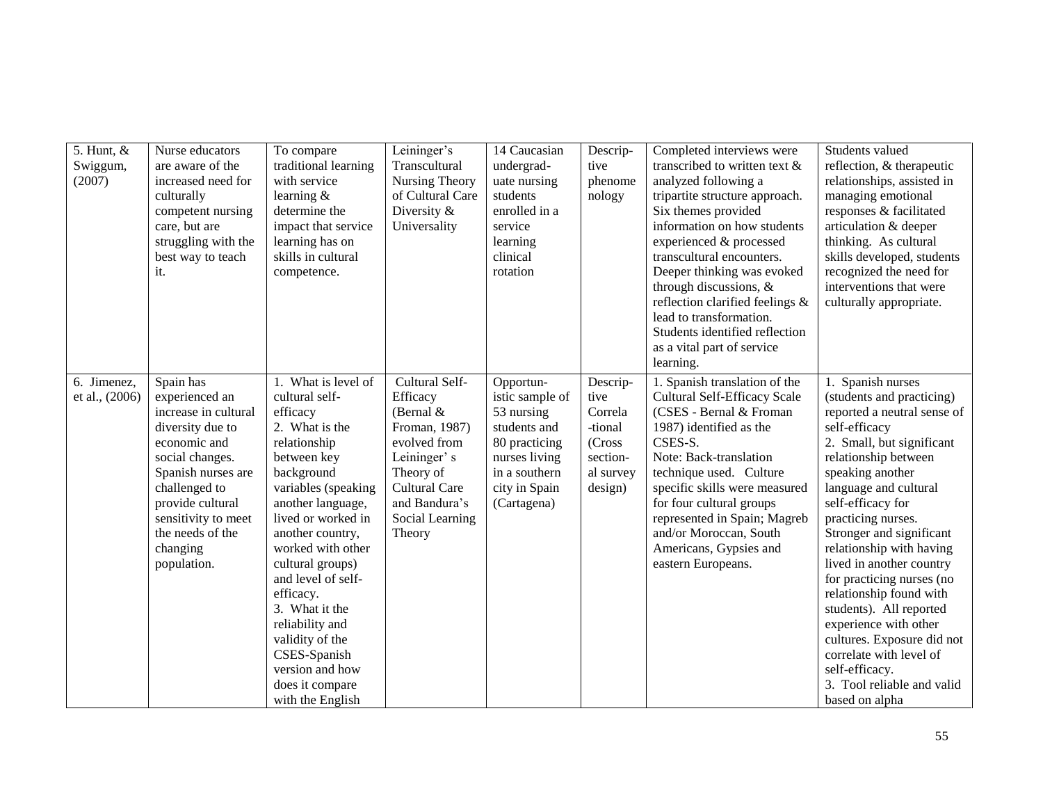| 5. Hunt, $&$<br>Swiggum,<br>(2007) | Nurse educators<br>are aware of the<br>increased need for<br>culturally<br>competent nursing<br>care, but are<br>struggling with the<br>best way to teach<br>it.                                                                            | To compare<br>traditional learning<br>with service<br>learning $&$<br>determine the<br>impact that service<br>learning has on<br>skills in cultural<br>competence.                                                                                                                                                                                                                                                   | Leininger's<br>Transcultural<br>Nursing Theory<br>of Cultural Care<br>Diversity &<br>Universality                                                                            | 14 Caucasian<br>undergrad-<br>uate nursing<br>students<br>enrolled in a<br>service<br>learning<br>clinical<br>rotation                        | Descrip-<br>tive<br>phenome<br>nology                                                | Completed interviews were<br>transcribed to written text &<br>analyzed following a<br>tripartite structure approach.<br>Six themes provided<br>information on how students<br>experienced & processed<br>transcultural encounters.<br>Deeper thinking was evoked<br>through discussions, &<br>reflection clarified feelings &<br>lead to transformation.<br>Students identified reflection<br>as a vital part of service<br>learning. | Students valued<br>reflection, & therapeutic<br>relationships, assisted in<br>managing emotional<br>responses & facilitated<br>articulation & deeper<br>thinking. As cultural<br>skills developed, students<br>recognized the need for<br>interventions that were<br>culturally appropriate.                                                                                                                                                                                                                                                                           |
|------------------------------------|---------------------------------------------------------------------------------------------------------------------------------------------------------------------------------------------------------------------------------------------|----------------------------------------------------------------------------------------------------------------------------------------------------------------------------------------------------------------------------------------------------------------------------------------------------------------------------------------------------------------------------------------------------------------------|------------------------------------------------------------------------------------------------------------------------------------------------------------------------------|-----------------------------------------------------------------------------------------------------------------------------------------------|--------------------------------------------------------------------------------------|---------------------------------------------------------------------------------------------------------------------------------------------------------------------------------------------------------------------------------------------------------------------------------------------------------------------------------------------------------------------------------------------------------------------------------------|------------------------------------------------------------------------------------------------------------------------------------------------------------------------------------------------------------------------------------------------------------------------------------------------------------------------------------------------------------------------------------------------------------------------------------------------------------------------------------------------------------------------------------------------------------------------|
| 6. Jimenez,<br>et al., (2006)      | Spain has<br>experienced an<br>increase in cultural<br>diversity due to<br>economic and<br>social changes.<br>Spanish nurses are<br>challenged to<br>provide cultural<br>sensitivity to meet<br>the needs of the<br>changing<br>population. | 1. What is level of<br>cultural self-<br>efficacy<br>2. What is the<br>relationship<br>between key<br>background<br>variables (speaking<br>another language,<br>lived or worked in<br>another country,<br>worked with other<br>cultural groups)<br>and level of self-<br>efficacy.<br>3. What it the<br>reliability and<br>validity of the<br>CSES-Spanish<br>version and how<br>does it compare<br>with the English | Cultural Self-<br>Efficacy<br>(Bernal $&$<br>Froman, 1987)<br>evolved from<br>Leininger's<br>Theory of<br><b>Cultural Care</b><br>and Bandura's<br>Social Learning<br>Theory | Opportun-<br>istic sample of<br>53 nursing<br>students and<br>80 practicing<br>nurses living<br>in a southern<br>city in Spain<br>(Cartagena) | Descrip-<br>tive<br>Correla<br>-tional<br>(Cross<br>section-<br>al survey<br>design) | 1. Spanish translation of the<br>Cultural Self-Efficacy Scale<br>(CSES - Bernal & Froman<br>1987) identified as the<br>CSES-S.<br>Note: Back-translation<br>technique used. Culture<br>specific skills were measured<br>for four cultural groups<br>represented in Spain; Magreb<br>and/or Moroccan, South<br>Americans, Gypsies and<br>eastern Europeans.                                                                            | 1. Spanish nurses<br>(students and practicing)<br>reported a neutral sense of<br>self-efficacy<br>2. Small, but significant<br>relationship between<br>speaking another<br>language and cultural<br>self-efficacy for<br>practicing nurses.<br>Stronger and significant<br>relationship with having<br>lived in another country<br>for practicing nurses (no<br>relationship found with<br>students). All reported<br>experience with other<br>cultures. Exposure did not<br>correlate with level of<br>self-efficacy.<br>3. Tool reliable and valid<br>based on alpha |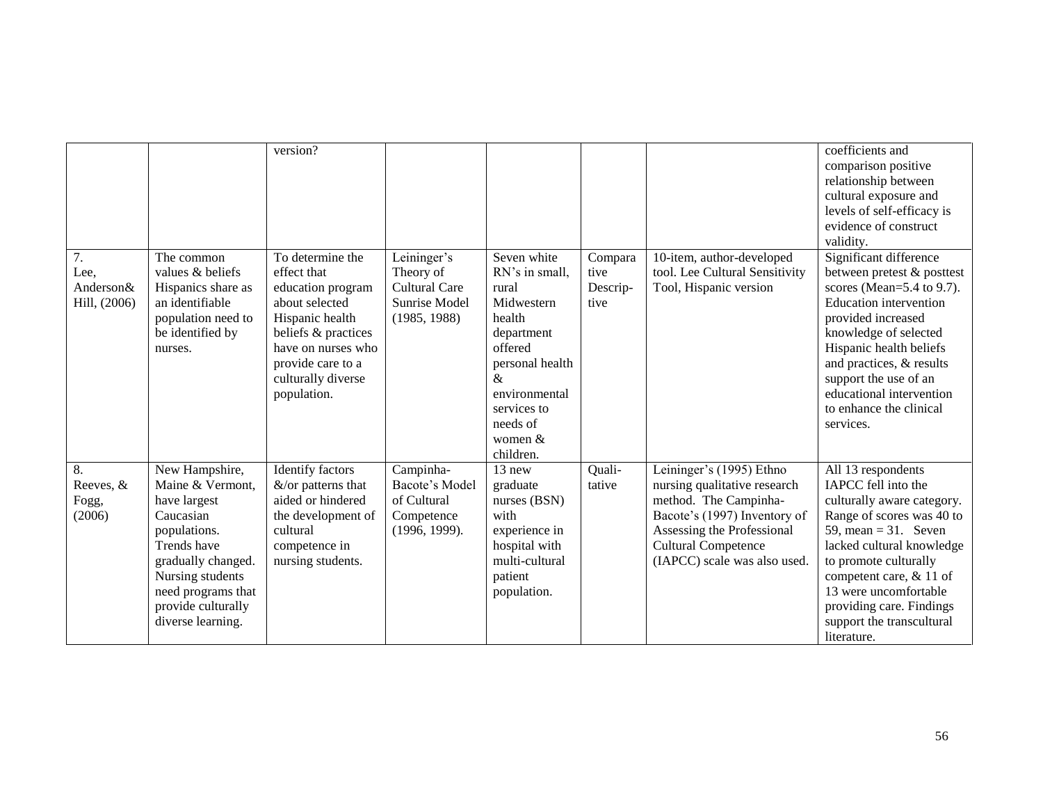|                                                       |                                                                                                                                                                                                           | version?                                                                                                                                                                                         |                                                                                   |                                                                                                                                                                                       |                                     |                                                                                                                                                                                                               | coefficients and<br>comparison positive<br>relationship between<br>cultural exposure and<br>levels of self-efficacy is<br>evidence of construct<br>validity.                                                                                                                                                             |
|-------------------------------------------------------|-----------------------------------------------------------------------------------------------------------------------------------------------------------------------------------------------------------|--------------------------------------------------------------------------------------------------------------------------------------------------------------------------------------------------|-----------------------------------------------------------------------------------|---------------------------------------------------------------------------------------------------------------------------------------------------------------------------------------|-------------------------------------|---------------------------------------------------------------------------------------------------------------------------------------------------------------------------------------------------------------|--------------------------------------------------------------------------------------------------------------------------------------------------------------------------------------------------------------------------------------------------------------------------------------------------------------------------|
| $\overline{7}$ .<br>Lee,<br>Anderson&<br>Hill, (2006) | The common<br>values & beliefs<br>Hispanics share as<br>an identifiable<br>population need to<br>be identified by<br>nurses.                                                                              | To determine the<br>effect that<br>education program<br>about selected<br>Hispanic health<br>beliefs & practices<br>have on nurses who<br>provide care to a<br>culturally diverse<br>population. | Leininger's<br>Theory of<br><b>Cultural Care</b><br>Sunrise Model<br>(1985, 1988) | Seven white<br>RN's in small,<br>rural<br>Midwestern<br>health<br>department<br>offered<br>personal health<br>&<br>environmental<br>services to<br>needs of<br>women $&$<br>children. | Compara<br>tive<br>Descrip-<br>tive | 10-item, author-developed<br>tool. Lee Cultural Sensitivity<br>Tool, Hispanic version                                                                                                                         | Significant difference<br>between pretest & posttest<br>scores (Mean= $5.4$ to 9.7).<br><b>Education</b> intervention<br>provided increased<br>knowledge of selected<br>Hispanic health beliefs<br>and practices, & results<br>support the use of an<br>educational intervention<br>to enhance the clinical<br>services. |
| 8.<br>Reeves, &<br>Fogg,<br>(2006)                    | New Hampshire,<br>Maine & Vermont,<br>have largest<br>Caucasian<br>populations.<br>Trends have<br>gradually changed.<br>Nursing students<br>need programs that<br>provide culturally<br>diverse learning. | <b>Identify factors</b><br>$&$ /or patterns that<br>aided or hindered<br>the development of<br>cultural<br>competence in<br>nursing students.                                                    | Campinha-<br>Bacote's Model<br>of Cultural<br>Competence<br>(1996, 1999).         | 13 new<br>graduate<br>nurses (BSN)<br>with<br>experience in<br>hospital with<br>multi-cultural<br>patient<br>population.                                                              | Quali-<br>tative                    | Leininger's (1995) Ethno<br>nursing qualitative research<br>method. The Campinha-<br>Bacote's (1997) Inventory of<br>Assessing the Professional<br><b>Cultural Competence</b><br>(IAPCC) scale was also used. | All 13 respondents<br>IAPCC fell into the<br>culturally aware category.<br>Range of scores was 40 to<br>59, mean = $31.$ Seven<br>lacked cultural knowledge<br>to promote culturally<br>competent care, & 11 of<br>13 were uncomfortable<br>providing care. Findings<br>support the transcultural<br>literature.         |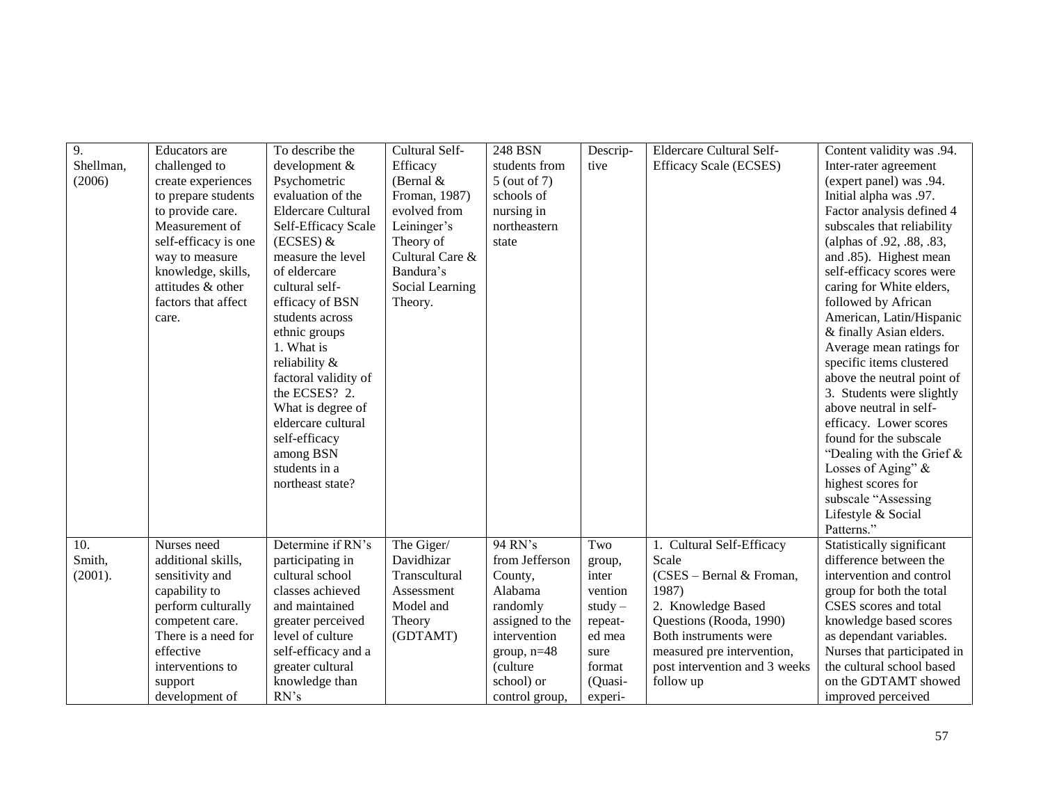| $\overline{9}$ . | Educators are        | To describe the           | Cultural Self-  | 248 BSN         | Descrip-  | Eldercare Cultural Self-      | Content validity was .94.    |
|------------------|----------------------|---------------------------|-----------------|-----------------|-----------|-------------------------------|------------------------------|
| Shellman,        | challenged to        | development &             | Efficacy        | students from   | tive      | Efficacy Scale (ECSES)        | Inter-rater agreement        |
| (2006)           | create experiences   | Psychometric              | (Bernal $&$     | 5 (out of 7)    |           |                               | (expert panel) was .94.      |
|                  | to prepare students  | evaluation of the         | Froman, 1987)   | schools of      |           |                               | Initial alpha was .97.       |
|                  | to provide care.     | <b>Eldercare Cultural</b> | evolved from    | nursing in      |           |                               | Factor analysis defined 4    |
|                  | Measurement of       | Self-Efficacy Scale       | Leininger's     | northeastern    |           |                               | subscales that reliability   |
|                  | self-efficacy is one | $(ECSES)$ &               | Theory of       | state           |           |                               | (alphas of .92, .88, .83,    |
|                  | way to measure       | measure the level         | Cultural Care & |                 |           |                               | and .85). Highest mean       |
|                  | knowledge, skills,   | of eldercare              | Bandura's       |                 |           |                               | self-efficacy scores were    |
|                  | attitudes & other    | cultural self-            | Social Learning |                 |           |                               | caring for White elders,     |
|                  | factors that affect  | efficacy of BSN           | Theory.         |                 |           |                               | followed by African          |
|                  | care.                | students across           |                 |                 |           |                               | American, Latin/Hispanic     |
|                  |                      | ethnic groups             |                 |                 |           |                               | & finally Asian elders.      |
|                  |                      | 1. What is                |                 |                 |           |                               | Average mean ratings for     |
|                  |                      | reliability &             |                 |                 |           |                               | specific items clustered     |
|                  |                      | factoral validity of      |                 |                 |           |                               | above the neutral point of   |
|                  |                      | the ECSES? 2.             |                 |                 |           |                               | 3. Students were slightly    |
|                  |                      | What is degree of         |                 |                 |           |                               | above neutral in self-       |
|                  |                      | eldercare cultural        |                 |                 |           |                               | efficacy. Lower scores       |
|                  |                      | self-efficacy             |                 |                 |           |                               | found for the subscale       |
|                  |                      | among BSN                 |                 |                 |           |                               | "Dealing with the Grief $\&$ |
|                  |                      | students in a             |                 |                 |           |                               | Losses of Aging" &           |
|                  |                      | northeast state?          |                 |                 |           |                               | highest scores for           |
|                  |                      |                           |                 |                 |           |                               | subscale "Assessing          |
|                  |                      |                           |                 |                 |           |                               | Lifestyle & Social           |
|                  |                      |                           |                 |                 |           |                               | Patterns."                   |
| 10.              | Nurses need          | Determine if RN's         | The Giger/      | 94 RN's         | Two       | 1. Cultural Self-Efficacy     | Statistically significant    |
| Smith,           | additional skills,   | participating in          | Davidhizar      | from Jefferson  | group,    | Scale                         | difference between the       |
| (2001).          | sensitivity and      | cultural school           | Transcultural   | County,         | inter     | (CSES – Bernal & Froman,      | intervention and control     |
|                  | capability to        | classes achieved          | Assessment      | Alabama         | vention   | 1987)                         | group for both the total     |
|                  | perform culturally   | and maintained            | Model and       | randomly        | $study -$ | 2. Knowledge Based            | CSES scores and total        |
|                  | competent care.      | greater perceived         | Theory          | assigned to the | repeat-   | Questions (Rooda, 1990)       | knowledge based scores       |
|                  | There is a need for  | level of culture          | (GDTAMT)        | intervention    | ed mea    | Both instruments were         | as dependant variables.      |
|                  | effective            | self-efficacy and a       |                 | group, $n=48$   | sure      | measured pre intervention,    | Nurses that participated in  |
|                  | interventions to     | greater cultural          |                 | (culture)       | format    | post intervention and 3 weeks | the cultural school based    |
|                  | support              | knowledge than            |                 | school) or      | (Quasi-   | follow up                     | on the GDTAMT showed         |
|                  | development of       | RN's                      |                 | control group,  | experi-   |                               | improved perceived           |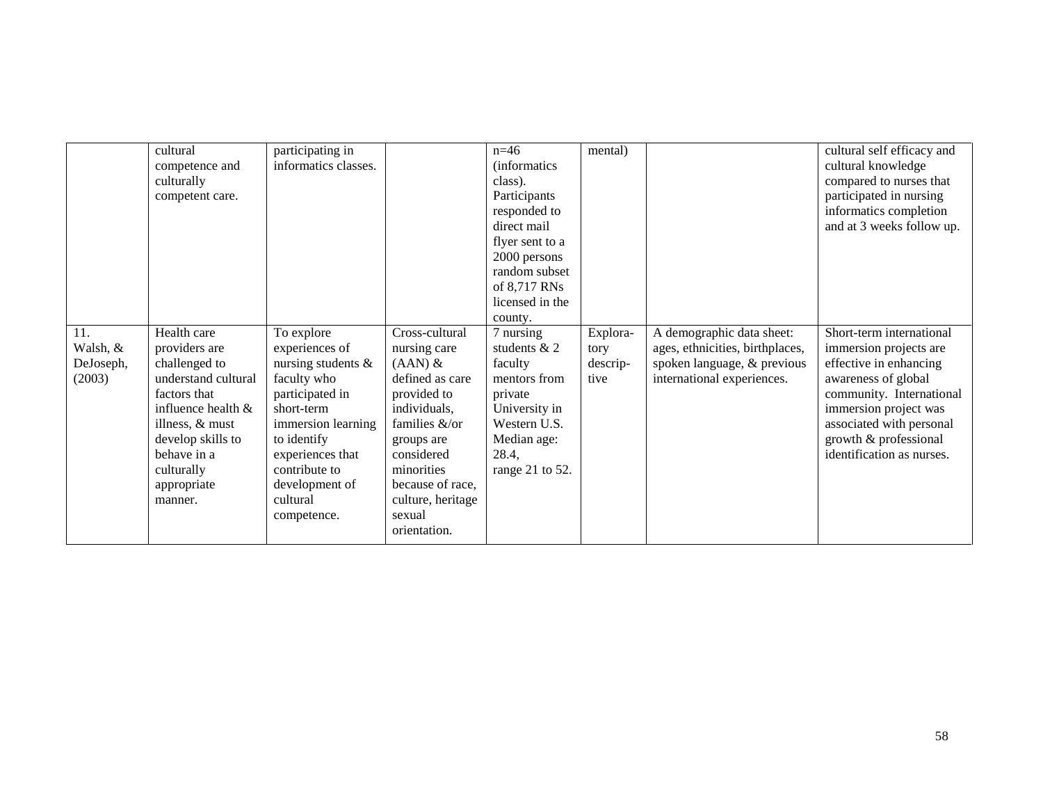|           | cultural              | participating in     |                   | $n=46$               | mental)  |                                 | cultural self efficacy and |
|-----------|-----------------------|----------------------|-------------------|----------------------|----------|---------------------------------|----------------------------|
|           | competence and        | informatics classes. |                   | <i>(informatics)</i> |          |                                 | cultural knowledge         |
|           | culturally            |                      |                   | class).              |          |                                 | compared to nurses that    |
|           | competent care.       |                      |                   | Participants         |          |                                 | participated in nursing    |
|           |                       |                      |                   | responded to         |          |                                 | informatics completion     |
|           |                       |                      |                   | direct mail          |          |                                 | and at 3 weeks follow up.  |
|           |                       |                      |                   | flyer sent to a      |          |                                 |                            |
|           |                       |                      |                   | 2000 persons         |          |                                 |                            |
|           |                       |                      |                   | random subset        |          |                                 |                            |
|           |                       |                      |                   | of 8,717 RNs         |          |                                 |                            |
|           |                       |                      |                   | licensed in the      |          |                                 |                            |
|           |                       |                      |                   | county.              |          |                                 |                            |
| 11.       | Health care           | To explore           | Cross-cultural    | 7 nursing            | Explora- | A demographic data sheet:       | Short-term international   |
| Walsh, &  | providers are         | experiences of       | nursing care      | students $& 2$       | tory     | ages, ethnicities, birthplaces, | immersion projects are     |
| DeJoseph, | challenged to         | nursing students &   | $(AAN)$ &         | faculty              | descrip- | spoken language, & previous     | effective in enhancing     |
| (2003)    | understand cultural   | faculty who          | defined as care   | mentors from         | tive     | international experiences.      | awareness of global        |
|           | factors that          | participated in      | provided to       | private              |          |                                 | community. International   |
|           | influence health $\&$ | short-term           | individuals,      | University in        |          |                                 | immersion project was      |
|           | illness, & must       | immersion learning   | families &/or     | Western U.S.         |          |                                 | associated with personal   |
|           | develop skills to     | to identify          | groups are        | Median age:          |          |                                 | growth & professional      |
|           | behave in a           | experiences that     | considered        | 28.4,                |          |                                 | identification as nurses.  |
|           | culturally            | contribute to        | minorities        | range 21 to 52.      |          |                                 |                            |
|           | appropriate           | development of       | because of race,  |                      |          |                                 |                            |
|           | manner.               | cultural             | culture, heritage |                      |          |                                 |                            |
|           |                       | competence.          | sexual            |                      |          |                                 |                            |
|           |                       |                      | orientation.      |                      |          |                                 |                            |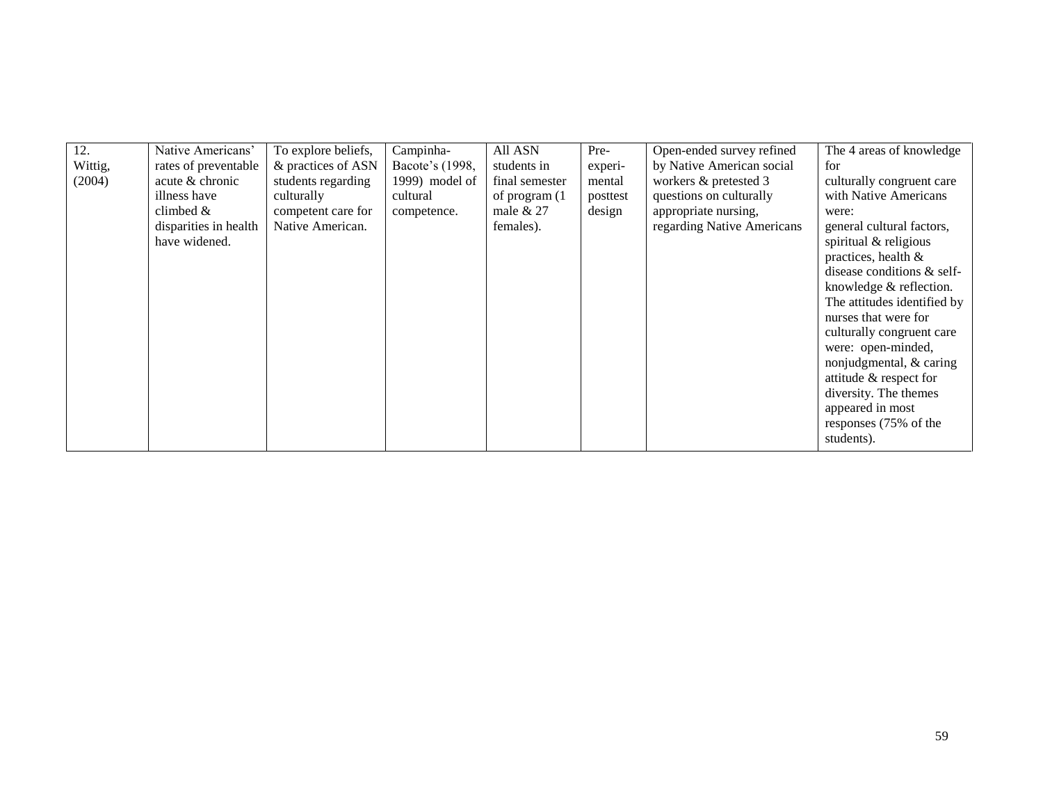| 12.     | Native Americans'     | To explore beliefs, | Campinha-       | All ASN        | Pre-     | Open-ended survey refined  | The 4 areas of knowledge    |
|---------|-----------------------|---------------------|-----------------|----------------|----------|----------------------------|-----------------------------|
| Wittig, | rates of preventable  | & practices of ASN  | Bacote's (1998, | students in    | experi-  | by Native American social  | for                         |
| (2004)  | acute & chronic       | students regarding  | 1999) model of  | final semester | mental   | workers & pretested 3      | culturally congruent care   |
|         | illness have          | culturally          | cultural        | of program (1) | posttest | questions on culturally    | with Native Americans       |
|         | climbed $&$           | competent care for  | competence.     | male $& 27$    | design   | appropriate nursing,       | were:                       |
|         | disparities in health | Native American.    |                 | females).      |          | regarding Native Americans | general cultural factors,   |
|         | have widened.         |                     |                 |                |          |                            | spiritual & religious       |
|         |                       |                     |                 |                |          |                            | practices, health &         |
|         |                       |                     |                 |                |          |                            | disease conditions & self-  |
|         |                       |                     |                 |                |          |                            | knowledge & reflection.     |
|         |                       |                     |                 |                |          |                            | The attitudes identified by |
|         |                       |                     |                 |                |          |                            | nurses that were for        |
|         |                       |                     |                 |                |          |                            | culturally congruent care   |
|         |                       |                     |                 |                |          |                            | were: open-minded,          |
|         |                       |                     |                 |                |          |                            | nonjudgmental, & caring     |
|         |                       |                     |                 |                |          |                            | attitude & respect for      |
|         |                       |                     |                 |                |          |                            | diversity. The themes       |
|         |                       |                     |                 |                |          |                            | appeared in most            |
|         |                       |                     |                 |                |          |                            | responses (75% of the       |
|         |                       |                     |                 |                |          |                            | students).                  |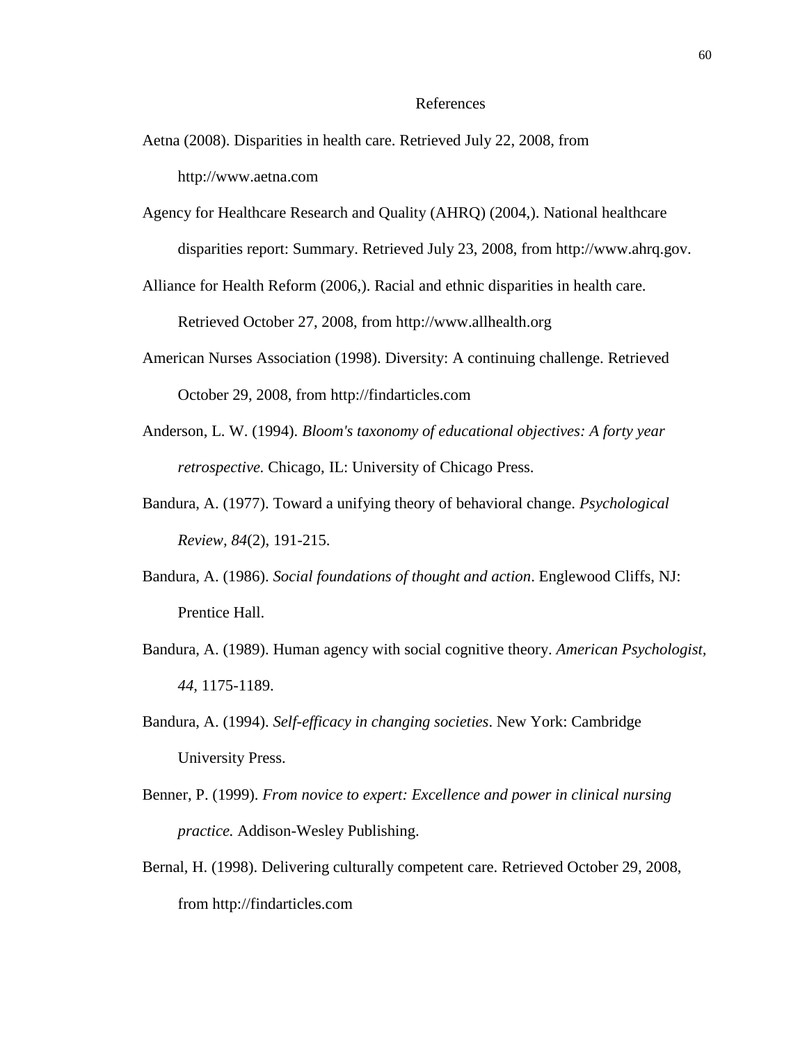#### References

Aetna (2008). Disparities in health care. Retrieved July 22, 2008, from

http://www.aetna.com

Agency for Healthcare Research and Quality (AHRQ) (2004,). National healthcare disparities report: Summary. Retrieved July 23, 2008, from http://www.ahrq.gov.

Alliance for Health Reform (2006,). Racial and ethnic disparities in health care. Retrieved October 27, 2008, from http://www.allhealth.org

- American Nurses Association (1998). Diversity: A continuing challenge. Retrieved October 29, 2008, from http://findarticles.com
- Anderson, L. W. (1994). *Bloom's taxonomy of educational objectives: A forty year retrospective.* Chicago, IL: University of Chicago Press.
- Bandura, A. (1977). Toward a unifying theory of behavioral change. *Psychological Review, 84*(2), 191-215.
- Bandura, A. (1986). *Social foundations of thought and action*. Englewood Cliffs, NJ: Prentice Hall.
- Bandura, A. (1989). Human agency with social cognitive theory. *American Psychologist, 44,* 1175-1189.
- Bandura, A. (1994). *Self-efficacy in changing societies*. New York: Cambridge University Press.
- Benner, P. (1999). *From novice to expert: Excellence and power in clinical nursing practice.* Addison-Wesley Publishing.
- Bernal, H. (1998). Delivering culturally competent care. Retrieved October 29, 2008, from http://findarticles.com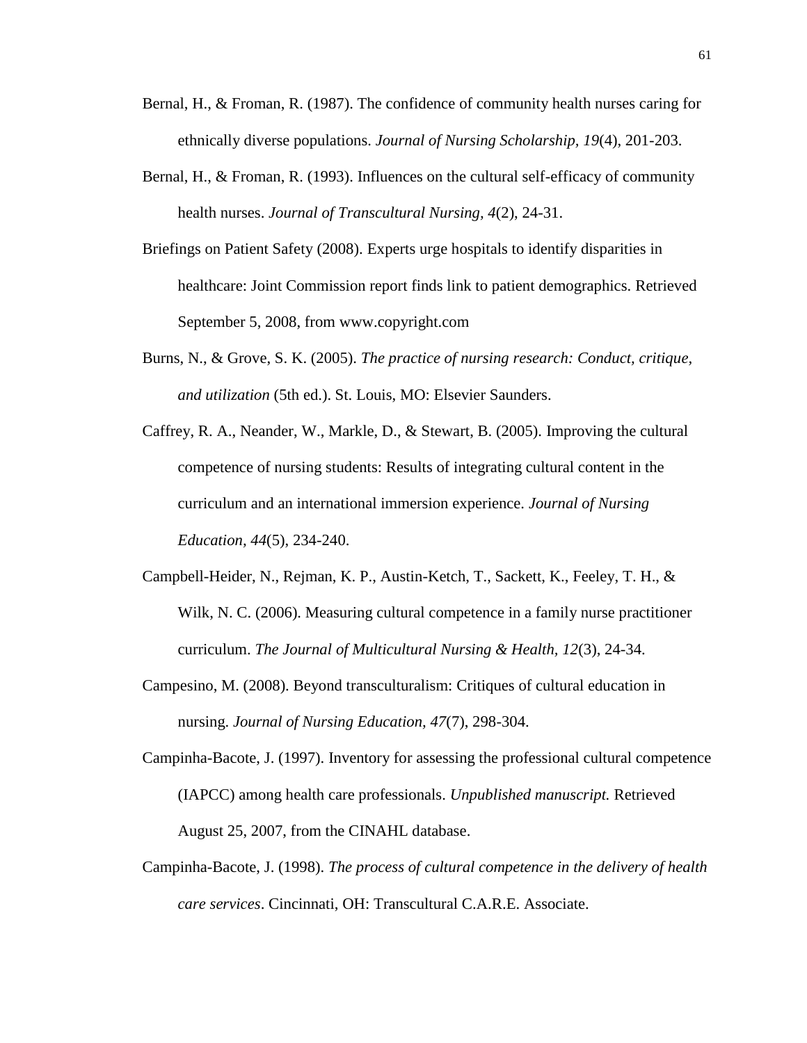- Bernal, H., & Froman, R. (1987). The confidence of community health nurses caring for ethnically diverse populations. *Journal of Nursing Scholarship, 19*(4), 201-203.
- Bernal, H., & Froman, R. (1993). Influences on the cultural self-efficacy of community health nurses. *Journal of Transcultural Nursing, 4*(2), 24-31.
- Briefings on Patient Safety (2008). Experts urge hospitals to identify disparities in healthcare: Joint Commission report finds link to patient demographics. Retrieved September 5, 2008, from www.copyright.com
- Burns, N., & Grove, S. K. (2005). *The practice of nursing research: Conduct, critique, and utilization* (5th ed.). St. Louis, MO: Elsevier Saunders.
- Caffrey, R. A., Neander, W., Markle, D., & Stewart, B. (2005). Improving the cultural competence of nursing students: Results of integrating cultural content in the curriculum and an international immersion experience. *Journal of Nursing Education, 44*(5), 234-240.
- Campbell-Heider, N., Rejman, K. P., Austin-Ketch, T., Sackett, K., Feeley, T. H., & Wilk, N. C. (2006). Measuring cultural competence in a family nurse practitioner curriculum. *The Journal of Multicultural Nursing & Health, 12*(3), 24-34.
- Campesino, M. (2008). Beyond transculturalism: Critiques of cultural education in nursing. *Journal of Nursing Education, 47*(7), 298-304.
- Campinha-Bacote, J. (1997). Inventory for assessing the professional cultural competence (IAPCC) among health care professionals. *Unpublished manuscript.* Retrieved August 25, 2007, from the CINAHL database.
- Campinha-Bacote, J. (1998). *The process of cultural competence in the delivery of health care services*. Cincinnati, OH: Transcultural C.A.R.E. Associate.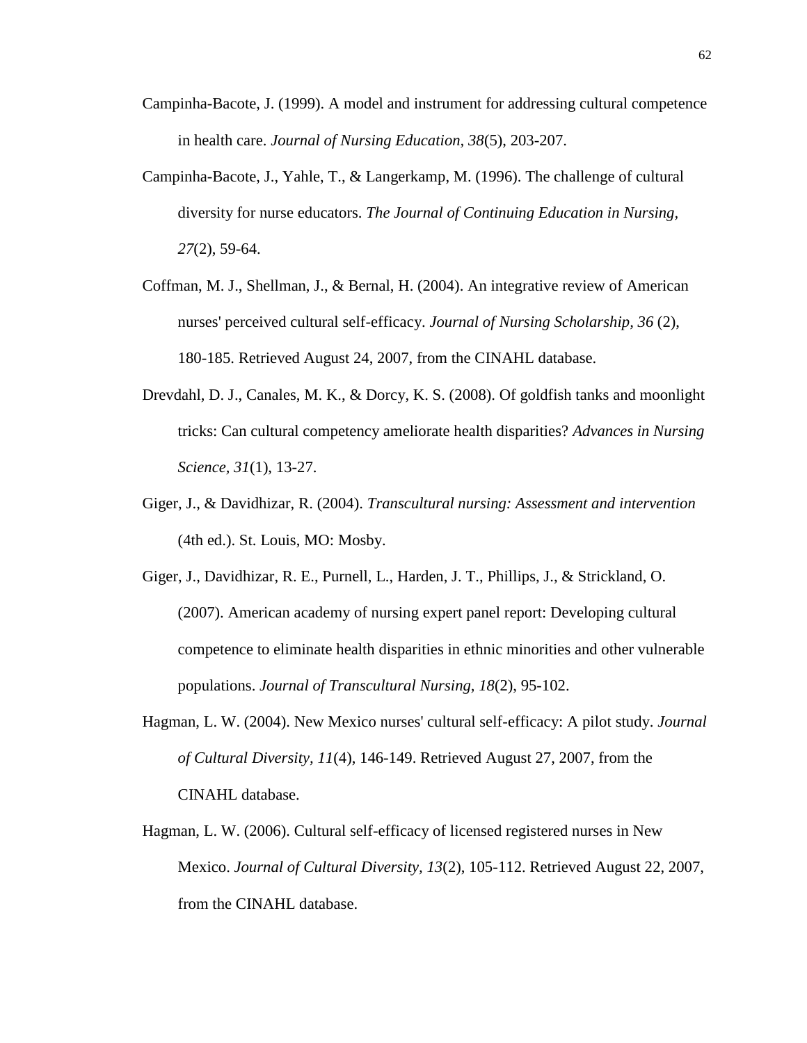- Campinha-Bacote, J. (1999). A model and instrument for addressing cultural competence in health care. *Journal of Nursing Education, 38*(5), 203-207.
- Campinha-Bacote, J., Yahle, T., & Langerkamp, M. (1996). The challenge of cultural diversity for nurse educators. *The Journal of Continuing Education in Nursing, 27*(2), 59-64.
- Coffman, M. J., Shellman, J., & Bernal, H. (2004). An integrative review of American nurses' perceived cultural self-efficacy. *Journal of Nursing Scholarship, 36* (2), 180-185. Retrieved August 24, 2007, from the CINAHL database.
- Drevdahl, D. J., Canales, M. K., & Dorcy, K. S. (2008). Of goldfish tanks and moonlight tricks: Can cultural competency ameliorate health disparities? *Advances in Nursing Science, 31*(1), 13-27.
- Giger, J., & Davidhizar, R. (2004). *Transcultural nursing: Assessment and intervention*  (4th ed.). St. Louis, MO: Mosby.
- Giger, J., Davidhizar, R. E., Purnell, L., Harden, J. T., Phillips, J., & Strickland, O. (2007). American academy of nursing expert panel report: Developing cultural competence to eliminate health disparities in ethnic minorities and other vulnerable populations. *Journal of Transcultural Nursing, 18*(2), 95-102.
- Hagman, L. W. (2004). New Mexico nurses' cultural self-efficacy: A pilot study. *Journal of Cultural Diversity, 11*(4), 146-149. Retrieved August 27, 2007, from the CINAHL database.
- Hagman, L. W. (2006). Cultural self-efficacy of licensed registered nurses in New Mexico. *Journal of Cultural Diversity, 13*(2), 105-112. Retrieved August 22, 2007, from the CINAHL database.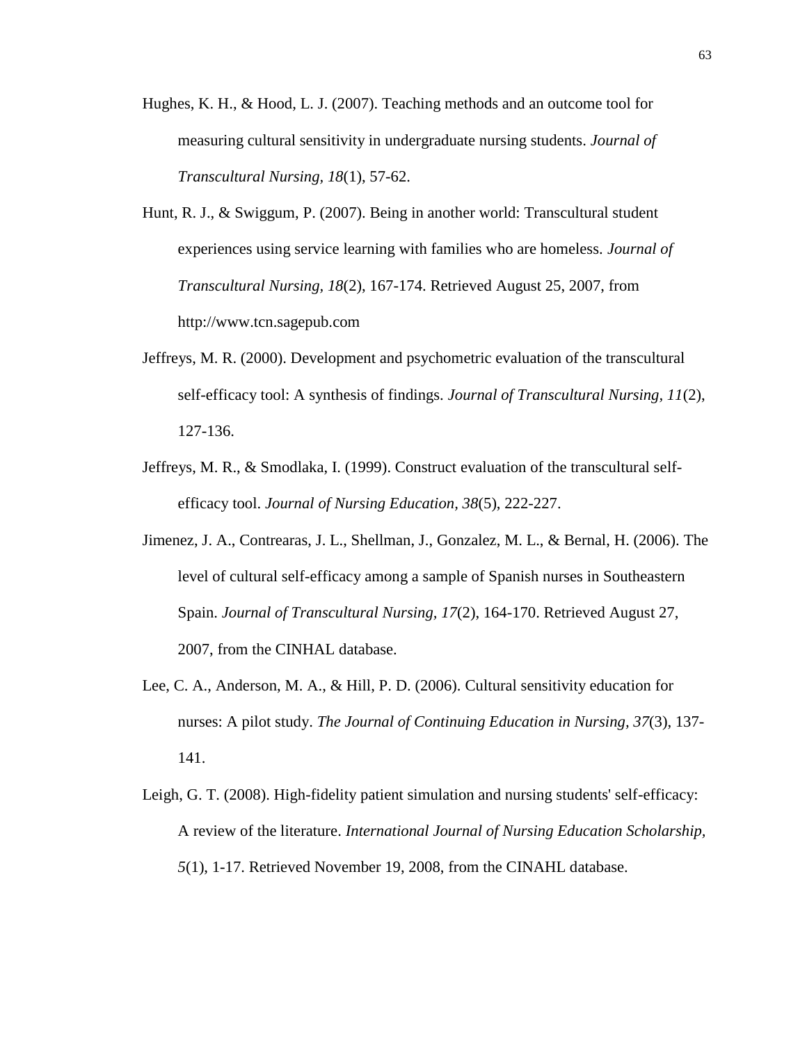- Hughes, K. H., & Hood, L. J. (2007). Teaching methods and an outcome tool for measuring cultural sensitivity in undergraduate nursing students. *Journal of Transcultural Nursing, 18*(1), 57-62.
- Hunt, R. J., & Swiggum, P. (2007). Being in another world: Transcultural student experiences using service learning with families who are homeless. *Journal of Transcultural Nursing, 18*(2), 167-174. Retrieved August 25, 2007, from http://www.tcn.sagepub.com
- Jeffreys, M. R. (2000). Development and psychometric evaluation of the transcultural self-efficacy tool: A synthesis of findings. *Journal of Transcultural Nursing, 11*(2), 127-136.
- Jeffreys, M. R., & Smodlaka, I. (1999). Construct evaluation of the transcultural selfefficacy tool. *Journal of Nursing Education, 38*(5), 222-227.
- Jimenez, J. A., Contrearas, J. L., Shellman, J., Gonzalez, M. L., & Bernal, H. (2006). The level of cultural self-efficacy among a sample of Spanish nurses in Southeastern Spain. *Journal of Transcultural Nursing, 17*(2), 164-170. Retrieved August 27, 2007, from the CINHAL database.
- Lee, C. A., Anderson, M. A., & Hill, P. D. (2006). Cultural sensitivity education for nurses: A pilot study. *The Journal of Continuing Education in Nursing, 37*(3), 137- 141.
- Leigh, G. T. (2008). High-fidelity patient simulation and nursing students' self-efficacy: A review of the literature. *International Journal of Nursing Education Scholarship, 5*(1), 1-17. Retrieved November 19, 2008, from the CINAHL database.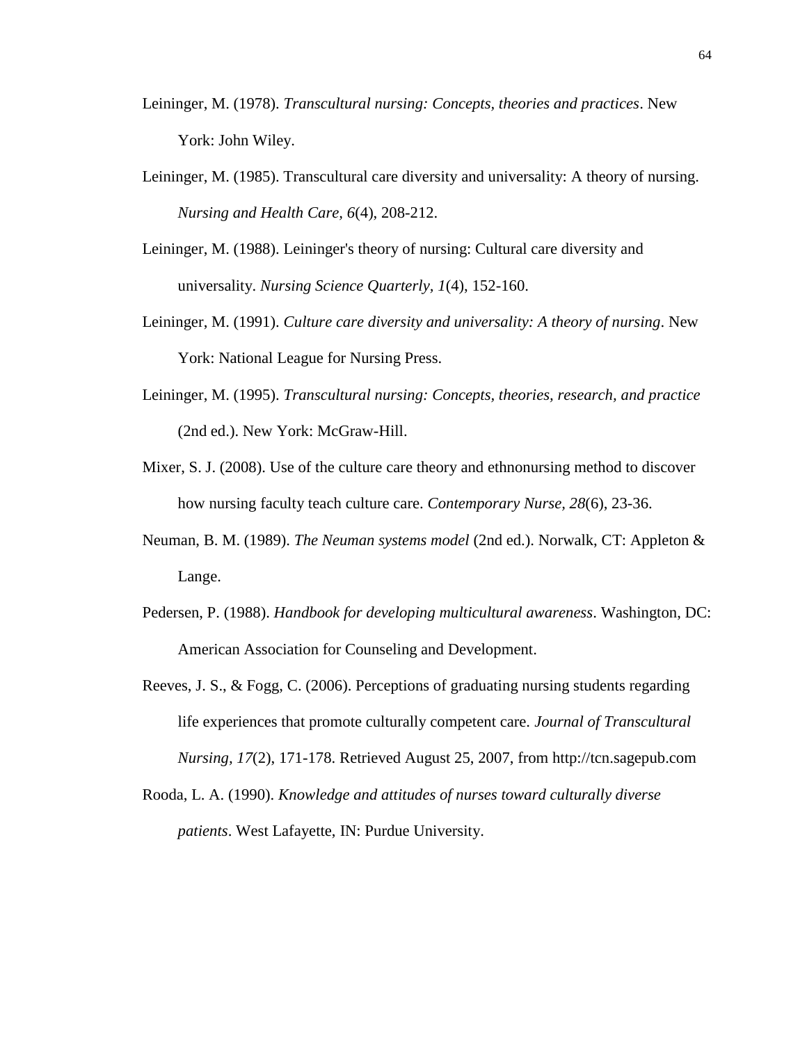- Leininger, M. (1978). *Transcultural nursing: Concepts, theories and practices*. New York: John Wiley.
- Leininger, M. (1985). Transcultural care diversity and universality: A theory of nursing. *Nursing and Health Care, 6*(4), 208-212.
- Leininger, M. (1988). Leininger's theory of nursing: Cultural care diversity and universality. *Nursing Science Quarterly, 1*(4), 152-160.
- Leininger, M. (1991). *Culture care diversity and universality: A theory of nursing*. New York: National League for Nursing Press.
- Leininger, M. (1995). *Transcultural nursing: Concepts, theories, research, and practice*  (2nd ed.). New York: McGraw-Hill.
- Mixer, S. J. (2008). Use of the culture care theory and ethnonursing method to discover how nursing faculty teach culture care. *Contemporary Nurse, 28*(6), 23-36.
- Neuman, B. M. (1989). *The Neuman systems model* (2nd ed.). Norwalk, CT: Appleton & Lange.
- Pedersen, P. (1988). *Handbook for developing multicultural awareness*. Washington, DC: American Association for Counseling and Development.
- Reeves, J. S., & Fogg, C. (2006). Perceptions of graduating nursing students regarding life experiences that promote culturally competent care. *Journal of Transcultural Nursing, 17*(2), 171-178. Retrieved August 25, 2007, from http://tcn.sagepub.com
- Rooda, L. A. (1990). *Knowledge and attitudes of nurses toward culturally diverse patients*. West Lafayette, IN: Purdue University.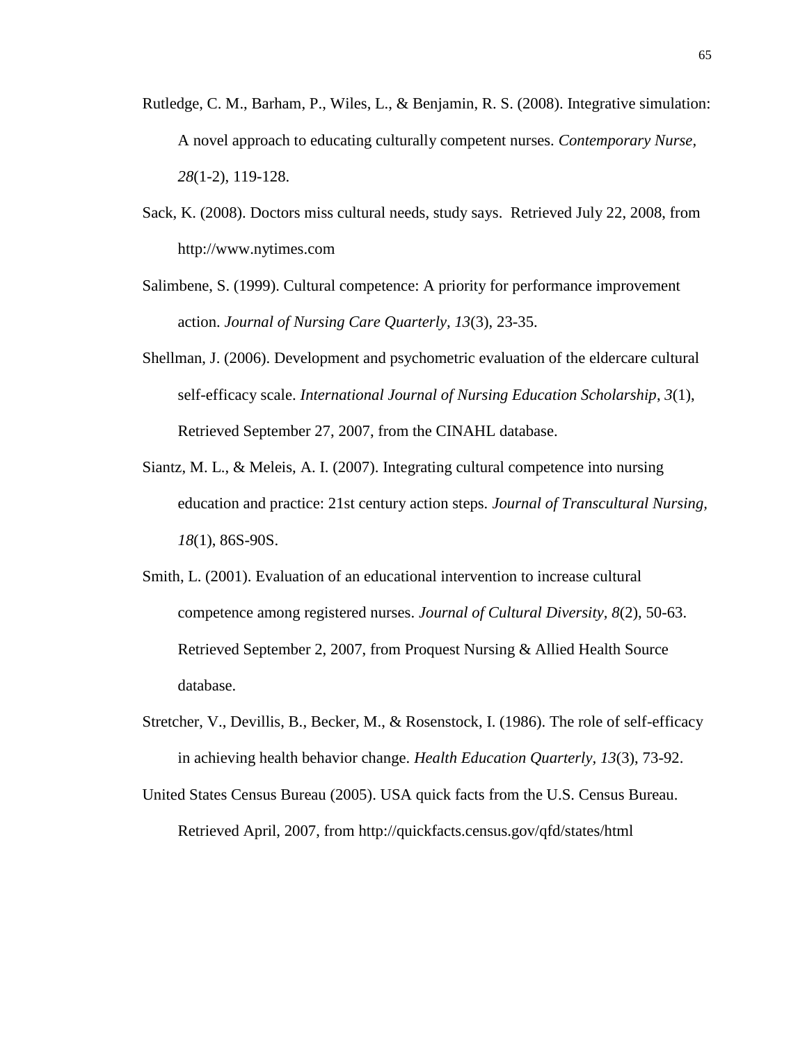- Rutledge, C. M., Barham, P., Wiles, L., & Benjamin, R. S. (2008). Integrative simulation: A novel approach to educating culturally competent nurses. *Contemporary Nurse, 28*(1-2), 119-128.
- Sack, K. (2008). Doctors miss cultural needs, study says. Retrieved July 22, 2008, from http://www.nytimes.com
- Salimbene, S. (1999). Cultural competence: A priority for performance improvement action. *Journal of Nursing Care Quarterly, 13*(3), 23-35.
- Shellman, J. (2006). Development and psychometric evaluation of the eldercare cultural self-efficacy scale. *International Journal of Nursing Education Scholarship*, *3*(1), Retrieved September 27, 2007, from the CINAHL database.
- Siantz, M. L., & Meleis, A. I. (2007). Integrating cultural competence into nursing education and practice: 21st century action steps. *Journal of Transcultural Nursing, 18*(1), 86S-90S.
- Smith, L. (2001). Evaluation of an educational intervention to increase cultural competence among registered nurses. *Journal of Cultural Diversity, 8*(2), 50-63. Retrieved September 2, 2007, from Proquest Nursing & Allied Health Source database.
- Stretcher, V., Devillis, B., Becker, M., & Rosenstock, I. (1986). The role of self-efficacy in achieving health behavior change. *Health Education Quarterly, 13*(3), 73-92.
- United States Census Bureau (2005). USA quick facts from the U.S. Census Bureau. Retrieved April, 2007, from http://quickfacts.census.gov/qfd/states/html